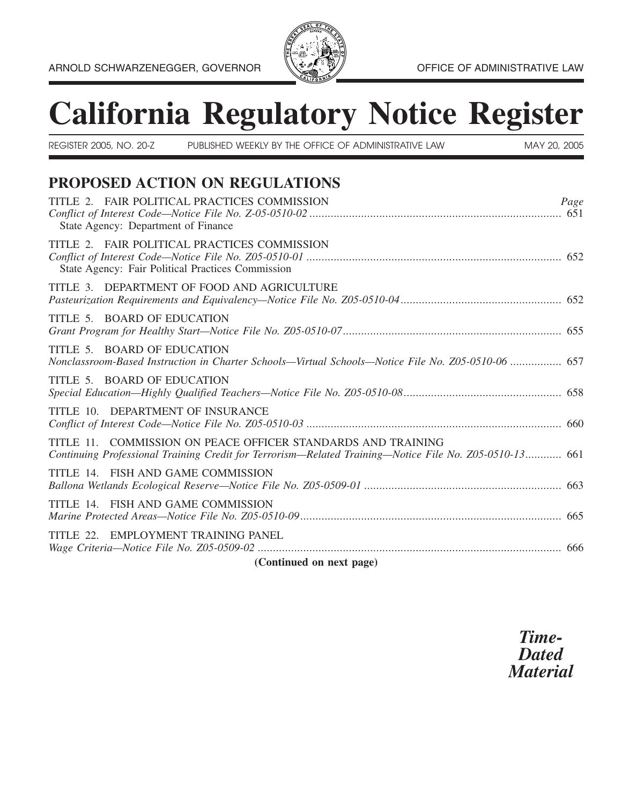

# **California Regulatory Notice Register**

| REGISTER 2005, NO. 20-Z                           | PUBLISHED WEEKLY BY THE OFFICE OF ADMINISTRATIVE LAW                                                                                                                   | MAY 20, 2005 |
|---------------------------------------------------|------------------------------------------------------------------------------------------------------------------------------------------------------------------------|--------------|
|                                                   | PROPOSED ACTION ON REGULATIONS                                                                                                                                         |              |
| State Agency: Department of Finance               | TITLE 2. FAIR POLITICAL PRACTICES COMMISSION                                                                                                                           | Page         |
| State Agency: Fair Political Practices Commission | TITLE 2. FAIR POLITICAL PRACTICES COMMISSION                                                                                                                           |              |
|                                                   | TITLE 3. DEPARTMENT OF FOOD AND AGRICULTURE                                                                                                                            |              |
| TITLE 5. BOARD OF EDUCATION                       |                                                                                                                                                                        |              |
| TITLE 5. BOARD OF EDUCATION                       | Nonclassroom-Based Instruction in Charter Schools-Virtual Schools-Notice File No. Z05-0510-06  657                                                                     |              |
| TITLE 5. BOARD OF EDUCATION                       |                                                                                                                                                                        |              |
| TITLE 10. DEPARTMENT OF INSURANCE                 |                                                                                                                                                                        |              |
|                                                   | TITLE 11. COMMISSION ON PEACE OFFICER STANDARDS AND TRAINING<br>Continuing Professional Training Credit for Terrorism—Related Training—Notice File No. Z05-0510-13 661 |              |
| TITLE 14. FISH AND GAME COMMISSION                |                                                                                                                                                                        |              |
| TITLE 14. FISH AND GAME COMMISSION                |                                                                                                                                                                        |              |
| TITLE 22. EMPLOYMENT TRAINING PANEL               |                                                                                                                                                                        |              |
|                                                   | (Continued on next page)                                                                                                                                               |              |

*Time- Dated Material*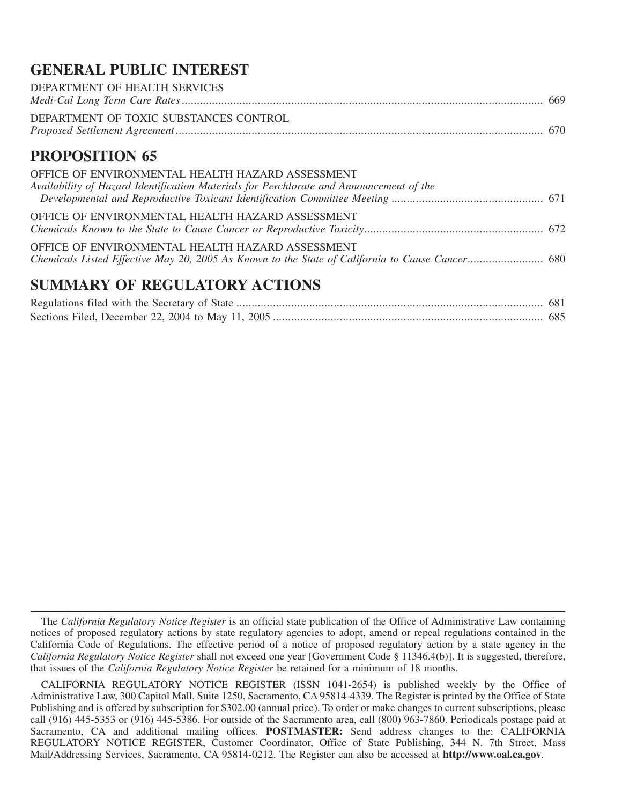# **GENERAL PUBLIC INTEREST**

| DEPARTMENT OF HEALTH SERVICES                                                                   |  |
|-------------------------------------------------------------------------------------------------|--|
| DEPARTMENT OF TOXIC SUBSTANCES CONTROL                                                          |  |
| <b>PROPOSITION 65</b>                                                                           |  |
| OFFICE OF ENVIRONMENTAL HEALTH HAZARD ASSESSMENT                                                |  |
| Availability of Hazard Identification Materials for Perchlorate and Announcement of the         |  |
| OFFICE OF ENVIRONMENTAL HEALTH HAZARD ASSESSMENT                                                |  |
| OFFICE OF ENVIRONMENTAL HEALTH HAZARD ASSESSMENT                                                |  |
| Chemicals Listed Effective May 20, 2005 As Known to the State of California to Cause Cancer 680 |  |
| <b>SUMMARY OF REGULATORY ACTIONS</b>                                                            |  |
|                                                                                                 |  |
|                                                                                                 |  |

The *California Regulatory Notice Register* is an official state publication of the Office of Administrative Law containing notices of proposed regulatory actions by state regulatory agencies to adopt, amend or repeal regulations contained in the California Code of Regulations. The effective period of a notice of proposed regulatory action by a state agency in the *California Regulatory Notice Register* shall not exceed one year [Government Code § 11346.4(b)]. It is suggested, therefore, that issues of the *California Regulatory Notice Register* be retained for a minimum of 18 months.

CALIFORNIA REGULATORY NOTICE REGISTER (ISSN 1041-2654) is published weekly by the Office of Administrative Law, 300 Capitol Mall, Suite 1250, Sacramento, CA 95814-4339. The Register is printed by the Office of State Publishing and is offered by subscription for \$302.00 (annual price). To order or make changes to current subscriptions, please call (916) 445-5353 or (916) 445-5386. For outside of the Sacramento area, call (800) 963-7860. Periodicals postage paid at Sacramento, CA and additional mailing offices. **POSTMASTER:** Send address changes to the: CALIFORNIA REGULATORY NOTICE REGISTER, Customer Coordinator, Office of State Publishing, 344 N. 7th Street, Mass Mail/Addressing Services, Sacramento, CA 95814-0212. The Register can also be accessed at **http://www.oal.ca.gov**.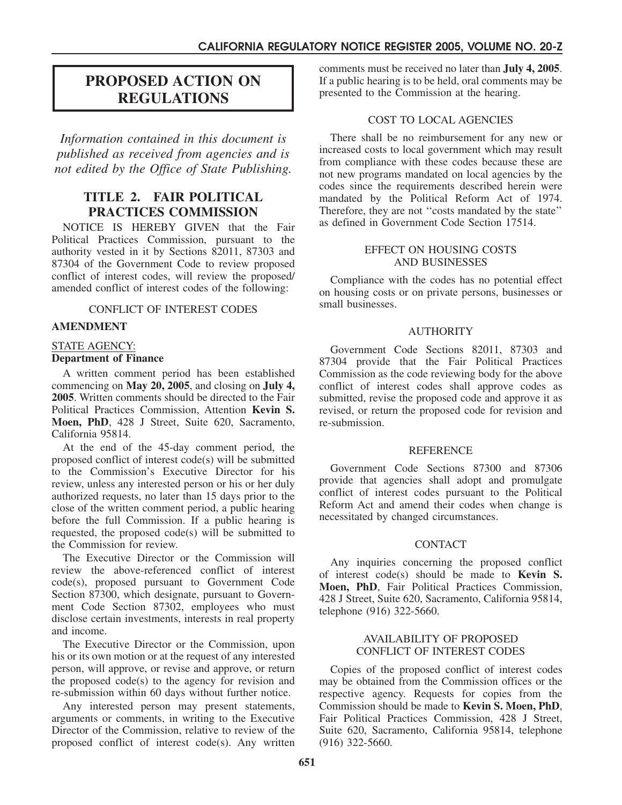# **PROPOSED ACTION ON REGULATIONS**

*Information contained in this document is published as received from agencies and is not edited by the Office of State Publishing.*

# **TITLE 2. FAIR POLITICAL PRACTICES COMMISSION**

NOTICE IS HEREBY GIVEN that the Fair Political Practices Commission, pursuant to the authority vested in it by Sections 82011, 87303 and 87304 of the Government Code to review proposed conflict of interest codes, will review the proposed/ amended conflict of interest codes of the following:

#### CONFLICT OF INTEREST CODES

## **AMENDMENT**

#### STATE AGENCY: **Department of Finance**

A written comment period has been established commencing on **May 20, 2005**, and closing on **July 4, 2005**. Written comments should be directed to the Fair Political Practices Commission, Attention **Kevin S. Moen, PhD**, 428 J Street, Suite 620, Sacramento, California 95814.

At the end of the 45-day comment period, the proposed conflict of interest code(s) will be submitted to the Commission's Executive Director for his review, unless any interested person or his or her duly authorized requests, no later than 15 days prior to the close of the written comment period, a public hearing before the full Commission. If a public hearing is requested, the proposed code(s) will be submitted to the Commission for review.

The Executive Director or the Commission will review the above-referenced conflict of interest code(s), proposed pursuant to Government Code Section 87300, which designate, pursuant to Government Code Section 87302, employees who must disclose certain investments, interests in real property and income.

The Executive Director or the Commission, upon his or its own motion or at the request of any interested person, will approve, or revise and approve, or return the proposed code(s) to the agency for revision and re-submission within 60 days without further notice.

Any interested person may present statements, arguments or comments, in writing to the Executive Director of the Commission, relative to review of the proposed conflict of interest code(s). Any written

comments must be received no later than **July 4, 2005**. If a public hearing is to be held, oral comments may be presented to the Commission at the hearing.

## COST TO LOCAL AGENCIES

There shall be no reimbursement for any new or increased costs to local government which may result from compliance with these codes because these are not new programs mandated on local agencies by the codes since the requirements described herein were mandated by the Political Reform Act of 1974. Therefore, they are not ''costs mandated by the state'' as defined in Government Code Section 17514.

#### EFFECT ON HOUSING COSTS AND BUSINESSES

Compliance with the codes has no potential effect on housing costs or on private persons, businesses or small businesses.

#### AUTHORITY

Government Code Sections 82011, 87303 and 87304 provide that the Fair Political Practices Commission as the code reviewing body for the above conflict of interest codes shall approve codes as submitted, revise the proposed code and approve it as revised, or return the proposed code for revision and re-submission.

#### REFERENCE

Government Code Sections 87300 and 87306 provide that agencies shall adopt and promulgate conflict of interest codes pursuant to the Political Reform Act and amend their codes when change is necessitated by changed circumstances.

#### **CONTACT**

Any inquiries concerning the proposed conflict of interest code(s) should be made to **Kevin S. Moen, PhD**, Fair Political Practices Commission, 428 J Street, Suite 620, Sacramento, California 95814, telephone (916) 322-5660.

#### AVAILABILITY OF PROPOSED CONFLICT OF INTEREST CODES

Copies of the proposed conflict of interest codes may be obtained from the Commission offices or the respective agency. Requests for copies from the Commission should be made to **Kevin S. Moen, PhD**, Fair Political Practices Commission, 428 J Street, Suite 620, Sacramento, California 95814, telephone (916) 322-5660.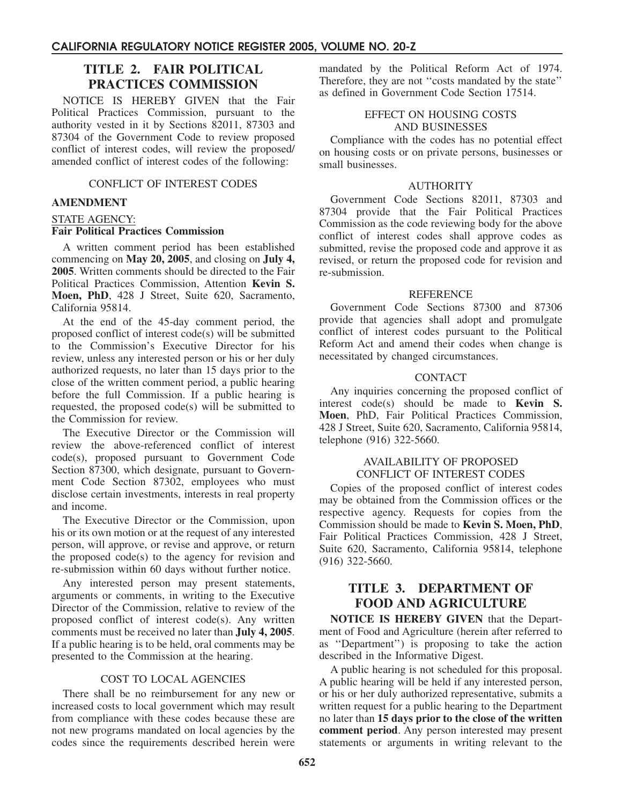# **TITLE 2. FAIR POLITICAL PRACTICES COMMISSION**

NOTICE IS HEREBY GIVEN that the Fair Political Practices Commission, pursuant to the authority vested in it by Sections 82011, 87303 and 87304 of the Government Code to review proposed conflict of interest codes, will review the proposed/ amended conflict of interest codes of the following:

#### CONFLICT OF INTEREST CODES

## **AMENDMENT**

#### STATE AGENCY:

# **Fair Political Practices Commission**

A written comment period has been established commencing on **May 20, 2005**, and closing on **July 4, 2005**. Written comments should be directed to the Fair Political Practices Commission, Attention **Kevin S. Moen, PhD**, 428 J Street, Suite 620, Sacramento, California 95814.

At the end of the 45-day comment period, the proposed conflict of interest code(s) will be submitted to the Commission's Executive Director for his review, unless any interested person or his or her duly authorized requests, no later than 15 days prior to the close of the written comment period, a public hearing before the full Commission. If a public hearing is requested, the proposed code(s) will be submitted to the Commission for review.

The Executive Director or the Commission will review the above-referenced conflict of interest code(s), proposed pursuant to Government Code Section 87300, which designate, pursuant to Government Code Section 87302, employees who must disclose certain investments, interests in real property and income.

The Executive Director or the Commission, upon his or its own motion or at the request of any interested person, will approve, or revise and approve, or return the proposed  $code(s)$  to the agency for revision and re-submission within 60 days without further notice.

Any interested person may present statements, arguments or comments, in writing to the Executive Director of the Commission, relative to review of the proposed conflict of interest code(s). Any written comments must be received no later than **July 4, 2005**. If a public hearing is to be held, oral comments may be presented to the Commission at the hearing.

## COST TO LOCAL AGENCIES

There shall be no reimbursement for any new or increased costs to local government which may result from compliance with these codes because these are not new programs mandated on local agencies by the codes since the requirements described herein were

mandated by the Political Reform Act of 1974. Therefore, they are not "costs mandated by the state" as defined in Government Code Section 17514.

#### EFFECT ON HOUSING COSTS AND BUSINESSES

Compliance with the codes has no potential effect on housing costs or on private persons, businesses or small businesses.

#### **AUTHORITY**

Government Code Sections 82011, 87303 and 87304 provide that the Fair Political Practices Commission as the code reviewing body for the above conflict of interest codes shall approve codes as submitted, revise the proposed code and approve it as revised, or return the proposed code for revision and re-submission.

#### REFERENCE

Government Code Sections 87300 and 87306 provide that agencies shall adopt and promulgate conflict of interest codes pursuant to the Political Reform Act and amend their codes when change is necessitated by changed circumstances.

## CONTACT

Any inquiries concerning the proposed conflict of interest code(s) should be made to **Kevin S. Moen**, PhD, Fair Political Practices Commission, 428 J Street, Suite 620, Sacramento, California 95814, telephone (916) 322-5660.

#### AVAILABILITY OF PROPOSED CONFLICT OF INTEREST CODES

Copies of the proposed conflict of interest codes may be obtained from the Commission offices or the respective agency. Requests for copies from the Commission should be made to **Kevin S. Moen, PhD**, Fair Political Practices Commission, 428 J Street, Suite 620, Sacramento, California 95814, telephone (916) 322-5660.

# **TITLE 3. DEPARTMENT OF FOOD AND AGRICULTURE**

**NOTICE IS HEREBY GIVEN** that the Department of Food and Agriculture (herein after referred to as ''Department'') is proposing to take the action described in the Informative Digest.

A public hearing is not scheduled for this proposal. A public hearing will be held if any interested person, or his or her duly authorized representative, submits a written request for a public hearing to the Department no later than **15 days prior to the close of the written comment period**. Any person interested may present statements or arguments in writing relevant to the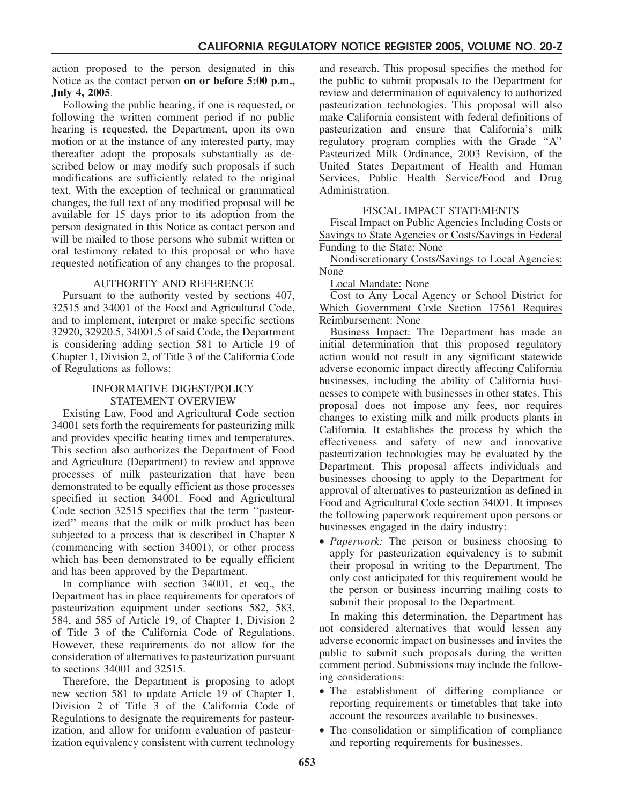action proposed to the person designated in this Notice as the contact person **on or before 5:00 p.m., July 4, 2005**.

Following the public hearing, if one is requested, or following the written comment period if no public hearing is requested, the Department, upon its own motion or at the instance of any interested party, may thereafter adopt the proposals substantially as described below or may modify such proposals if such modifications are sufficiently related to the original text. With the exception of technical or grammatical changes, the full text of any modified proposal will be available for 15 days prior to its adoption from the person designated in this Notice as contact person and will be mailed to those persons who submit written or oral testimony related to this proposal or who have requested notification of any changes to the proposal.

## AUTHORITY AND REFERENCE

Pursuant to the authority vested by sections 407, 32515 and 34001 of the Food and Agricultural Code, and to implement, interpret or make specific sections 32920, 32920.5, 34001.5 of said Code, the Department is considering adding section 581 to Article 19 of Chapter 1, Division 2, of Title 3 of the California Code of Regulations as follows:

#### INFORMATIVE DIGEST/POLICY STATEMENT OVERVIEW

Existing Law, Food and Agricultural Code section 34001 sets forth the requirements for pasteurizing milk and provides specific heating times and temperatures. This section also authorizes the Department of Food and Agriculture (Department) to review and approve processes of milk pasteurization that have been demonstrated to be equally efficient as those processes specified in section 34001. Food and Agricultural Code section 32515 specifies that the term ''pasteurized'' means that the milk or milk product has been subjected to a process that is described in Chapter 8 (commencing with section 34001), or other process which has been demonstrated to be equally efficient and has been approved by the Department.

In compliance with section 34001, et seq., the Department has in place requirements for operators of pasteurization equipment under sections 582, 583, 584, and 585 of Article 19, of Chapter 1, Division 2 of Title 3 of the California Code of Regulations. However, these requirements do not allow for the consideration of alternatives to pasteurization pursuant to sections 34001 and 32515.

Therefore, the Department is proposing to adopt new section 581 to update Article 19 of Chapter 1, Division 2 of Title 3 of the California Code of Regulations to designate the requirements for pasteurization, and allow for uniform evaluation of pasteurization equivalency consistent with current technology and research. This proposal specifies the method for the public to submit proposals to the Department for review and determination of equivalency to authorized pasteurization technologies. This proposal will also make California consistent with federal definitions of pasteurization and ensure that California's milk regulatory program complies with the Grade ''A'' Pasteurized Milk Ordinance, 2003 Revision, of the United States Department of Health and Human Services, Public Health Service/Food and Drug Administration.

## FISCAL IMPACT STATEMENTS

Fiscal Impact on Public Agencies Including Costs or Savings to State Agencies or Costs/Savings in Federal Funding to the State: None

Nondiscretionary Costs/Savings to Local Agencies: None

Local Mandate: None

Cost to Any Local Agency or School District for Which Government Code Section 17561 Requires Reimbursement: None

Business Impact: The Department has made an initial determination that this proposed regulatory action would not result in any significant statewide adverse economic impact directly affecting California businesses, including the ability of California businesses to compete with businesses in other states. This proposal does not impose any fees, nor requires changes to existing milk and milk products plants in California. It establishes the process by which the effectiveness and safety of new and innovative pasteurization technologies may be evaluated by the Department. This proposal affects individuals and businesses choosing to apply to the Department for approval of alternatives to pasteurization as defined in Food and Agricultural Code section 34001. It imposes the following paperwork requirement upon persons or businesses engaged in the dairy industry:

• *Paperwork:* The person or business choosing to apply for pasteurization equivalency is to submit their proposal in writing to the Department. The only cost anticipated for this requirement would be the person or business incurring mailing costs to submit their proposal to the Department.

In making this determination, the Department has not considered alternatives that would lessen any adverse economic impact on businesses and invites the public to submit such proposals during the written comment period. Submissions may include the following considerations:

- The establishment of differing compliance or reporting requirements or timetables that take into account the resources available to businesses.
- The consolidation or simplification of compliance and reporting requirements for businesses.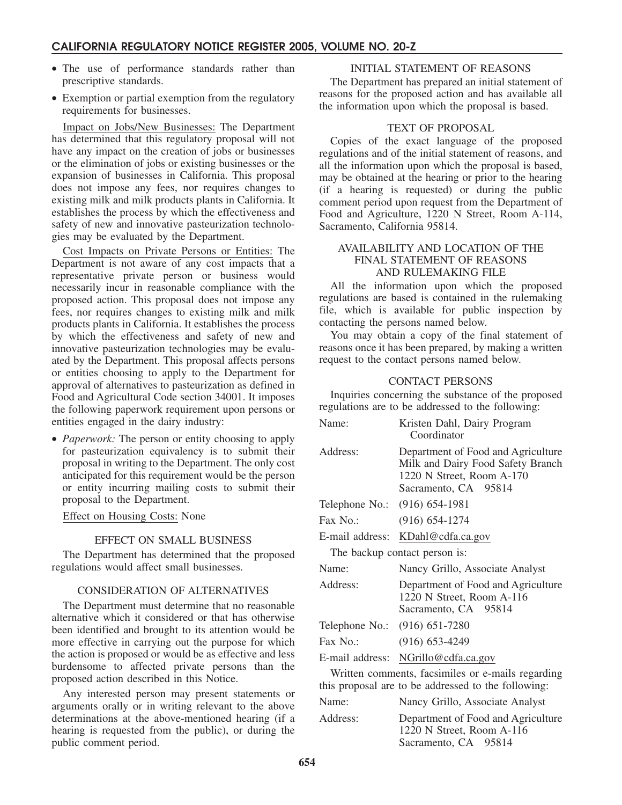- The use of performance standards rather than prescriptive standards.
- Exemption or partial exemption from the regulatory requirements for businesses.

Impact on Jobs/New Businesses: The Department has determined that this regulatory proposal will not have any impact on the creation of jobs or businesses or the elimination of jobs or existing businesses or the expansion of businesses in California. This proposal does not impose any fees, nor requires changes to existing milk and milk products plants in California. It establishes the process by which the effectiveness and safety of new and innovative pasteurization technologies may be evaluated by the Department.

Cost Impacts on Private Persons or Entities: The Department is not aware of any cost impacts that a representative private person or business would necessarily incur in reasonable compliance with the proposed action. This proposal does not impose any fees, nor requires changes to existing milk and milk products plants in California. It establishes the process by which the effectiveness and safety of new and innovative pasteurization technologies may be evaluated by the Department. This proposal affects persons or entities choosing to apply to the Department for approval of alternatives to pasteurization as defined in Food and Agricultural Code section 34001. It imposes the following paperwork requirement upon persons or entities engaged in the dairy industry:

• *Paperwork:* The person or entity choosing to apply for pasteurization equivalency is to submit their proposal in writing to the Department. The only cost anticipated for this requirement would be the person or entity incurring mailing costs to submit their proposal to the Department.

#### Effect on Housing Costs: None

#### EFFECT ON SMALL BUSINESS

The Department has determined that the proposed regulations would affect small businesses.

#### CONSIDERATION OF ALTERNATIVES

The Department must determine that no reasonable alternative which it considered or that has otherwise been identified and brought to its attention would be more effective in carrying out the purpose for which the action is proposed or would be as effective and less burdensome to affected private persons than the proposed action described in this Notice.

Any interested person may present statements or arguments orally or in writing relevant to the above determinations at the above-mentioned hearing (if a hearing is requested from the public), or during the public comment period.

#### INITIAL STATEMENT OF REASONS

The Department has prepared an initial statement of reasons for the proposed action and has available all the information upon which the proposal is based.

#### TEXT OF PROPOSAL

Copies of the exact language of the proposed regulations and of the initial statement of reasons, and all the information upon which the proposal is based, may be obtained at the hearing or prior to the hearing (if a hearing is requested) or during the public comment period upon request from the Department of Food and Agriculture, 1220 N Street, Room A-114, Sacramento, California 95814.

## AVAILABILITY AND LOCATION OF THE FINAL STATEMENT OF REASONS AND RULEMAKING FILE

All the information upon which the proposed regulations are based is contained in the rulemaking file, which is available for public inspection by contacting the persons named below.

You may obtain a copy of the final statement of reasons once it has been prepared, by making a written request to the contact persons named below.

#### CONTACT PERSONS

Inquiries concerning the substance of the proposed regulations are to be addressed to the following:

| Name:                         | Kristen Dahl, Dairy Program<br>Coordinator                                                                                   |
|-------------------------------|------------------------------------------------------------------------------------------------------------------------------|
| Address:                      | Department of Food and Agriculture<br>Milk and Dairy Food Safety Branch<br>1220 N Street, Room A-170<br>Sacramento, CA 95814 |
| Telephone No.: (916) 654-1981 |                                                                                                                              |
| $\text{Fax No.}:$             | $(916) 654 - 1274$                                                                                                           |
| E-mail address:               | KDahl@cdfa.ca.gov                                                                                                            |
|                               | The backup contact person is:                                                                                                |
| Name:                         | Nancy Grillo, Associate Analyst                                                                                              |
| Address:                      | Department of Food and Agriculture<br>1220 N Street, Room A-116<br>Sacramento, CA 95814                                      |
| Telephone No.: (916) 651-7280 |                                                                                                                              |
| $\text{Fax No.}:$             | $(916) 653 - 4249$                                                                                                           |
| E-mail address:               | NGrillo@cdfa.ca.gov                                                                                                          |
|                               | Written comments, facsimiles or e-mails regarding<br>this proposal are to be addressed to the following:                     |
| Name:                         | Nancy Grillo, Associate Analyst                                                                                              |
| Address:                      | Department of Food and Agriculture                                                                                           |

1220 N Street, Room A-116 Sacramento, CA 95814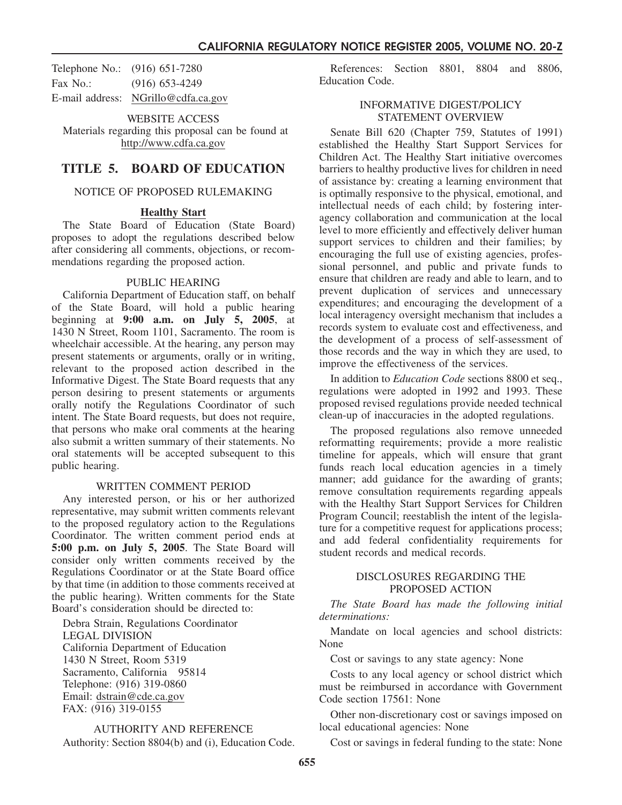Telephone No.: (916) 651-7280 Fax No.: (916) 653-4249 E-mail address: NGrillo@cdfa.ca.gov

WEBSITE ACCESS Materials regarding this proposal can be found at http://www.cdfa.ca.gov

# **TITLE 5. BOARD OF EDUCATION**

#### NOTICE OF PROPOSED RULEMAKING

#### **Healthy Start**

The State Board of Education (State Board) proposes to adopt the regulations described below after considering all comments, objections, or recommendations regarding the proposed action.

#### PUBLIC HEARING

California Department of Education staff, on behalf of the State Board, will hold a public hearing beginning at **9:00 a.m. on July 5, 2005**, at 1430 N Street, Room 1101, Sacramento. The room is wheelchair accessible. At the hearing, any person may present statements or arguments, orally or in writing, relevant to the proposed action described in the Informative Digest. The State Board requests that any person desiring to present statements or arguments orally notify the Regulations Coordinator of such intent. The State Board requests, but does not require, that persons who make oral comments at the hearing also submit a written summary of their statements. No oral statements will be accepted subsequent to this public hearing.

#### WRITTEN COMMENT PERIOD

Any interested person, or his or her authorized representative, may submit written comments relevant to the proposed regulatory action to the Regulations Coordinator. The written comment period ends at **5:00 p.m. on July 5, 2005**. The State Board will consider only written comments received by the Regulations Coordinator or at the State Board office by that time (in addition to those comments received at the public hearing). Written comments for the State Board's consideration should be directed to:

Debra Strain, Regulations Coordinator LEGAL DIVISION California Department of Education 1430 N Street, Room 5319 Sacramento, California 95814 Telephone: (916) 319-0860 Email: dstrain@cde.ca.gov FAX: (916) 319-0155

AUTHORITY AND REFERENCE Authority: Section 8804(b) and (i), Education Code.

References: Section 8801, 8804 and 8806, Education Code.

#### INFORMATIVE DIGEST/POLICY STATEMENT OVERVIEW

Senate Bill 620 (Chapter 759, Statutes of 1991) established the Healthy Start Support Services for Children Act. The Healthy Start initiative overcomes barriers to healthy productive lives for children in need of assistance by: creating a learning environment that is optimally responsive to the physical, emotional, and intellectual needs of each child; by fostering interagency collaboration and communication at the local level to more efficiently and effectively deliver human support services to children and their families; by encouraging the full use of existing agencies, professional personnel, and public and private funds to ensure that children are ready and able to learn, and to prevent duplication of services and unnecessary expenditures; and encouraging the development of a local interagency oversight mechanism that includes a records system to evaluate cost and effectiveness, and the development of a process of self-assessment of those records and the way in which they are used, to improve the effectiveness of the services.

In addition to *Education Code* sections 8800 et seq., regulations were adopted in 1992 and 1993. These proposed revised regulations provide needed technical clean-up of inaccuracies in the adopted regulations.

The proposed regulations also remove unneeded reformatting requirements; provide a more realistic timeline for appeals, which will ensure that grant funds reach local education agencies in a timely manner; add guidance for the awarding of grants; remove consultation requirements regarding appeals with the Healthy Start Support Services for Children Program Council; reestablish the intent of the legislature for a competitive request for applications process; and add federal confidentiality requirements for student records and medical records.

#### DISCLOSURES REGARDING THE PROPOSED ACTION

*The State Board has made the following initial determinations:*

Mandate on local agencies and school districts: None

Cost or savings to any state agency: None

Costs to any local agency or school district which must be reimbursed in accordance with Government Code section 17561: None

Other non-discretionary cost or savings imposed on local educational agencies: None

Cost or savings in federal funding to the state: None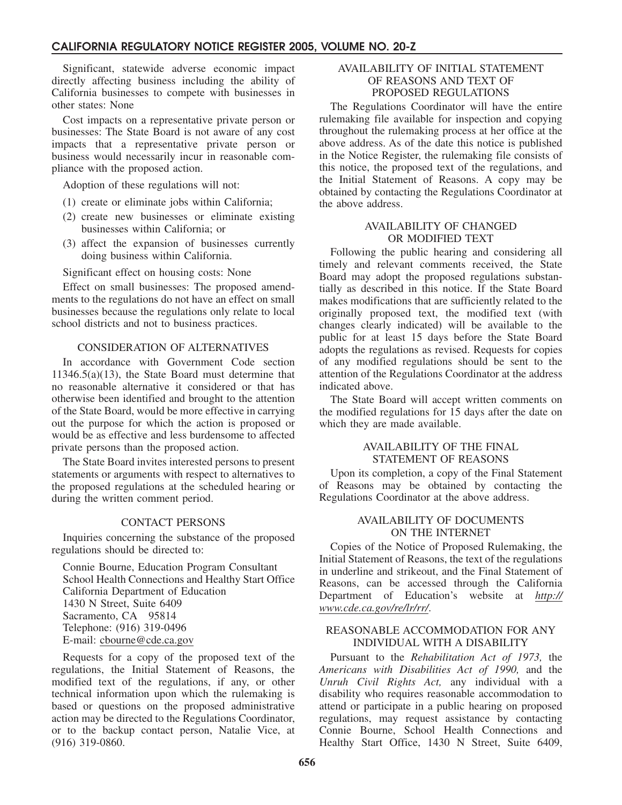Significant, statewide adverse economic impact directly affecting business including the ability of California businesses to compete with businesses in other states: None

Cost impacts on a representative private person or businesses: The State Board is not aware of any cost impacts that a representative private person or business would necessarily incur in reasonable compliance with the proposed action.

Adoption of these regulations will not:

- (1) create or eliminate jobs within California;
- (2) create new businesses or eliminate existing businesses within California; or
- (3) affect the expansion of businesses currently doing business within California.

#### Significant effect on housing costs: None

Effect on small businesses: The proposed amendments to the regulations do not have an effect on small businesses because the regulations only relate to local school districts and not to business practices.

#### CONSIDERATION OF ALTERNATIVES

In accordance with Government Code section 11346.5(a)(13), the State Board must determine that no reasonable alternative it considered or that has otherwise been identified and brought to the attention of the State Board, would be more effective in carrying out the purpose for which the action is proposed or would be as effective and less burdensome to affected private persons than the proposed action.

The State Board invites interested persons to present statements or arguments with respect to alternatives to the proposed regulations at the scheduled hearing or during the written comment period.

## CONTACT PERSONS

Inquiries concerning the substance of the proposed regulations should be directed to:

Connie Bourne, Education Program Consultant School Health Connections and Healthy Start Office California Department of Education 1430 N Street, Suite 6409 Sacramento, CA 95814 Telephone: (916) 319-0496 E-mail: cbourne@cde.ca.gov

Requests for a copy of the proposed text of the regulations, the Initial Statement of Reasons, the modified text of the regulations, if any, or other technical information upon which the rulemaking is based or questions on the proposed administrative action may be directed to the Regulations Coordinator, or to the backup contact person, Natalie Vice, at (916) 319-0860.

## AVAILABILITY OF INITIAL STATEMENT OF REASONS AND TEXT OF PROPOSED REGULATIONS

The Regulations Coordinator will have the entire rulemaking file available for inspection and copying throughout the rulemaking process at her office at the above address. As of the date this notice is published in the Notice Register, the rulemaking file consists of this notice, the proposed text of the regulations, and the Initial Statement of Reasons. A copy may be obtained by contacting the Regulations Coordinator at the above address.

#### AVAILABILITY OF CHANGED OR MODIFIED TEXT

Following the public hearing and considering all timely and relevant comments received, the State Board may adopt the proposed regulations substantially as described in this notice. If the State Board makes modifications that are sufficiently related to the originally proposed text, the modified text (with changes clearly indicated) will be available to the public for at least 15 days before the State Board adopts the regulations as revised. Requests for copies of any modified regulations should be sent to the attention of the Regulations Coordinator at the address indicated above.

The State Board will accept written comments on the modified regulations for 15 days after the date on which they are made available.

#### AVAILABILITY OF THE FINAL STATEMENT OF REASONS

Upon its completion, a copy of the Final Statement of Reasons may be obtained by contacting the Regulations Coordinator at the above address.

#### AVAILABILITY OF DOCUMENTS ON THE INTERNET

Copies of the Notice of Proposed Rulemaking, the Initial Statement of Reasons, the text of the regulations in underline and strikeout, and the Final Statement of Reasons, can be accessed through the California Department of Education's website at *http:// www.cde.ca.gov/re/lr/rr/*.

#### REASONABLE ACCOMMODATION FOR ANY INDIVIDUAL WITH A DISABILITY

Pursuant to the *Rehabilitation Act of 1973,* the *Americans with Disabilities Act of 1990,* and the *Unruh Civil Rights Act,* any individual with a disability who requires reasonable accommodation to attend or participate in a public hearing on proposed regulations, may request assistance by contacting Connie Bourne, School Health Connections and Healthy Start Office, 1430 N Street, Suite 6409,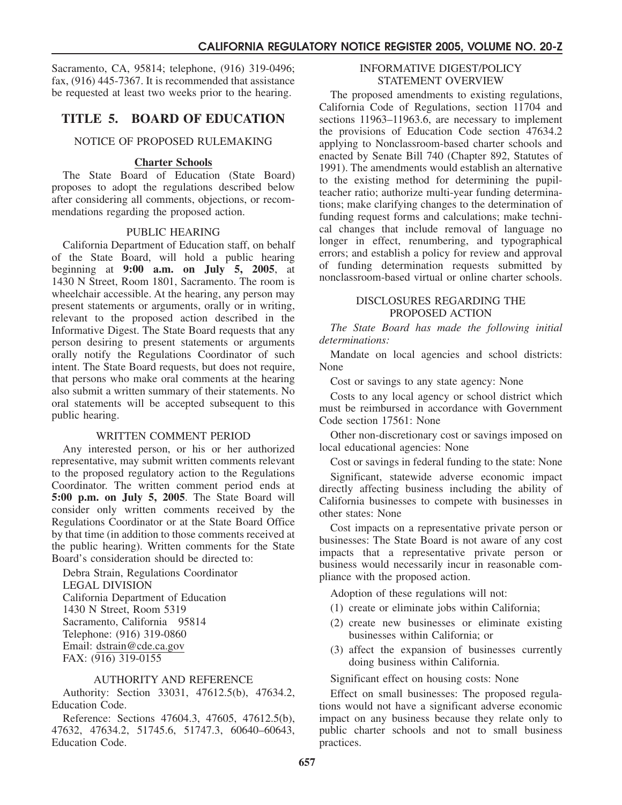Sacramento, CA, 95814; telephone, (916) 319-0496; fax, (916) 445-7367. It is recommended that assistance be requested at least two weeks prior to the hearing.

# **TITLE 5. BOARD OF EDUCATION**

#### NOTICE OF PROPOSED RULEMAKING

#### **Charter Schools**

The State Board of Education (State Board) proposes to adopt the regulations described below after considering all comments, objections, or recommendations regarding the proposed action.

#### PUBLIC HEARING

California Department of Education staff, on behalf of the State Board, will hold a public hearing beginning at **9:00 a.m. on July 5, 2005**, at 1430 N Street, Room 1801, Sacramento. The room is wheelchair accessible. At the hearing, any person may present statements or arguments, orally or in writing, relevant to the proposed action described in the Informative Digest. The State Board requests that any person desiring to present statements or arguments orally notify the Regulations Coordinator of such intent. The State Board requests, but does not require, that persons who make oral comments at the hearing also submit a written summary of their statements. No oral statements will be accepted subsequent to this public hearing.

#### WRITTEN COMMENT PERIOD

Any interested person, or his or her authorized representative, may submit written comments relevant to the proposed regulatory action to the Regulations Coordinator. The written comment period ends at **5:00 p.m. on July 5, 2005**. The State Board will consider only written comments received by the Regulations Coordinator or at the State Board Office by that time (in addition to those comments received at the public hearing). Written comments for the State Board's consideration should be directed to:

Debra Strain, Regulations Coordinator LEGAL DIVISION California Department of Education 1430 N Street, Room 5319 Sacramento, California 95814 Telephone: (916) 319-0860 Email: dstrain@cde.ca.gov FAX: (916) 319-0155

## AUTHORITY AND REFERENCE

Authority: Section 33031, 47612.5(b), 47634.2, Education Code.

Reference: Sections 47604.3, 47605, 47612.5(b), 47632, 47634.2, 51745.6, 51747.3, 60640–60643, Education Code.

#### INFORMATIVE DIGEST/POLICY STATEMENT OVERVIEW

The proposed amendments to existing regulations, California Code of Regulations, section 11704 and sections 11963–11963.6, are necessary to implement the provisions of Education Code section 47634.2 applying to Nonclassroom-based charter schools and enacted by Senate Bill 740 (Chapter 892, Statutes of 1991). The amendments would establish an alternative to the existing method for determining the pupilteacher ratio; authorize multi-year funding determinations; make clarifying changes to the determination of funding request forms and calculations; make technical changes that include removal of language no longer in effect, renumbering, and typographical errors; and establish a policy for review and approval of funding determination requests submitted by nonclassroom-based virtual or online charter schools.

#### DISCLOSURES REGARDING THE PROPOSED ACTION

*The State Board has made the following initial determinations:*

Mandate on local agencies and school districts: None

Cost or savings to any state agency: None

Costs to any local agency or school district which must be reimbursed in accordance with Government Code section 17561: None

Other non-discretionary cost or savings imposed on local educational agencies: None

Cost or savings in federal funding to the state: None

Significant, statewide adverse economic impact directly affecting business including the ability of California businesses to compete with businesses in other states: None

Cost impacts on a representative private person or businesses: The State Board is not aware of any cost impacts that a representative private person or business would necessarily incur in reasonable compliance with the proposed action.

Adoption of these regulations will not:

- (1) create or eliminate jobs within California;
- (2) create new businesses or eliminate existing businesses within California; or
- (3) affect the expansion of businesses currently doing business within California.

Significant effect on housing costs: None

Effect on small businesses: The proposed regulations would not have a significant adverse economic impact on any business because they relate only to public charter schools and not to small business practices.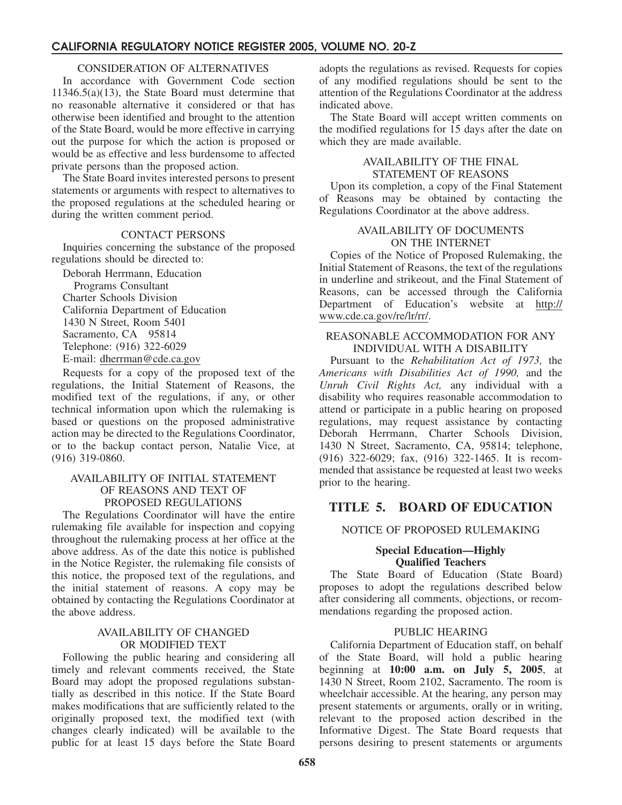#### CONSIDERATION OF ALTERNATIVES

In accordance with Government Code section 11346.5(a)(13), the State Board must determine that no reasonable alternative it considered or that has otherwise been identified and brought to the attention of the State Board, would be more effective in carrying out the purpose for which the action is proposed or would be as effective and less burdensome to affected private persons than the proposed action.

The State Board invites interested persons to present statements or arguments with respect to alternatives to the proposed regulations at the scheduled hearing or during the written comment period.

#### CONTACT PERSONS

Inquiries concerning the substance of the proposed regulations should be directed to:

Deborah Herrmann, Education Programs Consultant Charter Schools Division California Department of Education 1430 N Street, Room 5401 Sacramento, CA 95814 Telephone: (916) 322-6029 E-mail: dherrman@cde.ca.gov

Requests for a copy of the proposed text of the regulations, the Initial Statement of Reasons, the modified text of the regulations, if any, or other technical information upon which the rulemaking is based or questions on the proposed administrative action may be directed to the Regulations Coordinator, or to the backup contact person, Natalie Vice, at (916) 319-0860.

#### AVAILABILITY OF INITIAL STATEMENT OF REASONS AND TEXT OF PROPOSED REGULATIONS

The Regulations Coordinator will have the entire rulemaking file available for inspection and copying throughout the rulemaking process at her office at the above address. As of the date this notice is published in the Notice Register, the rulemaking file consists of this notice, the proposed text of the regulations, and the initial statement of reasons. A copy may be obtained by contacting the Regulations Coordinator at the above address.

#### AVAILABILITY OF CHANGED OR MODIFIED TEXT

Following the public hearing and considering all timely and relevant comments received, the State Board may adopt the proposed regulations substantially as described in this notice. If the State Board makes modifications that are sufficiently related to the originally proposed text, the modified text (with changes clearly indicated) will be available to the public for at least 15 days before the State Board adopts the regulations as revised. Requests for copies of any modified regulations should be sent to the attention of the Regulations Coordinator at the address indicated above.

The State Board will accept written comments on the modified regulations for 15 days after the date on which they are made available.

#### AVAILABILITY OF THE FINAL STATEMENT OF REASONS

Upon its completion, a copy of the Final Statement of Reasons may be obtained by contacting the Regulations Coordinator at the above address.

#### AVAILABILITY OF DOCUMENTS ON THE INTERNET

Copies of the Notice of Proposed Rulemaking, the Initial Statement of Reasons, the text of the regulations in underline and strikeout, and the Final Statement of Reasons, can be accessed through the California Department of Education's website at http:// www.cde.ca.gov/re/lr/rr/.

#### REASONABLE ACCOMMODATION FOR ANY INDIVIDUAL WITH A DISABILITY

Pursuant to the *Rehabilitation Act of 1973,* the *Americans with Disabilities Act of 1990,* and the *Unruh Civil Rights Act,* any individual with a disability who requires reasonable accommodation to attend or participate in a public hearing on proposed regulations, may request assistance by contacting Deborah Herrmann, Charter Schools Division, 1430 N Street, Sacramento, CA, 95814; telephone, (916) 322-6029; fax, (916) 322-1465. It is recommended that assistance be requested at least two weeks prior to the hearing.

# **TITLE 5. BOARD OF EDUCATION**

#### NOTICE OF PROPOSED RULEMAKING

#### **Special Education—Highly Qualified Teachers**

The State Board of Education (State Board) proposes to adopt the regulations described below after considering all comments, objections, or recommendations regarding the proposed action.

## PUBLIC HEARING

California Department of Education staff, on behalf of the State Board, will hold a public hearing beginning at **10:00 a.m. on July 5, 2005**, at 1430 N Street, Room 2102, Sacramento. The room is wheelchair accessible. At the hearing, any person may present statements or arguments, orally or in writing, relevant to the proposed action described in the Informative Digest. The State Board requests that persons desiring to present statements or arguments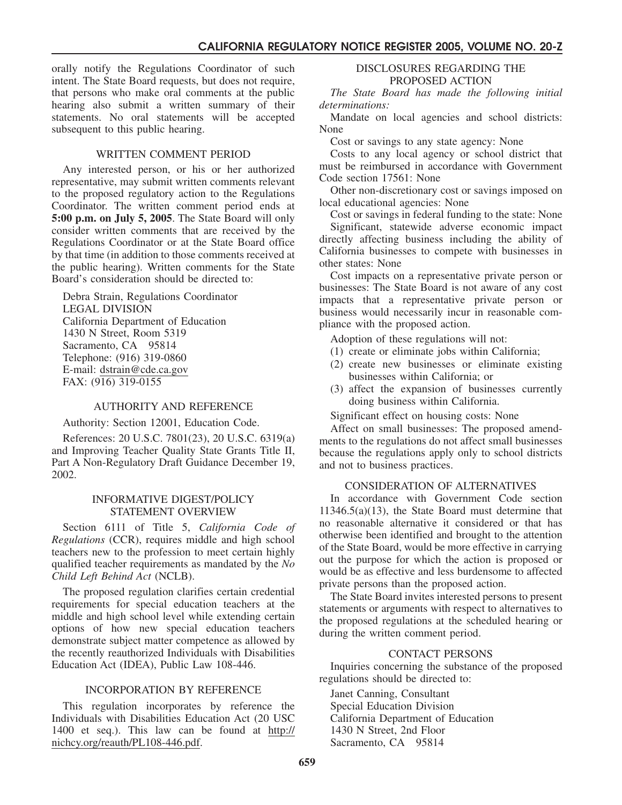orally notify the Regulations Coordinator of such intent. The State Board requests, but does not require, that persons who make oral comments at the public hearing also submit a written summary of their statements. No oral statements will be accepted subsequent to this public hearing.

#### WRITTEN COMMENT PERIOD

Any interested person, or his or her authorized representative, may submit written comments relevant to the proposed regulatory action to the Regulations Coordinator. The written comment period ends at **5:00 p.m. on July 5, 2005**. The State Board will only consider written comments that are received by the Regulations Coordinator or at the State Board office by that time (in addition to those comments received at the public hearing). Written comments for the State Board's consideration should be directed to:

Debra Strain, Regulations Coordinator LEGAL DIVISION California Department of Education 1430 N Street, Room 5319 Sacramento, CA 95814 Telephone: (916) 319-0860 E-mail: dstrain@cde.ca.gov FAX: (916) 319-0155

#### AUTHORITY AND REFERENCE

Authority: Section 12001, Education Code.

References: 20 U.S.C. 7801(23), 20 U.S.C. 6319(a) and Improving Teacher Quality State Grants Title II, Part A Non-Regulatory Draft Guidance December 19, 2002.

#### INFORMATIVE DIGEST/POLICY STATEMENT OVERVIEW

Section 6111 of Title 5, *California Code of Regulations* (CCR), requires middle and high school teachers new to the profession to meet certain highly qualified teacher requirements as mandated by the *No Child Left Behind Act* (NCLB).

The proposed regulation clarifies certain credential requirements for special education teachers at the middle and high school level while extending certain options of how new special education teachers demonstrate subject matter competence as allowed by the recently reauthorized Individuals with Disabilities Education Act (IDEA), Public Law 108-446.

#### INCORPORATION BY REFERENCE

This regulation incorporates by reference the Individuals with Disabilities Education Act (20 USC 1400 et seq.). This law can be found at http:// nichcy.org/reauth/PL108-446.pdf.

#### DISCLOSURES REGARDING THE PROPOSED ACTION

*The State Board has made the following initial determinations:*

Mandate on local agencies and school districts: None

Cost or savings to any state agency: None

Costs to any local agency or school district that must be reimbursed in accordance with Government Code section 17561: None

Other non-discretionary cost or savings imposed on local educational agencies: None

Cost or savings in federal funding to the state: None Significant, statewide adverse economic impact directly affecting business including the ability of California businesses to compete with businesses in other states: None

Cost impacts on a representative private person or businesses: The State Board is not aware of any cost impacts that a representative private person or business would necessarily incur in reasonable compliance with the proposed action.

Adoption of these regulations will not:

- (1) create or eliminate jobs within California;
- (2) create new businesses or eliminate existing businesses within California; or
- (3) affect the expansion of businesses currently doing business within California.

Significant effect on housing costs: None

Affect on small businesses: The proposed amendments to the regulations do not affect small businesses because the regulations apply only to school districts and not to business practices.

#### CONSIDERATION OF ALTERNATIVES

In accordance with Government Code section 11346.5(a)(13), the State Board must determine that no reasonable alternative it considered or that has otherwise been identified and brought to the attention of the State Board, would be more effective in carrying out the purpose for which the action is proposed or would be as effective and less burdensome to affected private persons than the proposed action.

The State Board invites interested persons to present statements or arguments with respect to alternatives to the proposed regulations at the scheduled hearing or during the written comment period.

#### CONTACT PERSONS

Inquiries concerning the substance of the proposed regulations should be directed to:

Janet Canning, Consultant Special Education Division California Department of Education 1430 N Street, 2nd Floor Sacramento, CA 95814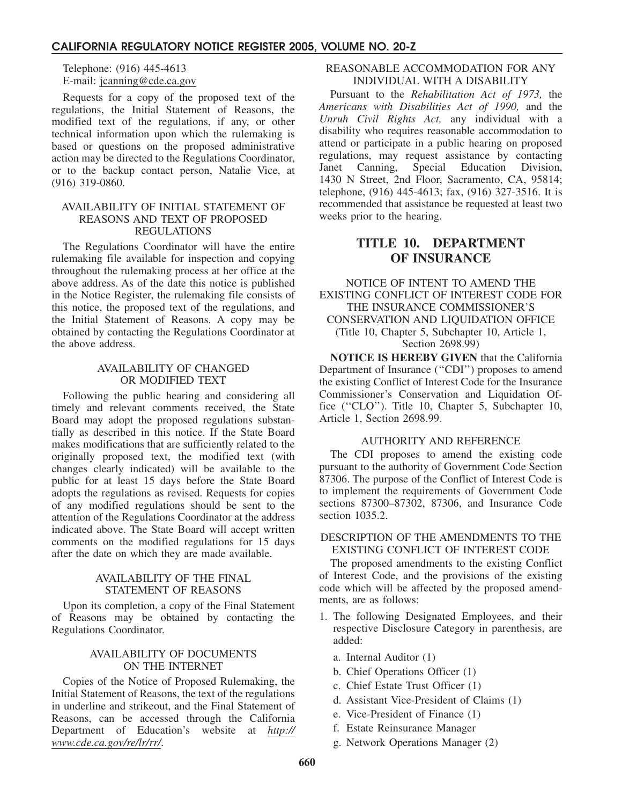Telephone: (916) 445-4613 E-mail: jcanning@cde.ca.gov

Requests for a copy of the proposed text of the regulations, the Initial Statement of Reasons, the modified text of the regulations, if any, or other technical information upon which the rulemaking is based or questions on the proposed administrative action may be directed to the Regulations Coordinator, or to the backup contact person, Natalie Vice, at (916) 319-0860.

#### AVAILABILITY OF INITIAL STATEMENT OF REASONS AND TEXT OF PROPOSED REGULATIONS

The Regulations Coordinator will have the entire rulemaking file available for inspection and copying throughout the rulemaking process at her office at the above address. As of the date this notice is published in the Notice Register, the rulemaking file consists of this notice, the proposed text of the regulations, and the Initial Statement of Reasons. A copy may be obtained by contacting the Regulations Coordinator at the above address.

#### AVAILABILITY OF CHANGED OR MODIFIED TEXT

Following the public hearing and considering all timely and relevant comments received, the State Board may adopt the proposed regulations substantially as described in this notice. If the State Board makes modifications that are sufficiently related to the originally proposed text, the modified text (with changes clearly indicated) will be available to the public for at least 15 days before the State Board adopts the regulations as revised. Requests for copies of any modified regulations should be sent to the attention of the Regulations Coordinator at the address indicated above. The State Board will accept written comments on the modified regulations for 15 days after the date on which they are made available.

#### AVAILABILITY OF THE FINAL STATEMENT OF REASONS

Upon its completion, a copy of the Final Statement of Reasons may be obtained by contacting the Regulations Coordinator.

## AVAILABILITY OF DOCUMENTS ON THE INTERNET

Copies of the Notice of Proposed Rulemaking, the Initial Statement of Reasons, the text of the regulations in underline and strikeout, and the Final Statement of Reasons, can be accessed through the California Department of Education's website at *http:// www.cde.ca.gov/re/lr/rr/*.

#### REASONABLE ACCOMMODATION FOR ANY INDIVIDUAL WITH A DISABILITY

Pursuant to the *Rehabilitation Act of 1973,* the *Americans with Disabilities Act of 1990,* and the *Unruh Civil Rights Act,* any individual with a disability who requires reasonable accommodation to attend or participate in a public hearing on proposed regulations, may request assistance by contacting<br>Janet Canning, Special Education Division, Janet Canning, Special Education Division, 1430 N Street, 2nd Floor, Sacramento, CA, 95814; telephone, (916) 445-4613; fax, (916) 327-3516. It is recommended that assistance be requested at least two weeks prior to the hearing.

# **TITLE 10. DEPARTMENT OF INSURANCE**

NOTICE OF INTENT TO AMEND THE EXISTING CONFLICT OF INTEREST CODE FOR THE INSURANCE COMMISSIONER'S CONSERVATION AND LIQUIDATION OFFICE (Title 10, Chapter 5, Subchapter 10, Article 1, Section 2698.99)

**NOTICE IS HEREBY GIVEN** that the California Department of Insurance ("CDI") proposes to amend the existing Conflict of Interest Code for the Insurance Commissioner's Conservation and Liquidation Office (''CLO''). Title 10, Chapter 5, Subchapter 10, Article 1, Section 2698.99.

#### AUTHORITY AND REFERENCE

The CDI proposes to amend the existing code pursuant to the authority of Government Code Section 87306. The purpose of the Conflict of Interest Code is to implement the requirements of Government Code sections 87300–87302, 87306, and Insurance Code section 1035.2.

#### DESCRIPTION OF THE AMENDMENTS TO THE EXISTING CONFLICT OF INTEREST CODE

The proposed amendments to the existing Conflict of Interest Code, and the provisions of the existing code which will be affected by the proposed amendments, are as follows:

- 1. The following Designated Employees, and their respective Disclosure Category in parenthesis, are added:
	- a. Internal Auditor (1)
	- b. Chief Operations Officer (1)
	- c. Chief Estate Trust Officer (1)
	- d. Assistant Vice-President of Claims (1)
	- e. Vice-President of Finance (1)
	- f. Estate Reinsurance Manager
	- g. Network Operations Manager (2)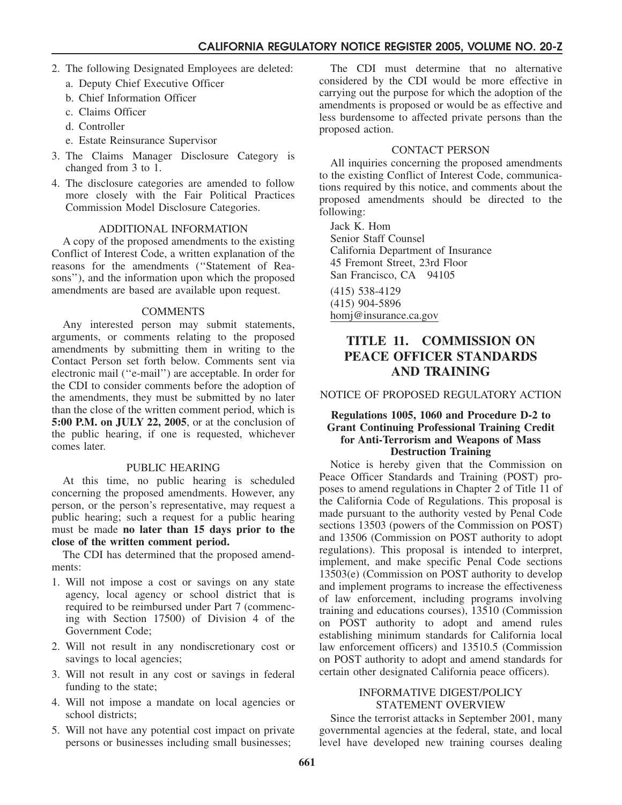- 2. The following Designated Employees are deleted:
	- a. Deputy Chief Executive Officer
	- b. Chief Information Officer
	- c. Claims Officer
	- d. Controller
	- e. Estate Reinsurance Supervisor
- 3. The Claims Manager Disclosure Category is changed from 3 to 1.
- 4. The disclosure categories are amended to follow more closely with the Fair Political Practices Commission Model Disclosure Categories.

#### ADDITIONAL INFORMATION

A copy of the proposed amendments to the existing Conflict of Interest Code, a written explanation of the reasons for the amendments (''Statement of Reasons''), and the information upon which the proposed amendments are based are available upon request.

#### COMMENTS

Any interested person may submit statements, arguments, or comments relating to the proposed amendments by submitting them in writing to the Contact Person set forth below. Comments sent via electronic mail (''e-mail'') are acceptable. In order for the CDI to consider comments before the adoption of the amendments, they must be submitted by no later than the close of the written comment period, which is **5:00 P.M. on JULY 22, 2005**, or at the conclusion of the public hearing, if one is requested, whichever comes later.

#### PUBLIC HEARING

At this time, no public hearing is scheduled concerning the proposed amendments. However, any person, or the person's representative, may request a public hearing; such a request for a public hearing must be made **no later than 15 days prior to the close of the written comment period.**

The CDI has determined that the proposed amendments:

- 1. Will not impose a cost or savings on any state agency, local agency or school district that is required to be reimbursed under Part 7 (commencing with Section 17500) of Division 4 of the Government Code;
- 2. Will not result in any nondiscretionary cost or savings to local agencies;
- 3. Will not result in any cost or savings in federal funding to the state;
- 4. Will not impose a mandate on local agencies or school districts;
- 5. Will not have any potential cost impact on private persons or businesses including small businesses;

The CDI must determine that no alternative considered by the CDI would be more effective in carrying out the purpose for which the adoption of the amendments is proposed or would be as effective and less burdensome to affected private persons than the proposed action.

#### CONTACT PERSON

All inquiries concerning the proposed amendments to the existing Conflict of Interest Code, communications required by this notice, and comments about the proposed amendments should be directed to the following:

Jack K. Hom Senior Staff Counsel California Department of Insurance 45 Fremont Street, 23rd Floor San Francisco, CA 94105

(415) 538-4129 (415) 904-5896 homj@insurance.ca.gov

# **TITLE 11. COMMISSION ON PEACE OFFICER STANDARDS AND TRAINING**

NOTICE OF PROPOSED REGULATORY ACTION

#### **Regulations 1005, 1060 and Procedure D-2 to Grant Continuing Professional Training Credit for Anti-Terrorism and Weapons of Mass Destruction Training**

Notice is hereby given that the Commission on Peace Officer Standards and Training (POST) proposes to amend regulations in Chapter 2 of Title 11 of the California Code of Regulations. This proposal is made pursuant to the authority vested by Penal Code sections 13503 (powers of the Commission on POST) and 13506 (Commission on POST authority to adopt regulations). This proposal is intended to interpret, implement, and make specific Penal Code sections 13503(e) (Commission on POST authority to develop and implement programs to increase the effectiveness of law enforcement, including programs involving training and educations courses), 13510 (Commission on POST authority to adopt and amend rules establishing minimum standards for California local law enforcement officers) and 13510.5 (Commission on POST authority to adopt and amend standards for certain other designated California peace officers).

#### INFORMATIVE DIGEST/POLICY STATEMENT OVERVIEW

Since the terrorist attacks in September 2001, many governmental agencies at the federal, state, and local level have developed new training courses dealing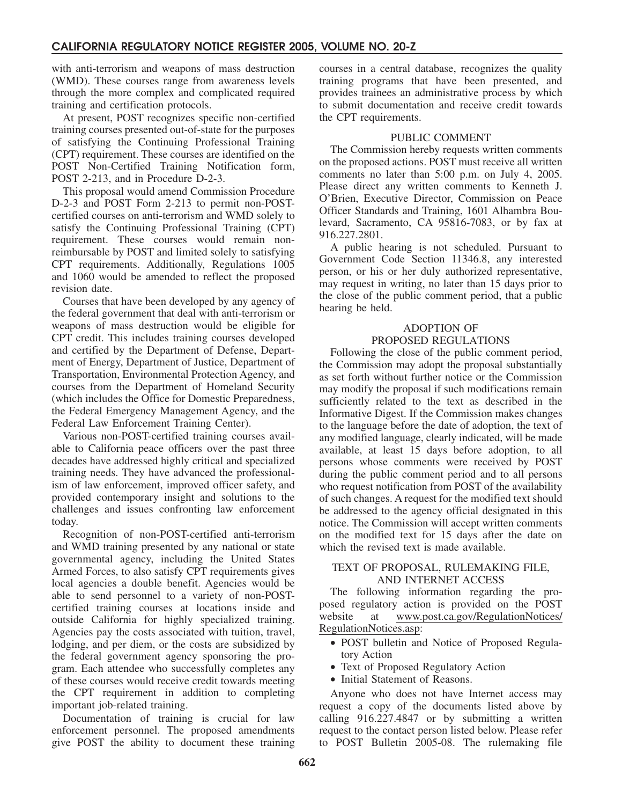with anti-terrorism and weapons of mass destruction (WMD). These courses range from awareness levels through the more complex and complicated required training and certification protocols.

At present, POST recognizes specific non-certified training courses presented out-of-state for the purposes of satisfying the Continuing Professional Training (CPT) requirement. These courses are identified on the POST Non-Certified Training Notification form, POST 2-213, and in Procedure D-2-3.

This proposal would amend Commission Procedure D-2-3 and POST Form 2-213 to permit non-POSTcertified courses on anti-terrorism and WMD solely to satisfy the Continuing Professional Training (CPT) requirement. These courses would remain nonreimbursable by POST and limited solely to satisfying CPT requirements. Additionally, Regulations 1005 and 1060 would be amended to reflect the proposed revision date.

Courses that have been developed by any agency of the federal government that deal with anti-terrorism or weapons of mass destruction would be eligible for CPT credit. This includes training courses developed and certified by the Department of Defense, Department of Energy, Department of Justice, Department of Transportation, Environmental Protection Agency, and courses from the Department of Homeland Security (which includes the Office for Domestic Preparedness, the Federal Emergency Management Agency, and the Federal Law Enforcement Training Center).

Various non-POST-certified training courses available to California peace officers over the past three decades have addressed highly critical and specialized training needs. They have advanced the professionalism of law enforcement, improved officer safety, and provided contemporary insight and solutions to the challenges and issues confronting law enforcement today.

Recognition of non-POST-certified anti-terrorism and WMD training presented by any national or state governmental agency, including the United States Armed Forces, to also satisfy CPT requirements gives local agencies a double benefit. Agencies would be able to send personnel to a variety of non-POSTcertified training courses at locations inside and outside California for highly specialized training. Agencies pay the costs associated with tuition, travel, lodging, and per diem, or the costs are subsidized by the federal government agency sponsoring the program. Each attendee who successfully completes any of these courses would receive credit towards meeting the CPT requirement in addition to completing important job-related training.

Documentation of training is crucial for law enforcement personnel. The proposed amendments give POST the ability to document these training courses in a central database, recognizes the quality training programs that have been presented, and provides trainees an administrative process by which to submit documentation and receive credit towards the CPT requirements.

#### PUBLIC COMMENT

The Commission hereby requests written comments on the proposed actions. POST must receive all written comments no later than 5:00 p.m. on July 4, 2005. Please direct any written comments to Kenneth J. O'Brien, Executive Director, Commission on Peace Officer Standards and Training, 1601 Alhambra Boulevard, Sacramento, CA 95816-7083, or by fax at 916.227.2801.

A public hearing is not scheduled. Pursuant to Government Code Section 11346.8, any interested person, or his or her duly authorized representative, may request in writing, no later than 15 days prior to the close of the public comment period, that a public hearing be held.

#### ADOPTION OF PROPOSED REGULATIONS

Following the close of the public comment period, the Commission may adopt the proposal substantially as set forth without further notice or the Commission may modify the proposal if such modifications remain sufficiently related to the text as described in the Informative Digest. If the Commission makes changes to the language before the date of adoption, the text of any modified language, clearly indicated, will be made available, at least 15 days before adoption, to all persons whose comments were received by POST during the public comment period and to all persons who request notification from POST of the availability of such changes. A request for the modified text should be addressed to the agency official designated in this notice. The Commission will accept written comments on the modified text for 15 days after the date on which the revised text is made available.

#### TEXT OF PROPOSAL, RULEMAKING FILE, AND INTERNET ACCESS

The following information regarding the proposed regulatory action is provided on the POST website at www.post.ca.gov/RegulationNotices/ RegulationNotices.asp:

- POST bulletin and Notice of Proposed Regulatory Action
- Text of Proposed Regulatory Action
- Initial Statement of Reasons.

Anyone who does not have Internet access may request a copy of the documents listed above by calling 916.227.4847 or by submitting a written request to the contact person listed below. Please refer to POST Bulletin 2005-08. The rulemaking file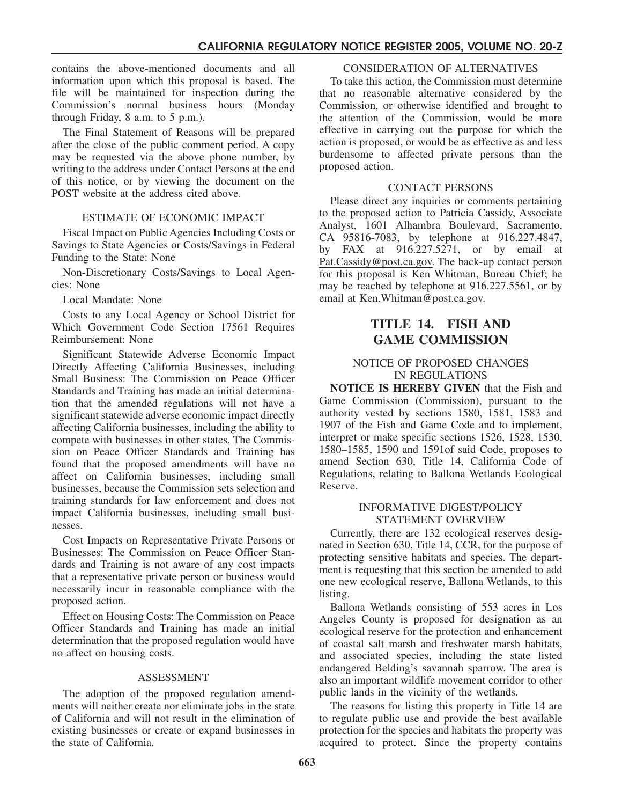contains the above-mentioned documents and all information upon which this proposal is based. The file will be maintained for inspection during the Commission's normal business hours (Monday through Friday,  $8$  a.m. to  $5$  p.m.).

The Final Statement of Reasons will be prepared after the close of the public comment period. A copy may be requested via the above phone number, by writing to the address under Contact Persons at the end of this notice, or by viewing the document on the POST website at the address cited above.

#### ESTIMATE OF ECONOMIC IMPACT

Fiscal Impact on Public Agencies Including Costs or Savings to State Agencies or Costs/Savings in Federal Funding to the State: None

Non-Discretionary Costs/Savings to Local Agencies: None

Local Mandate: None

Costs to any Local Agency or School District for Which Government Code Section 17561 Requires Reimbursement: None

Significant Statewide Adverse Economic Impact Directly Affecting California Businesses, including Small Business: The Commission on Peace Officer Standards and Training has made an initial determination that the amended regulations will not have a significant statewide adverse economic impact directly affecting California businesses, including the ability to compete with businesses in other states. The Commission on Peace Officer Standards and Training has found that the proposed amendments will have no affect on California businesses, including small businesses, because the Commission sets selection and training standards for law enforcement and does not impact California businesses, including small businesses.

Cost Impacts on Representative Private Persons or Businesses: The Commission on Peace Officer Standards and Training is not aware of any cost impacts that a representative private person or business would necessarily incur in reasonable compliance with the proposed action.

Effect on Housing Costs: The Commission on Peace Officer Standards and Training has made an initial determination that the proposed regulation would have no affect on housing costs.

#### ASSESSMENT

The adoption of the proposed regulation amendments will neither create nor eliminate jobs in the state of California and will not result in the elimination of existing businesses or create or expand businesses in the state of California.

#### CONSIDERATION OF ALTERNATIVES

To take this action, the Commission must determine that no reasonable alternative considered by the Commission, or otherwise identified and brought to the attention of the Commission, would be more effective in carrying out the purpose for which the action is proposed, or would be as effective as and less burdensome to affected private persons than the proposed action.

#### CONTACT PERSONS

Please direct any inquiries or comments pertaining to the proposed action to Patricia Cassidy, Associate Analyst, 1601 Alhambra Boulevard, Sacramento, CA 95816-7083, by telephone at 916.227.4847, by FAX at  $916.227.5271$ , or by email at Pat.Cassidy@post.ca.gov. The back-up contact person for this proposal is Ken Whitman, Bureau Chief; he may be reached by telephone at 916.227.5561, or by email at Ken.Whitman@post.ca.gov.

# **TITLE 14. FISH AND GAME COMMISSION**

#### NOTICE OF PROPOSED CHANGES IN REGULATIONS

**NOTICE IS HEREBY GIVEN** that the Fish and Game Commission (Commission), pursuant to the authority vested by sections 1580, 1581, 1583 and 1907 of the Fish and Game Code and to implement, interpret or make specific sections 1526, 1528, 1530, 1580–1585, 1590 and 1591of said Code, proposes to amend Section 630, Title 14, California Code of Regulations, relating to Ballona Wetlands Ecological Reserve.

#### INFORMATIVE DIGEST/POLICY STATEMENT OVERVIEW

Currently, there are 132 ecological reserves designated in Section 630, Title 14, CCR, for the purpose of protecting sensitive habitats and species. The department is requesting that this section be amended to add one new ecological reserve, Ballona Wetlands, to this listing.

Ballona Wetlands consisting of 553 acres in Los Angeles County is proposed for designation as an ecological reserve for the protection and enhancement of coastal salt marsh and freshwater marsh habitats, and associated species, including the state listed endangered Belding's savannah sparrow. The area is also an important wildlife movement corridor to other public lands in the vicinity of the wetlands.

The reasons for listing this property in Title 14 are to regulate public use and provide the best available protection for the species and habitats the property was acquired to protect. Since the property contains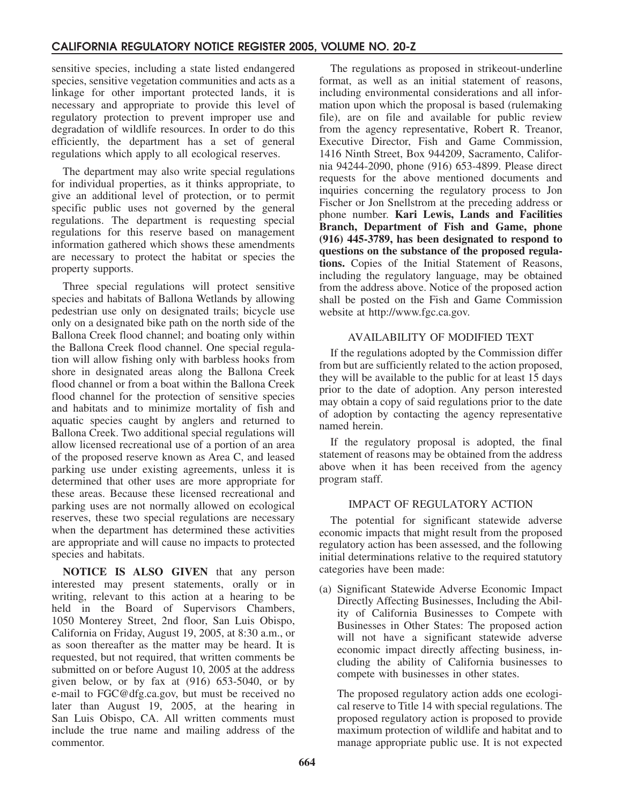sensitive species, including a state listed endangered species, sensitive vegetation communities and acts as a linkage for other important protected lands, it is necessary and appropriate to provide this level of regulatory protection to prevent improper use and degradation of wildlife resources. In order to do this efficiently, the department has a set of general regulations which apply to all ecological reserves.

The department may also write special regulations for individual properties, as it thinks appropriate, to give an additional level of protection, or to permit specific public uses not governed by the general regulations. The department is requesting special regulations for this reserve based on management information gathered which shows these amendments are necessary to protect the habitat or species the property supports.

Three special regulations will protect sensitive species and habitats of Ballona Wetlands by allowing pedestrian use only on designated trails; bicycle use only on a designated bike path on the north side of the Ballona Creek flood channel; and boating only within the Ballona Creek flood channel. One special regulation will allow fishing only with barbless hooks from shore in designated areas along the Ballona Creek flood channel or from a boat within the Ballona Creek flood channel for the protection of sensitive species and habitats and to minimize mortality of fish and aquatic species caught by anglers and returned to Ballona Creek. Two additional special regulations will allow licensed recreational use of a portion of an area of the proposed reserve known as Area C, and leased parking use under existing agreements, unless it is determined that other uses are more appropriate for these areas. Because these licensed recreational and parking uses are not normally allowed on ecological reserves, these two special regulations are necessary when the department has determined these activities are appropriate and will cause no impacts to protected species and habitats.

**NOTICE IS ALSO GIVEN** that any person interested may present statements, orally or in writing, relevant to this action at a hearing to be held in the Board of Supervisors Chambers, 1050 Monterey Street, 2nd floor, San Luis Obispo, California on Friday, August 19, 2005, at 8:30 a.m., or as soon thereafter as the matter may be heard. It is requested, but not required, that written comments be submitted on or before August 10, 2005 at the address given below, or by fax at (916) 653-5040, or by e-mail to FGC@dfg.ca.gov, but must be received no later than August 19, 2005, at the hearing in San Luis Obispo, CA. All written comments must include the true name and mailing address of the commentor.

The regulations as proposed in strikeout-underline format, as well as an initial statement of reasons, including environmental considerations and all information upon which the proposal is based (rulemaking file), are on file and available for public review from the agency representative, Robert R. Treanor, Executive Director, Fish and Game Commission, 1416 Ninth Street, Box 944209, Sacramento, California 94244-2090, phone (916) 653-4899. Please direct requests for the above mentioned documents and inquiries concerning the regulatory process to Jon Fischer or Jon Snellstrom at the preceding address or phone number. **Kari Lewis, Lands and Facilities Branch, Department of Fish and Game, phone (916) 445-3789, has been designated to respond to questions on the substance of the proposed regulations.** Copies of the Initial Statement of Reasons, including the regulatory language, may be obtained from the address above. Notice of the proposed action shall be posted on the Fish and Game Commission website at http://www.fgc.ca.gov.

## AVAILABILITY OF MODIFIED TEXT

If the regulations adopted by the Commission differ from but are sufficiently related to the action proposed, they will be available to the public for at least 15 days prior to the date of adoption. Any person interested may obtain a copy of said regulations prior to the date of adoption by contacting the agency representative named herein.

If the regulatory proposal is adopted, the final statement of reasons may be obtained from the address above when it has been received from the agency program staff.

## IMPACT OF REGULATORY ACTION

The potential for significant statewide adverse economic impacts that might result from the proposed regulatory action has been assessed, and the following initial determinations relative to the required statutory categories have been made:

(a) Significant Statewide Adverse Economic Impact Directly Affecting Businesses, Including the Ability of California Businesses to Compete with Businesses in Other States: The proposed action will not have a significant statewide adverse economic impact directly affecting business, including the ability of California businesses to compete with businesses in other states.

The proposed regulatory action adds one ecological reserve to Title 14 with special regulations. The proposed regulatory action is proposed to provide maximum protection of wildlife and habitat and to manage appropriate public use. It is not expected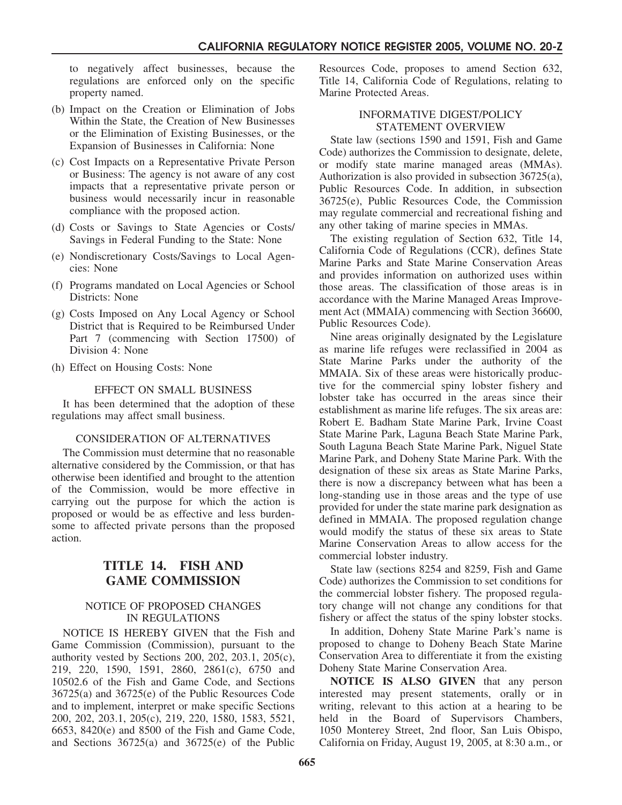to negatively affect businesses, because the regulations are enforced only on the specific property named.

- (b) Impact on the Creation or Elimination of Jobs Within the State, the Creation of New Businesses or the Elimination of Existing Businesses, or the Expansion of Businesses in California: None
- (c) Cost Impacts on a Representative Private Person or Business: The agency is not aware of any cost impacts that a representative private person or business would necessarily incur in reasonable compliance with the proposed action.
- (d) Costs or Savings to State Agencies or Costs/ Savings in Federal Funding to the State: None
- (e) Nondiscretionary Costs/Savings to Local Agencies: None
- (f) Programs mandated on Local Agencies or School Districts: None
- (g) Costs Imposed on Any Local Agency or School District that is Required to be Reimbursed Under Part 7 (commencing with Section 17500) of Division 4: None
- (h) Effect on Housing Costs: None

#### EFFECT ON SMALL BUSINESS

It has been determined that the adoption of these regulations may affect small business.

#### CONSIDERATION OF ALTERNATIVES

The Commission must determine that no reasonable alternative considered by the Commission, or that has otherwise been identified and brought to the attention of the Commission, would be more effective in carrying out the purpose for which the action is proposed or would be as effective and less burdensome to affected private persons than the proposed action.

# **TITLE 14. FISH AND GAME COMMISSION**

#### NOTICE OF PROPOSED CHANGES IN REGULATIONS

NOTICE IS HEREBY GIVEN that the Fish and Game Commission (Commission), pursuant to the authority vested by Sections 200, 202, 203.1, 205(c), 219, 220, 1590, 1591, 2860, 2861(c), 6750 and 10502.6 of the Fish and Game Code, and Sections 36725(a) and 36725(e) of the Public Resources Code and to implement, interpret or make specific Sections 200, 202, 203.1, 205(c), 219, 220, 1580, 1583, 5521, 6653, 8420(e) and 8500 of the Fish and Game Code, and Sections 36725(a) and 36725(e) of the Public Resources Code, proposes to amend Section 632, Title 14, California Code of Regulations, relating to Marine Protected Areas.

#### INFORMATIVE DIGEST/POLICY STATEMENT OVERVIEW

State law (sections 1590 and 1591, Fish and Game Code) authorizes the Commission to designate, delete, or modify state marine managed areas (MMAs). Authorization is also provided in subsection 36725(a), Public Resources Code. In addition, in subsection 36725(e), Public Resources Code, the Commission may regulate commercial and recreational fishing and any other taking of marine species in MMAs.

The existing regulation of Section 632, Title 14, California Code of Regulations (CCR), defines State Marine Parks and State Marine Conservation Areas and provides information on authorized uses within those areas. The classification of those areas is in accordance with the Marine Managed Areas Improvement Act (MMAIA) commencing with Section 36600, Public Resources Code).

Nine areas originally designated by the Legislature as marine life refuges were reclassified in 2004 as State Marine Parks under the authority of the MMAIA. Six of these areas were historically productive for the commercial spiny lobster fishery and lobster take has occurred in the areas since their establishment as marine life refuges. The six areas are: Robert E. Badham State Marine Park, Irvine Coast State Marine Park, Laguna Beach State Marine Park, South Laguna Beach State Marine Park, Niguel State Marine Park, and Doheny State Marine Park. With the designation of these six areas as State Marine Parks, there is now a discrepancy between what has been a long-standing use in those areas and the type of use provided for under the state marine park designation as defined in MMAIA. The proposed regulation change would modify the status of these six areas to State Marine Conservation Areas to allow access for the commercial lobster industry.

State law (sections 8254 and 8259, Fish and Game Code) authorizes the Commission to set conditions for the commercial lobster fishery. The proposed regulatory change will not change any conditions for that fishery or affect the status of the spiny lobster stocks.

In addition, Doheny State Marine Park's name is proposed to change to Doheny Beach State Marine Conservation Area to differentiate it from the existing Doheny State Marine Conservation Area.

**NOTICE IS ALSO GIVEN** that any person interested may present statements, orally or in writing, relevant to this action at a hearing to be held in the Board of Supervisors Chambers, 1050 Monterey Street, 2nd floor, San Luis Obispo, California on Friday, August 19, 2005, at 8:30 a.m., or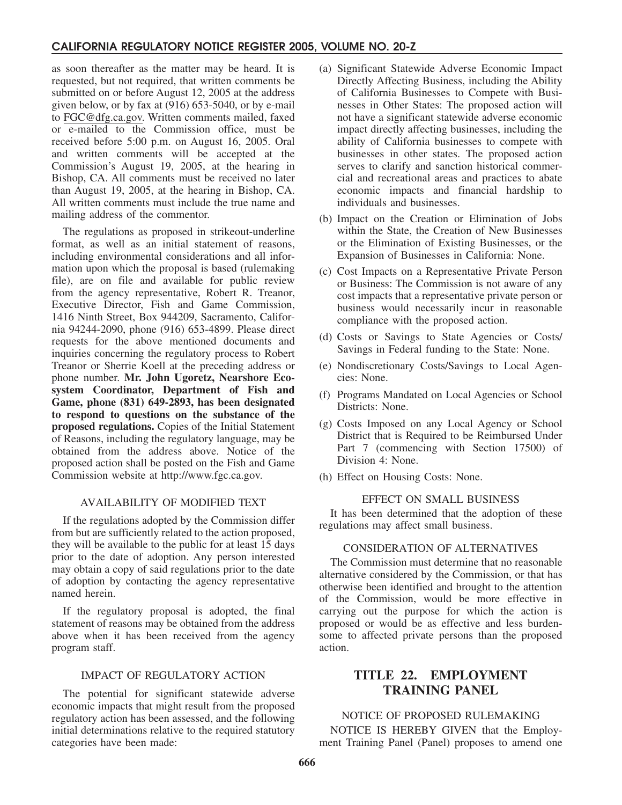as soon thereafter as the matter may be heard. It is requested, but not required, that written comments be submitted on or before August 12, 2005 at the address given below, or by fax at (916) 653-5040, or by e-mail to FGC@dfg.ca.gov. Written comments mailed, faxed or e-mailed to the Commission office, must be received before 5:00 p.m. on August 16, 2005. Oral and written comments will be accepted at the Commission's August 19, 2005, at the hearing in Bishop, CA. All comments must be received no later than August 19, 2005, at the hearing in Bishop, CA. All written comments must include the true name and mailing address of the commentor.

The regulations as proposed in strikeout-underline format, as well as an initial statement of reasons, including environmental considerations and all information upon which the proposal is based (rulemaking file), are on file and available for public review from the agency representative, Robert R. Treanor, Executive Director, Fish and Game Commission, 1416 Ninth Street, Box 944209, Sacramento, California 94244-2090, phone (916) 653-4899. Please direct requests for the above mentioned documents and inquiries concerning the regulatory process to Robert Treanor or Sherrie Koell at the preceding address or phone number. **Mr. John Ugoretz, Nearshore Ecosystem Coordinator, Department of Fish and Game, phone (831) 649-2893, has been designated to respond to questions on the substance of the proposed regulations.** Copies of the Initial Statement of Reasons, including the regulatory language, may be obtained from the address above. Notice of the proposed action shall be posted on the Fish and Game Commission website at http://www.fgc.ca.gov.

## AVAILABILITY OF MODIFIED TEXT

If the regulations adopted by the Commission differ from but are sufficiently related to the action proposed, they will be available to the public for at least 15 days prior to the date of adoption. Any person interested may obtain a copy of said regulations prior to the date of adoption by contacting the agency representative named herein.

If the regulatory proposal is adopted, the final statement of reasons may be obtained from the address above when it has been received from the agency program staff.

#### IMPACT OF REGULATORY ACTION

The potential for significant statewide adverse economic impacts that might result from the proposed regulatory action has been assessed, and the following initial determinations relative to the required statutory categories have been made:

- (a) Significant Statewide Adverse Economic Impact Directly Affecting Business, including the Ability of California Businesses to Compete with Businesses in Other States: The proposed action will not have a significant statewide adverse economic impact directly affecting businesses, including the ability of California businesses to compete with businesses in other states. The proposed action serves to clarify and sanction historical commercial and recreational areas and practices to abate economic impacts and financial hardship to individuals and businesses.
- (b) Impact on the Creation or Elimination of Jobs within the State, the Creation of New Businesses or the Elimination of Existing Businesses, or the Expansion of Businesses in California: None.
- (c) Cost Impacts on a Representative Private Person or Business: The Commission is not aware of any cost impacts that a representative private person or business would necessarily incur in reasonable compliance with the proposed action.
- (d) Costs or Savings to State Agencies or Costs/ Savings in Federal funding to the State: None.
- (e) Nondiscretionary Costs/Savings to Local Agencies: None.
- (f) Programs Mandated on Local Agencies or School Districts: None.
- (g) Costs Imposed on any Local Agency or School District that is Required to be Reimbursed Under Part 7 (commencing with Section 17500) of Division 4: None.
- (h) Effect on Housing Costs: None.

#### EFFECT ON SMALL BUSINESS

It has been determined that the adoption of these regulations may affect small business.

## CONSIDERATION OF ALTERNATIVES

The Commission must determine that no reasonable alternative considered by the Commission, or that has otherwise been identified and brought to the attention of the Commission, would be more effective in carrying out the purpose for which the action is proposed or would be as effective and less burdensome to affected private persons than the proposed action.

# **TITLE 22. EMPLOYMENT TRAINING PANEL**

## NOTICE OF PROPOSED RULEMAKING

NOTICE IS HEREBY GIVEN that the Employment Training Panel (Panel) proposes to amend one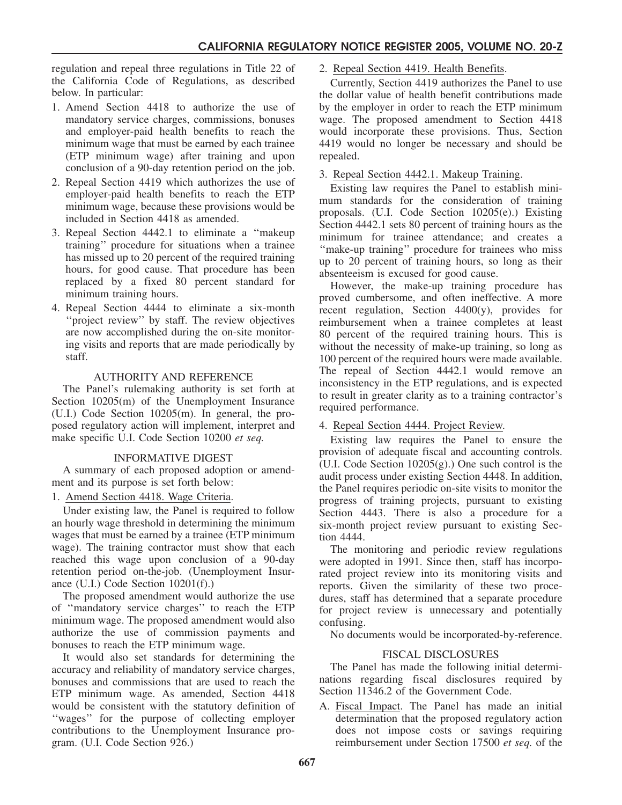regulation and repeal three regulations in Title 22 of the California Code of Regulations, as described below. In particular:

- 1. Amend Section 4418 to authorize the use of mandatory service charges, commissions, bonuses and employer-paid health benefits to reach the minimum wage that must be earned by each trainee (ETP minimum wage) after training and upon conclusion of a 90-day retention period on the job.
- 2. Repeal Section 4419 which authorizes the use of employer-paid health benefits to reach the ETP minimum wage, because these provisions would be included in Section 4418 as amended.
- 3. Repeal Section 4442.1 to eliminate a ''makeup training'' procedure for situations when a trainee has missed up to 20 percent of the required training hours, for good cause. That procedure has been replaced by a fixed 80 percent standard for minimum training hours.
- 4. Repeal Section 4444 to eliminate a six-month "project review" by staff. The review objectives are now accomplished during the on-site monitoring visits and reports that are made periodically by staff.

#### AUTHORITY AND REFERENCE

The Panel's rulemaking authority is set forth at Section 10205(m) of the Unemployment Insurance (U.I.) Code Section 10205(m). In general, the proposed regulatory action will implement, interpret and make specific U.I. Code Section 10200 *et seq.*

#### INFORMATIVE DIGEST

A summary of each proposed adoption or amendment and its purpose is set forth below:

1. Amend Section 4418. Wage Criteria.

Under existing law, the Panel is required to follow an hourly wage threshold in determining the minimum wages that must be earned by a trainee (ETP minimum wage). The training contractor must show that each reached this wage upon conclusion of a 90-day retention period on-the-job. (Unemployment Insurance (U.I.) Code Section 10201(f).)

The proposed amendment would authorize the use of ''mandatory service charges'' to reach the ETP minimum wage. The proposed amendment would also authorize the use of commission payments and bonuses to reach the ETP minimum wage.

It would also set standards for determining the accuracy and reliability of mandatory service charges, bonuses and commissions that are used to reach the ETP minimum wage. As amended, Section 4418 would be consistent with the statutory definition of "wages" for the purpose of collecting employer contributions to the Unemployment Insurance program. (U.I. Code Section 926.)

#### 2. Repeal Section 4419. Health Benefits.

Currently, Section 4419 authorizes the Panel to use the dollar value of health benefit contributions made by the employer in order to reach the ETP minimum wage. The proposed amendment to Section 4418 would incorporate these provisions. Thus, Section 4419 would no longer be necessary and should be repealed.

#### 3. Repeal Section 4442.1. Makeup Training.

Existing law requires the Panel to establish minimum standards for the consideration of training proposals. (U.I. Code Section 10205(e).) Existing Section 4442.1 sets 80 percent of training hours as the minimum for trainee attendance; and creates a "make-up training" procedure for trainees who miss up to 20 percent of training hours, so long as their absenteeism is excused for good cause.

However, the make-up training procedure has proved cumbersome, and often ineffective. A more recent regulation, Section  $4400(y)$ , provides for reimbursement when a trainee completes at least 80 percent of the required training hours. This is without the necessity of make-up training, so long as 100 percent of the required hours were made available. The repeal of Section 4442.1 would remove an inconsistency in the ETP regulations, and is expected to result in greater clarity as to a training contractor's required performance.

#### 4. Repeal Section 4444. Project Review.

Existing law requires the Panel to ensure the provision of adequate fiscal and accounting controls. (U.I. Code Section 10205(g).) One such control is the audit process under existing Section 4448. In addition, the Panel requires periodic on-site visits to monitor the progress of training projects, pursuant to existing Section 4443. There is also a procedure for a six-month project review pursuant to existing Section 4444.

The monitoring and periodic review regulations were adopted in 1991. Since then, staff has incorporated project review into its monitoring visits and reports. Given the similarity of these two procedures, staff has determined that a separate procedure for project review is unnecessary and potentially confusing.

No documents would be incorporated-by-reference.

## FISCAL DISCLOSURES

The Panel has made the following initial determinations regarding fiscal disclosures required by Section 11346.2 of the Government Code.

A. Fiscal Impact. The Panel has made an initial determination that the proposed regulatory action does not impose costs or savings requiring reimbursement under Section 17500 *et seq.* of the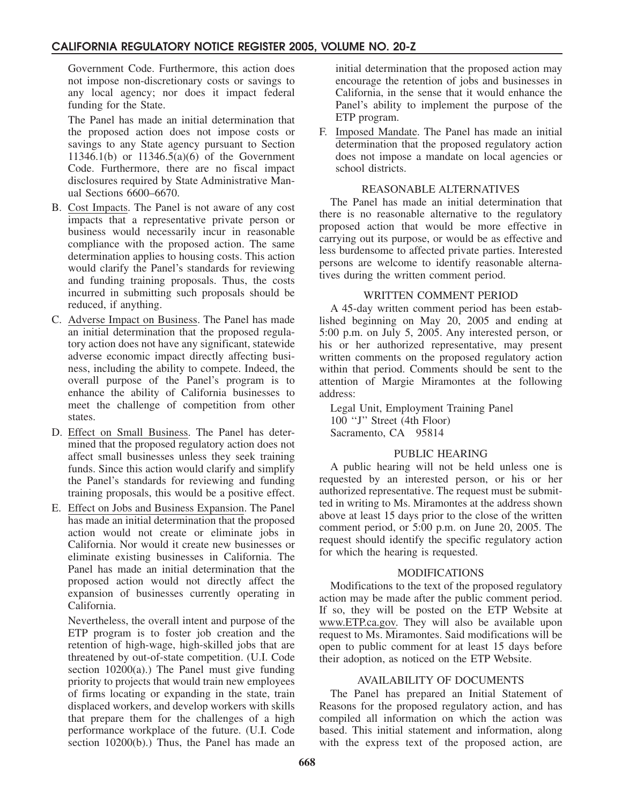Government Code. Furthermore, this action does not impose non-discretionary costs or savings to any local agency; nor does it impact federal funding for the State.

The Panel has made an initial determination that the proposed action does not impose costs or savings to any State agency pursuant to Section 11346.1(b) or 11346.5(a)(6) of the Government Code. Furthermore, there are no fiscal impact disclosures required by State Administrative Manual Sections 6600–6670.

- B. Cost Impacts. The Panel is not aware of any cost impacts that a representative private person or business would necessarily incur in reasonable compliance with the proposed action. The same determination applies to housing costs. This action would clarify the Panel's standards for reviewing and funding training proposals. Thus, the costs incurred in submitting such proposals should be reduced, if anything.
- C. Adverse Impact on Business. The Panel has made an initial determination that the proposed regulatory action does not have any significant, statewide adverse economic impact directly affecting business, including the ability to compete. Indeed, the overall purpose of the Panel's program is to enhance the ability of California businesses to meet the challenge of competition from other states.
- D. Effect on Small Business. The Panel has determined that the proposed regulatory action does not affect small businesses unless they seek training funds. Since this action would clarify and simplify the Panel's standards for reviewing and funding training proposals, this would be a positive effect.
- E. Effect on Jobs and Business Expansion. The Panel has made an initial determination that the proposed action would not create or eliminate jobs in California. Nor would it create new businesses or eliminate existing businesses in California. The Panel has made an initial determination that the proposed action would not directly affect the expansion of businesses currently operating in California.

Nevertheless, the overall intent and purpose of the ETP program is to foster job creation and the retention of high-wage, high-skilled jobs that are threatened by out-of-state competition. (U.I. Code section 10200(a).) The Panel must give funding priority to projects that would train new employees of firms locating or expanding in the state, train displaced workers, and develop workers with skills that prepare them for the challenges of a high performance workplace of the future. (U.I. Code section 10200(b).) Thus, the Panel has made an initial determination that the proposed action may encourage the retention of jobs and businesses in California, in the sense that it would enhance the Panel's ability to implement the purpose of the ETP program.

F. Imposed Mandate. The Panel has made an initial determination that the proposed regulatory action does not impose a mandate on local agencies or school districts.

#### REASONABLE ALTERNATIVES

The Panel has made an initial determination that there is no reasonable alternative to the regulatory proposed action that would be more effective in carrying out its purpose, or would be as effective and less burdensome to affected private parties. Interested persons are welcome to identify reasonable alternatives during the written comment period.

## WRITTEN COMMENT PERIOD

A 45-day written comment period has been established beginning on May 20, 2005 and ending at 5:00 p.m. on July 5, 2005. Any interested person, or his or her authorized representative, may present written comments on the proposed regulatory action within that period. Comments should be sent to the attention of Margie Miramontes at the following address:

Legal Unit, Employment Training Panel 100 ''J'' Street (4th Floor) Sacramento, CA 95814

## PUBLIC HEARING

A public hearing will not be held unless one is requested by an interested person, or his or her authorized representative. The request must be submitted in writing to Ms. Miramontes at the address shown above at least 15 days prior to the close of the written comment period, or 5:00 p.m. on June 20, 2005. The request should identify the specific regulatory action for which the hearing is requested.

#### MODIFICATIONS

Modifications to the text of the proposed regulatory action may be made after the public comment period. If so, they will be posted on the ETP Website at www.ETP.ca.gov. They will also be available upon request to Ms. Miramontes. Said modifications will be open to public comment for at least 15 days before their adoption, as noticed on the ETP Website.

## AVAILABILITY OF DOCUMENTS

The Panel has prepared an Initial Statement of Reasons for the proposed regulatory action, and has compiled all information on which the action was based. This initial statement and information, along with the express text of the proposed action, are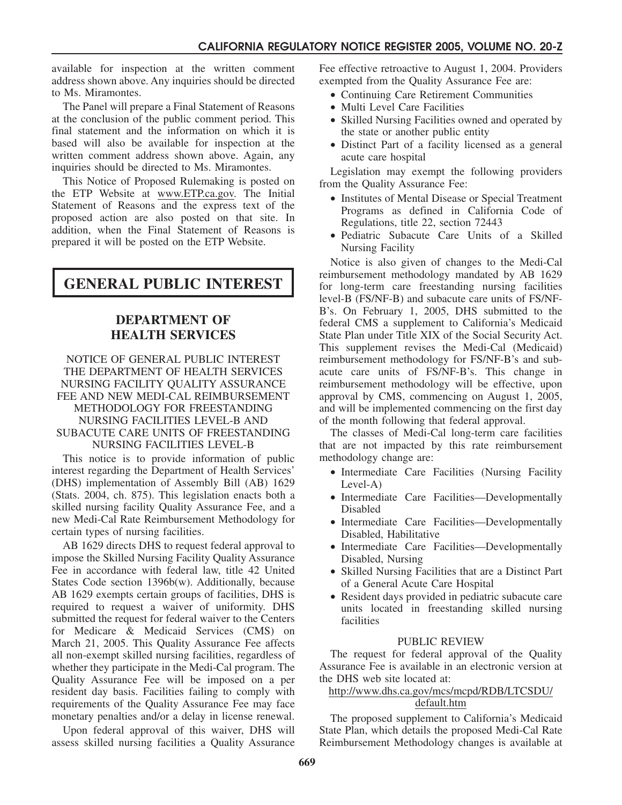available for inspection at the written comment address shown above. Any inquiries should be directed to Ms. Miramontes.

The Panel will prepare a Final Statement of Reasons at the conclusion of the public comment period. This final statement and the information on which it is based will also be available for inspection at the written comment address shown above. Again, any inquiries should be directed to Ms. Miramontes.

This Notice of Proposed Rulemaking is posted on the ETP Website at www.ETP.ca.gov. The Initial Statement of Reasons and the express text of the proposed action are also posted on that site. In addition, when the Final Statement of Reasons is prepared it will be posted on the ETP Website.

**GENERAL PUBLIC INTEREST**

# **DEPARTMENT OF HEALTH SERVICES**

NOTICE OF GENERAL PUBLIC INTEREST THE DEPARTMENT OF HEALTH SERVICES NURSING FACILITY QUALITY ASSURANCE FEE AND NEW MEDI-CAL REIMBURSEMENT METHODOLOGY FOR FREESTANDING NURSING FACILITIES LEVEL-B AND SUBACUTE CARE UNITS OF FREESTANDING NURSING FACILITIES LEVEL-B

This notice is to provide information of public interest regarding the Department of Health Services' (DHS) implementation of Assembly Bill (AB) 1629 (Stats. 2004, ch. 875). This legislation enacts both a skilled nursing facility Quality Assurance Fee, and a new Medi-Cal Rate Reimbursement Methodology for certain types of nursing facilities.

AB 1629 directs DHS to request federal approval to impose the Skilled Nursing Facility Quality Assurance Fee in accordance with federal law, title 42 United States Code section 1396b(w). Additionally, because AB 1629 exempts certain groups of facilities, DHS is required to request a waiver of uniformity. DHS submitted the request for federal waiver to the Centers for Medicare & Medicaid Services (CMS) on March 21, 2005. This Quality Assurance Fee affects all non-exempt skilled nursing facilities, regardless of whether they participate in the Medi-Cal program. The Quality Assurance Fee will be imposed on a per resident day basis. Facilities failing to comply with requirements of the Quality Assurance Fee may face monetary penalties and/or a delay in license renewal.

Upon federal approval of this waiver, DHS will assess skilled nursing facilities a Quality Assurance Fee effective retroactive to August 1, 2004. Providers exempted from the Quality Assurance Fee are:

- Continuing Care Retirement Communities
- Multi Level Care Facilities
- Skilled Nursing Facilities owned and operated by the state or another public entity
- Distinct Part of a facility licensed as a general acute care hospital

Legislation may exempt the following providers from the Quality Assurance Fee:

- Institutes of Mental Disease or Special Treatment Programs as defined in California Code of Regulations, title 22, section 72443
- Pediatric Subacute Care Units of a Skilled Nursing Facility

Notice is also given of changes to the Medi-Cal reimbursement methodology mandated by AB 1629 for long-term care freestanding nursing facilities level-B (FS/NF-B) and subacute care units of FS/NF-B's. On February 1, 2005, DHS submitted to the federal CMS a supplement to California's Medicaid State Plan under Title XIX of the Social Security Act. This supplement revises the Medi-Cal (Medicaid) reimbursement methodology for FS/NF-B's and subacute care units of FS/NF-B's. This change in reimbursement methodology will be effective, upon approval by CMS, commencing on August 1, 2005, and will be implemented commencing on the first day of the month following that federal approval.

The classes of Medi-Cal long-term care facilities that are not impacted by this rate reimbursement methodology change are:

- Intermediate Care Facilities (Nursing Facility Level-A)
- Intermediate Care Facilities—Developmentally Disabled
- Intermediate Care Facilities—Developmentally Disabled, Habilitative
- Intermediate Care Facilities—Developmentally Disabled, Nursing
- Skilled Nursing Facilities that are a Distinct Part of a General Acute Care Hospital
- Resident days provided in pediatric subacute care units located in freestanding skilled nursing facilities

## PUBLIC REVIEW

The request for federal approval of the Quality Assurance Fee is available in an electronic version at the DHS web site located at:

## http://www.dhs.ca.gov/mcs/mcpd/RDB/LTCSDU/ default.htm

The proposed supplement to California's Medicaid State Plan, which details the proposed Medi-Cal Rate Reimbursement Methodology changes is available at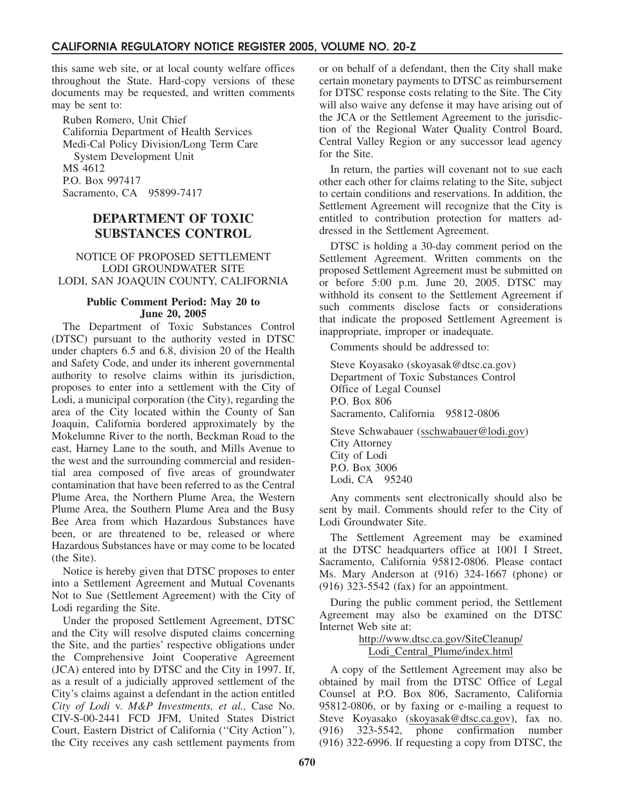this same web site, or at local county welfare offices throughout the State. Hard-copy versions of these documents may be requested, and written comments may be sent to:

Ruben Romero, Unit Chief California Department of Health Services Medi-Cal Policy Division/Long Term Care System Development Unit MS 4612 P.O. Box 997417 Sacramento, CA 95899-7417

# **DEPARTMENT OF TOXIC SUBSTANCES CONTROL**

#### NOTICE OF PROPOSED SETTLEMENT LODI GROUNDWATER SITE LODI, SAN JOAQUIN COUNTY, CALIFORNIA

#### **Public Comment Period: May 20 to June 20, 2005**

The Department of Toxic Substances Control (DTSC) pursuant to the authority vested in DTSC under chapters 6.5 and 6.8, division 20 of the Health and Safety Code, and under its inherent governmental authority to resolve claims within its jurisdiction, proposes to enter into a settlement with the City of Lodi, a municipal corporation (the City), regarding the area of the City located within the County of San Joaquin, California bordered approximately by the Mokelumne River to the north, Beckman Road to the east, Harney Lane to the south, and Mills Avenue to the west and the surrounding commercial and residential area composed of five areas of groundwater contamination that have been referred to as the Central Plume Area, the Northern Plume Area, the Western Plume Area, the Southern Plume Area and the Busy Bee Area from which Hazardous Substances have been, or are threatened to be, released or where Hazardous Substances have or may come to be located (the Site).

Notice is hereby given that DTSC proposes to enter into a Settlement Agreement and Mutual Covenants Not to Sue (Settlement Agreement) with the City of Lodi regarding the Site.

Under the proposed Settlement Agreement, DTSC and the City will resolve disputed claims concerning the Site, and the parties' respective obligations under the Comprehensive Joint Cooperative Agreement (JCA) entered into by DTSC and the City in 1997. If, as a result of a judicially approved settlement of the City's claims against a defendant in the action entitled *City of Lodi* v. *M&P Investments, et al.,* Case No. CIV-S-00-2441 FCD JFM, United States District Court, Eastern District of California (''City Action''), the City receives any cash settlement payments from or on behalf of a defendant, then the City shall make certain monetary payments to DTSC as reimbursement for DTSC response costs relating to the Site. The City will also waive any defense it may have arising out of the JCA or the Settlement Agreement to the jurisdiction of the Regional Water Quality Control Board, Central Valley Region or any successor lead agency for the Site.

In return, the parties will covenant not to sue each other each other for claims relating to the Site, subject to certain conditions and reservations. In addition, the Settlement Agreement will recognize that the City is entitled to contribution protection for matters addressed in the Settlement Agreement.

DTSC is holding a 30-day comment period on the Settlement Agreement. Written comments on the proposed Settlement Agreement must be submitted on or before 5:00 p.m. June 20, 2005. DTSC may withhold its consent to the Settlement Agreement if such comments disclose facts or considerations that indicate the proposed Settlement Agreement is inappropriate, improper or inadequate.

Comments should be addressed to:

Steve Koyasako (skoyasak@dtsc.ca.gov) Department of Toxic Substances Control Office of Legal Counsel P.O. Box 806 Sacramento, California 95812-0806 Steve Schwabauer (sschwabauer@lodi.gov)

City Attorney City of Lodi P.O. Box 3006 Lodi, CA 95240

Any comments sent electronically should also be sent by mail. Comments should refer to the City of Lodi Groundwater Site.

The Settlement Agreement may be examined at the DTSC headquarters office at 1001 I Street, Sacramento, California 95812-0806. Please contact Ms. Mary Anderson at (916) 324-1667 (phone) or (916) 323-5542 (fax) for an appointment.

During the public comment period, the Settlement Agreement may also be examined on the DTSC Internet Web site at:

> http://www.dtsc.ca.gov/SiteCleanup/ Lodi\_Central\_Plume/index.html

A copy of the Settlement Agreement may also be obtained by mail from the DTSC Office of Legal Counsel at P.O. Box 806, Sacramento, California 95812-0806, or by faxing or e-mailing a request to Steve Koyasako (skoyasak@dtsc.ca.gov), fax no. (916) 323-5542, phone confirmation number (916) 322-6996. If requesting a copy from DTSC, the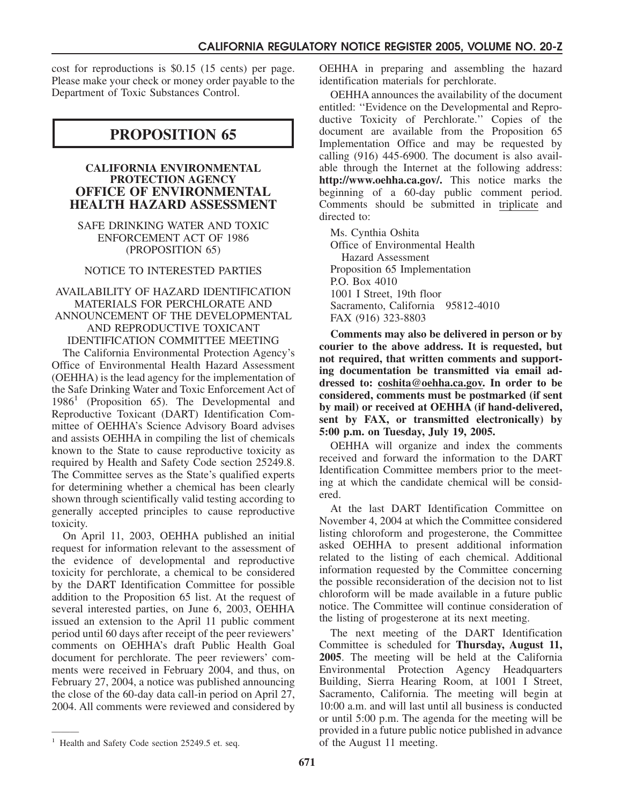cost for reproductions is \$0.15 (15 cents) per page. Please make your check or money order payable to the Department of Toxic Substances Control.

# **PROPOSITION 65**

#### **CALIFORNIA ENVIRONMENTAL PROTECTION AGENCY OFFICE OF ENVIRONMENTAL HEALTH HAZARD ASSESSMENT**

SAFE DRINKING WATER AND TOXIC ENFORCEMENT ACT OF 1986 (PROPOSITION 65)

## NOTICE TO INTERESTED PARTIES

#### AVAILABILITY OF HAZARD IDENTIFICATION MATERIALS FOR PERCHLORATE AND ANNOUNCEMENT OF THE DEVELOPMENTAL AND REPRODUCTIVE TOXICANT IDENTIFICATION COMMITTEE MEETING

The California Environmental Protection Agency's Office of Environmental Health Hazard Assessment (OEHHA) is the lead agency for the implementation of the Safe Drinking Water and Toxic Enforcement Act of  $1986<sup>1</sup>$  (Proposition 65). The Developmental and Reproductive Toxicant (DART) Identification Committee of OEHHA's Science Advisory Board advises and assists OEHHA in compiling the list of chemicals known to the State to cause reproductive toxicity as required by Health and Safety Code section 25249.8. The Committee serves as the State's qualified experts for determining whether a chemical has been clearly shown through scientifically valid testing according to generally accepted principles to cause reproductive toxicity.

On April 11, 2003, OEHHA published an initial request for information relevant to the assessment of the evidence of developmental and reproductive toxicity for perchlorate, a chemical to be considered by the DART Identification Committee for possible addition to the Proposition 65 list. At the request of several interested parties, on June 6, 2003, OEHHA issued an extension to the April 11 public comment period until 60 days after receipt of the peer reviewers' comments on OEHHA's draft Public Health Goal document for perchlorate. The peer reviewers' comments were received in February 2004, and thus, on February 27, 2004, a notice was published announcing the close of the 60-day data call-in period on April 27, 2004. All comments were reviewed and considered by OEHHA in preparing and assembling the hazard identification materials for perchlorate.

OEHHA announces the availability of the document entitled: ''Evidence on the Developmental and Reproductive Toxicity of Perchlorate.'' Copies of the document are available from the Proposition 65 Implementation Office and may be requested by calling (916) 445-6900. The document is also available through the Internet at the following address: **http://www.oehha.ca.gov/.** This notice marks the beginning of a 60-day public comment period. Comments should be submitted in triplicate and directed to:

Ms. Cynthia Oshita Office of Environmental Health Hazard Assessment Proposition 65 Implementation P.O. Box 4010 1001 I Street, 19th floor Sacramento, California 95812-4010 FAX (916) 323-8803

**Comments may also be delivered in person or by courier to the above address. It is requested, but not required, that written comments and supporting documentation be transmitted via email addressed to: coshita@oehha.ca.gov. In order to be considered, comments must be postmarked (if sent by mail) or received at OEHHA (if hand-delivered, sent by FAX, or transmitted electronically) by 5:00 p.m. on Tuesday, July 19, 2005.**

OEHHA will organize and index the comments received and forward the information to the DART Identification Committee members prior to the meeting at which the candidate chemical will be considered.

At the last DART Identification Committee on November 4, 2004 at which the Committee considered listing chloroform and progesterone, the Committee asked OEHHA to present additional information related to the listing of each chemical. Additional information requested by the Committee concerning the possible reconsideration of the decision not to list chloroform will be made available in a future public notice. The Committee will continue consideration of the listing of progesterone at its next meeting.

The next meeting of the DART Identification Committee is scheduled for **Thursday, August 11, 2005**. The meeting will be held at the California Environmental Protection Agency Headquarters Building, Sierra Hearing Room, at 1001 I Street, Sacramento, California. The meeting will begin at 10:00 a.m. and will last until all business is conducted or until 5:00 p.m. The agenda for the meeting will be provided in a future public notice published in advance of the August 11 meeting.

———

<sup>&</sup>lt;sup>1</sup> Health and Safety Code section 25249.5 et. seq.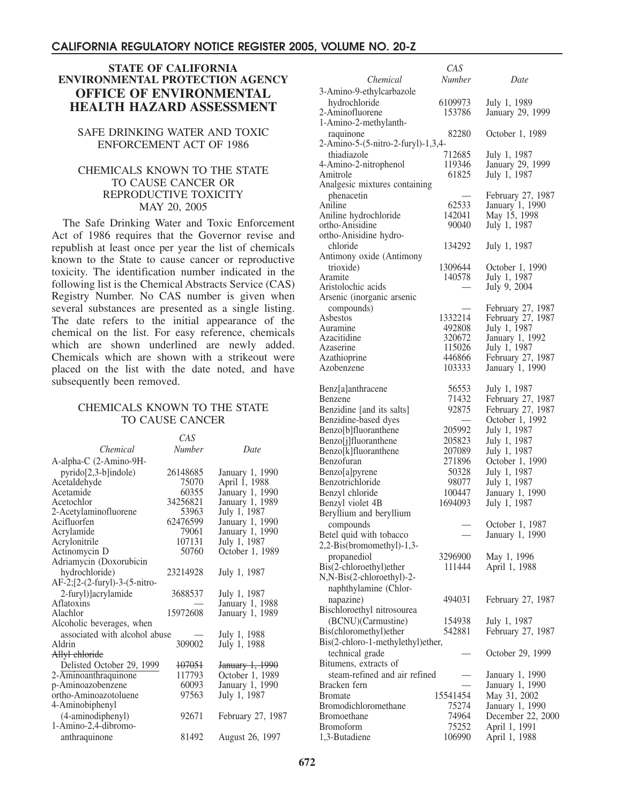## **STATE OF CALIFORNIA ENVIRONMENTAL PROTECTION AGENCY OFFICE OF ENVIRONMENTAL HEALTH HAZARD ASSESSMENT**

#### SAFE DRINKING WATER AND TOXIC ENFORCEMENT ACT OF 1986

#### CHEMICALS KNOWN TO THE STATE TO CAUSE CANCER OR REPRODUCTIVE TOXICITY MAY 20, 2005

The Safe Drinking Water and Toxic Enforcement Act of 1986 requires that the Governor revise and republish at least once per year the list of chemicals known to the State to cause cancer or reproductive toxicity. The identification number indicated in the following list is the Chemical Abstracts Service (CAS) Registry Number. No CAS number is given when several substances are presented as a single listing. The date refers to the initial appearance of the chemical on the list. For easy reference, chemicals which are shown underlined are newly added. Chemicals which are shown with a strikeout were placed on the list with the date noted, and have subsequently been removed.

#### CHEMICALS KNOWN TO THE STATE TO CAUSE CANCER

|                               | CAS           |                            |
|-------------------------------|---------------|----------------------------|
| Chemical                      | <b>Number</b> | Date                       |
| A-alpha-C (2-Amino-9H-        |               |                            |
| $pyrido[2,3-b]$ indole)       | 26148685      | January 1, 1990            |
| Acetaldehyde                  | 75070         | April 1, 1988              |
| Acetamide                     | 60355         | January 1, 1990            |
| Acetochlor                    | 34256821      | January 1, 1989            |
| 2-Acetylaminofluorene         | 53963         | July 1, 1987               |
| Acifluorfen                   | 62476599      | January 1, 1990            |
| Acrylamide                    | 79061         | January 1, 1990            |
| Acrylonitrile                 | 107131        | July 1, 1987               |
| Actinomycin D                 | 50760         | October 1, 1989            |
| Adriamycin (Doxorubicin       |               |                            |
| hydrochloride)                | 23214928      | July 1, 1987               |
| AF-2;[2-(2-furyl)-3-(5-nitro- |               |                            |
| 2-furyl)]acrylamide           | 3688537       | July 1, 1987               |
| Aflatoxins                    |               | January 1, 1988            |
| Alachlor                      | 15972608      | January 1, 1989            |
| Alcoholic beverages, when     |               |                            |
| associated with alcohol abuse |               | July 1, 1988               |
| Aldrin                        | 309002        | July 1, 1988               |
| Allyl chloride                |               |                            |
| Delisted October 29, 1999     | 107051        | <del>January 1, 1990</del> |
| 2-Aminoanthraquinone          | 117793        | October 1, 1989            |
| p-Aminoazobenzene             | 60093         | January 1, 1990            |
| ortho-Aminoazotoluene         | 97563         | July 1, 1987               |
| 4-Aminobiphenyl               |               |                            |
| (4-aminodiphenyl)             | 92671         | February 27, 1987          |
| 1-Amino-2,4-dibromo-          |               |                            |
| anthraquinone                 | 81492         | August 26, 1997            |
|                               |               |                            |

|                                                   | ∪A∪              |                                      |
|---------------------------------------------------|------------------|--------------------------------------|
| Chemical                                          | Number           | Date                                 |
| 3-Amino-9-ethylcarbazole                          |                  |                                      |
| hydrochloride                                     | 6109973          | July 1, 1989                         |
| 2-Aminofluorene                                   | 153786           | January 29, 1999                     |
| 1-Amino-2-methylanth-                             |                  |                                      |
| raquinone<br>2-Amino-5-(5-nitro-2-furyl)-1,3,4-   | 82280            | October 1, 1989                      |
| thiadiazole                                       | 712685           | July 1, 1987                         |
| 4-Amino-2-nitrophenol                             | 119346           | January 29, 1999                     |
| Amitrole                                          | 61825            | July 1, 1987                         |
| Analgesic mixtures containing                     |                  |                                      |
| phenacetin                                        |                  | February 27, 1987                    |
| Aniline                                           | 62533            | January 1, 1990                      |
| Aniline hydrochloride                             | 142041           | May 15, 1998                         |
| ortho-Anisidine<br>ortho-Anisidine hydro-         | 90040            | July 1, 1987                         |
| chloride                                          | 134292           | July 1, 1987                         |
| Antimony oxide (Antimony                          |                  |                                      |
| trioxide)                                         | 1309644          | October 1, 1990                      |
| Aramite                                           | 140578           | July 1, 1987                         |
| Aristolochic acids                                |                  | July 9, 2004                         |
| Arsenic (inorganic arsenic                        |                  |                                      |
| compounds)                                        |                  | February 27, 1987                    |
| Asbestos                                          | 1332214          | February 27, 1987                    |
| Auramine<br>Azacitidine                           | 492808<br>320672 | July 1, 1987<br>January 1, 1992      |
| Azaserine                                         | 115026           | July 1, 1987                         |
| Azathioprine                                      | 446866           | February 27, 1987                    |
| Azobenzene                                        | 103333           | January 1, 1990                      |
|                                                   |                  |                                      |
| Benz[a]anthracene                                 | 56553            | July 1, 1987                         |
| Benzene                                           | 71432            | February 27, 1987                    |
| Benzidine [and its salts]<br>Benzidine-based dyes | 92875            | February 27, 1987<br>October 1, 1992 |
| Benzo[b]fluoranthene                              | 205992           | July 1, 1987                         |
| Benzo[j]fluoranthene                              | 205823           | July 1, 1987                         |
| Benzo[k]fluoranthene                              | 207089           | July 1, 1987                         |
| Benzofuran                                        | 271896           | October 1, 1990                      |
| Benzo[a]pyrene                                    | 50328            | July 1, 1987                         |
| Benzotrichloride                                  | 98077            | July 1, 1987                         |
| Benzyl chloride                                   | 100447           | January 1, 1990                      |
| Benzyl violet 4B                                  | 1694093          | July 1, 1987                         |
| Beryllium and beryllium                           |                  |                                      |
| compounds<br>Betel quid with tobacco              |                  | October 1, 1987<br>January 1, 1990   |
| 2,2-Bis(bromomethyl)-1,3-                         |                  |                                      |
| propanediol                                       | 3296900          | May 1, 1996                          |
| Bis(2-chloroethyl)ether                           | 111444           | April 1, 1988                        |
| N,N-Bis(2-chloroethyl)-2-                         |                  |                                      |
| naphthylamine (Chlor-                             |                  |                                      |
| napazine)                                         | 494031           | February 27, 1987                    |
| Bischloroethyl nitrosourea                        |                  |                                      |
| (BCNU)(Carmustine)                                | 154938           | July 1, 1987                         |
| Bis(chloromethyl)ether                            | 542881           | February 27, 1987                    |
| Bis(2-chloro-1-methylethyl)ether,                 |                  |                                      |
| technical grade                                   |                  | October 29, 1999                     |
| Bitumens, extracts of                             |                  |                                      |
| steam-refined and air refined<br>Bracken fern     |                  | January 1, 1990                      |
| <b>Bromate</b>                                    | 15541454         | January 1, 1990<br>May 31, 2002      |
| Bromodichloromethane                              | 75274            | January 1, 1990                      |
| <b>Bromoethane</b>                                | 74964            | December 22, 2000                    |
| <b>Bromoform</b>                                  | 75252            | April 1, 1991                        |
| 1,3-Butadiene                                     | 106990           | April 1, 1988                        |

*CAS*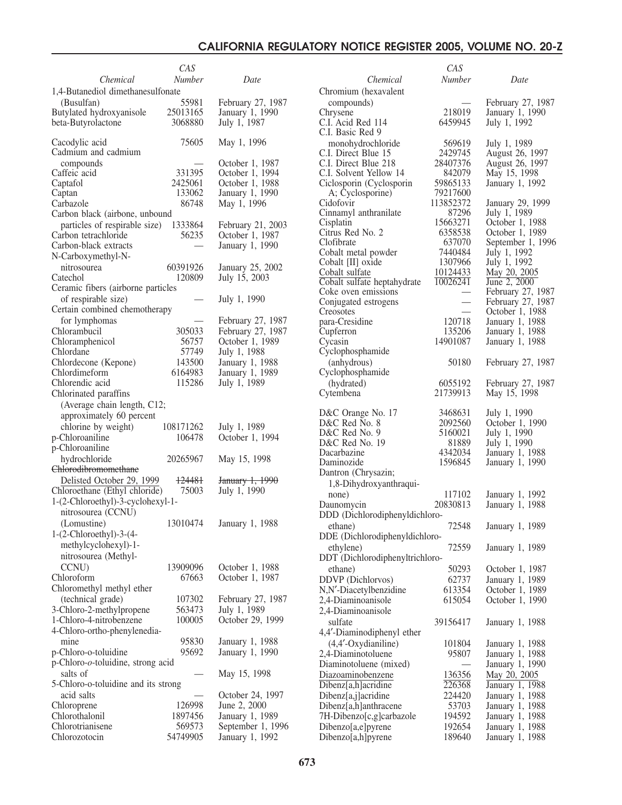|                                                       | CAS               |                                      |                                                    | CAS                      |                                    |
|-------------------------------------------------------|-------------------|--------------------------------------|----------------------------------------------------|--------------------------|------------------------------------|
| Chemical                                              | <b>Number</b>     | Date                                 | Chemical                                           | <b>Number</b>            | Date                               |
| 1,4-Butanediol dimethanesulfonate                     |                   |                                      | Chromium (hexavalent                               |                          |                                    |
| (Busulfan)                                            | 55981             | February 27, 1987                    | compounds)                                         |                          | February 27, 1987                  |
| Butylated hydroxyanisole                              | 25013165          | January 1, 1990                      | Chrysene                                           | 218019                   | January 1, 1990                    |
| beta-Butyrolactone                                    | 3068880           | July 1, 1987                         | C.I. Acid Red 114                                  | 6459945                  | July 1, 1992                       |
| Cacodylic acid                                        | 75605             | May 1, 1996                          | C.I. Basic Red 9                                   |                          |                                    |
| Cadmium and cadmium                                   |                   |                                      | monohydrochloride<br>C.I. Direct Blue 15           | 569619<br>2429745        | July 1, 1989<br>August 26, 1997    |
| compounds                                             |                   | October 1, 1987                      | C.I. Direct Blue 218                               | 28407376                 | August 26, 1997                    |
| Caffeic acid                                          | 331395            | October 1, 1994                      | C.I. Solvent Yellow 14                             | 842079                   | May 15, 1998                       |
| Captafol                                              | 2425061           | October 1, 1988                      | Ciclosporin (Cyclosporin                           | 59865133                 | January 1, 1992                    |
| Captan                                                | 133062            | January 1, 1990                      | A; Cyclosporine)                                   | 79217600                 |                                    |
| Carbazole                                             | 86748             | May 1, 1996                          | Cidofovir                                          | 113852372                | January 29, 1999                   |
| Carbon black (airbone, unbound                        |                   |                                      | Cinnamyl anthranilate<br>Cisplatin                 | 87296<br>15663271        | July 1, 1989<br>October 1, 1988    |
| particles of respirable size)<br>Carbon tetrachloride | 1333864<br>56235  | February 21, 2003<br>October 1, 1987 | Citrus Red No. 2                                   | 6358538                  | October 1, 1989                    |
| Carbon-black extracts                                 |                   | January 1, 1990                      | Clofibrate                                         | 637070                   | September 1, 1996                  |
| N-Carboxymethyl-N-                                    |                   |                                      | Cobalt metal powder                                | 7440484                  | July 1, 1992                       |
| nitrosourea                                           | 60391926          | January 25, 2002                     | Cobalt [II] oxide                                  | 1307966                  | July 1, 1992                       |
| Catechol                                              | 120809            | July 15, 2003                        | Cobalt sulfate                                     | 10124433                 | May 20, 2005                       |
| Ceramic fibers (airborne particles                    |                   |                                      | Cobalt sulfate heptahydrate<br>Coke oven emissions | 10026241                 | June 2, 2000<br>February 27, 1987  |
| of respirable size)                                   |                   | July 1, 1990                         | Conjugated estrogens                               | $\overline{\phantom{m}}$ | February 27, 1987                  |
| Certain combined chemotherapy                         |                   |                                      | Creosotes                                          |                          | October 1, 1988                    |
| for lymphomas                                         |                   | February 27, 1987                    | para-Cresidine                                     | 120718                   | January 1, 1988                    |
| Chlorambucil                                          | 305033            | February 27, 1987                    | Cupferron                                          | 135206                   | January 1, 1988                    |
| Chloramphenicol                                       | 56757             | October 1, 1989                      | Cycasin                                            | 14901087                 | January 1, 1988                    |
| Chlordane                                             | 57749             | July 1, 1988                         | Cyclophosphamide                                   |                          |                                    |
| Chlordecone (Kepone)<br>Chlordimeform                 | 143500<br>6164983 | January 1, 1988<br>January 1, 1989   | (anhydrous)<br>Cyclophosphamide                    | 50180                    | February 27, 1987                  |
| Chlorendic acid                                       | 115286            | July 1, 1989                         | (hydrated)                                         | 6055192                  | February 27, 1987                  |
| Chlorinated paraffins                                 |                   |                                      | Cytembena                                          | 21739913                 | May 15, 1998                       |
| (Average chain length, C12;                           |                   |                                      |                                                    |                          |                                    |
| approximately 60 percent                              |                   |                                      | D&C Orange No. 17                                  | 3468631                  | July 1, 1990                       |
| chlorine by weight)                                   | 108171262         | July 1, 1989                         | D&C Red No. 8                                      | 2092560                  | October 1, 1990                    |
| p-Chloroaniline                                       | 106478            | October 1, 1994                      | D&C Red No. 9                                      | 5160021                  | July 1, 1990                       |
| p-Chloroaniline                                       |                   |                                      | D&C Red No. 19<br>Dacarbazine                      | 81889<br>4342034         | July 1, 1990<br>January 1, 1988    |
| hydrochloride                                         | 20265967          | May 15, 1998                         | Daminozide                                         | 1596845                  | January 1, 1990                    |
| <b>Chlorodibromomethane</b>                           |                   |                                      | Dantron (Chrysazin;                                |                          |                                    |
| Delisted October 29, 1999                             | 124481            | January 1, 1990                      | 1,8-Dihydroxyanthraqui-                            |                          |                                    |
| Chloroethane (Ethyl chloride)                         | 75003             | July 1, 1990                         | none)                                              | 117102                   | January 1, 1992                    |
| 1-(2-Chloroethyl)-3-cyclohexyl-1-                     |                   |                                      | Daunomycin                                         | 20830813                 | January 1, 1988                    |
| nitrosourea (CCNU)                                    |                   |                                      | DDD (Dichlorodiphenyldichloro-                     |                          |                                    |
| (Lomustine)<br>$1-(2-Chloroethyl)-3-(4-$              | 13010474          | January 1, 1988                      | ethane)                                            | 72548                    | January 1, 1989                    |
| methylcyclohexyl)-1-                                  |                   |                                      | DDE (Dichlorodiphenyldichloro-                     |                          |                                    |
| nitrosourea (Methyl-                                  |                   |                                      | ethylene)                                          | 72559                    | January 1, 1989                    |
| CCNU)                                                 | 13909096          | October 1, 1988                      | DDT (Dichlorodiphenyltrichloro-                    | 50293                    |                                    |
| Chloroform                                            | 67663             | October 1, 1987                      | ethane)<br>DDVP (Dichlorvos)                       | 62737                    | October 1, 1987<br>January 1, 1989 |
| Chloromethyl methyl ether                             |                   |                                      | N,N'-Diacetylbenzidine                             | 613354                   | October 1, 1989                    |
| (technical grade)                                     | 107302            | February 27, 1987                    | 2,4-Diaminoanisole                                 | 615054                   | October 1, 1990                    |
| 3-Chloro-2-methylpropene                              | 563473            | July 1, 1989                         | 2,4-Diaminoanisole                                 |                          |                                    |
| 1-Chloro-4-nitrobenzene                               | 100005            | October 29, 1999                     | sulfate                                            | 39156417                 | January 1, 1988                    |
| 4-Chloro-ortho-phenylenedia-                          |                   |                                      | 4,4'-Diaminodiphenyl ether                         |                          |                                    |
| mine                                                  | 95830             | January 1, 1988                      | $(4,4'-Oxydianiline)$                              | 101804                   | January 1, 1988                    |
| p-Chloro-o-toluidine                                  | 95692             | January 1, 1990                      | 2,4-Diaminotoluene                                 | 95807                    | January 1, 1988                    |
| p-Chloro-o-toluidine, strong acid                     |                   |                                      | Diaminotoluene (mixed)                             | $\overline{\phantom{0}}$ | January 1, 1990                    |
| salts of                                              |                   | May 15, 1998                         | Diazoaminobenzene                                  | 136356                   | May 20, 2005                       |
| 5-Chloro-o-toluidine and its strong                   |                   |                                      | Dibenz[a,h]acridine                                | 226368<br>224420         | January 1, 1988                    |
| acid salts<br>Chloroprene                             | 126998            | October 24, 1997<br>June 2, 2000     | Dibenz[a,j]acridine<br>Dibenz[a,h]anthracene       | 53703                    | January 1, 1988<br>January 1, 1988 |
| Chlorothalonil                                        | 1897456           | January 1, 1989                      | 7H-Dibenzo[c,g]carbazole                           | 194592                   | January 1, 1988                    |
| Chlorotrianisene                                      | 569573            | September 1, 1996                    | Dibenzo[a,e]pyrene                                 | 192654                   | January 1, 1988                    |
| Chlorozotocin                                         | 54749905          | January 1, 1992                      | Dibenzo[a,h]pyrene                                 | 189640                   | January 1, 1988                    |
|                                                       |                   |                                      |                                                    |                          |                                    |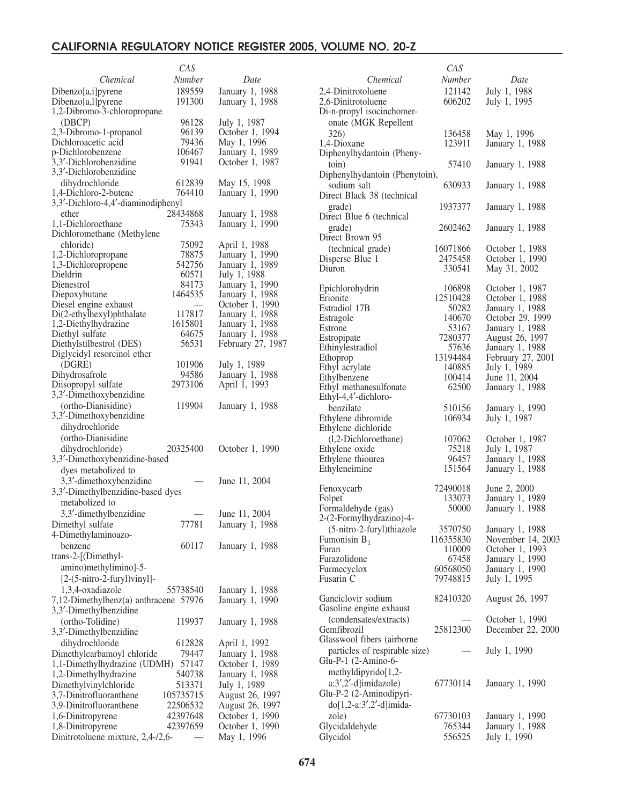|                                       | CAS       |                   |
|---------------------------------------|-----------|-------------------|
| Chemical                              | Number    | Date              |
|                                       |           |                   |
| Dibenzo[a,i]pyrene                    | 189559    | January 1, 1988   |
| Dibenzo[a,l]pyrene                    | 191300    | January 1, 1988   |
| 1,2-Dibromo-3-chloropropane           |           |                   |
| (DBCP)                                | 96128     | July 1, 1987      |
| 2,3-Dibromo-1-propanol                | 96139     | October 1, 1994   |
| Dichloroacetic acid                   | 79436     | May 1, 1996       |
| p-Dichlorobenzene                     | 106467    | January 1, 1989   |
| 3,3'-Dichlorobenzidine                | 91941     | October 1, 1987   |
| 3,3'-Dichlorobenzidine                |           |                   |
| dihydrochloride                       | 612839    | May 15, 1998      |
| 1,4-Dichloro-2-butene                 | 764410    | January 1, 1990   |
| 3,3'-Dichloro-4,4'-diaminodiphenyl    |           |                   |
| ether                                 | 28434868  | January 1, 1988   |
|                                       | 75343     |                   |
| 1,1-Dichloroethane                    |           | January 1, 1990   |
| Dichloromethane (Methylene            |           |                   |
| chloride)                             | 75092     | April 1, 1988     |
| 1,2-Dichloropropane                   | 78875     | January 1, 1990   |
| 1,3-Dichloropropene                   | 542756    | January 1, 1989   |
| Dieldrin                              | 60571     | July 1, 1988      |
| Dienestrol                            | 84173     | January 1, 1990   |
| Diepoxybutane                         | 1464535   | January 1, 1988   |
| Diesel engine exhaust                 |           | October 1, 1990   |
| Di(2-ethylhexyl)phthalate             | 117817    | January 1, 1988   |
| 1,2-Diethylhydrazine                  | 1615801   | January 1, 1988   |
| Diethyl sulfate                       | 64675     | January 1, 1988   |
| Diethylstilbestrol (DES)              | 56531     | February 27, 1987 |
| Diglycidyl resorcinol ether           |           |                   |
| (DGRE)                                | 101906    | July 1, 1989      |
| Dihydrosafrole                        | 94586     | January 1, 1988   |
| Diisopropyl sulfate                   | 2973106   | April 1, 1993     |
| 3,3'-Dimethoxybenzidine               |           |                   |
|                                       |           |                   |
| (ortho-Dianisidine)                   | 119904    | January 1, 1988   |
| 3,3'-Dimethoxybenzidine               |           |                   |
| dihydrochloride                       |           |                   |
| (ortho-Dianisidine                    |           |                   |
| dihydrochloride)                      | 20325400  | October 1, 1990   |
| 3,3'-Dimethoxybenzidine-based         |           |                   |
| dyes metabolized to                   |           |                   |
| 3,3'-dimethoxybenzidine               |           | June 11, 2004     |
|                                       |           |                   |
| 3,3'-Dimethylbenzidine-based dyes     |           |                   |
| metabolized to                        |           |                   |
| 3,3'-dimethylbenzidine                |           | June 11, 2004     |
| Dimethyl sulfate                      | 77781     | January 1, 1988   |
| 4-Dimethylaminoazo-                   |           |                   |
| benzene                               | 60117     | January 1, 1988   |
| trans-2-[(Dimethyl-                   |           |                   |
| amino)methylimino]-5-                 |           |                   |
|                                       |           |                   |
| $[2-(5-nitro-2-furyl)vinyl]$ -        |           |                   |
| 1,3,4-oxadiazole                      | 55738540  | January 1, 1988   |
| 7,12-Dimethylbenz(a) anthracene 57976 |           | January 1, 1990   |
| 3,3'-Dimethylbenzidine                |           |                   |
| (ortho-Tolidine)                      | 119937    | January 1, 1988   |
| 3,3'-Dimethylbenzidine                |           |                   |
| dihydrochloride                       | 612828    | April 1, 1992     |
|                                       |           |                   |
| Dimethylcarbamoyl chloride            | 79447     | January 1, 1988   |
| 1,1-Dimethylhydrazine (UDMH)          | 57147     | October 1, 1989   |
| 1,2-Dimethylhydrazine                 | 540738    | January 1, 1988   |
| Dimethylvinylchloride                 | 513371    | July 1, 1989      |
| 3,7-Dinitrofluoranthene               | 105735715 | August 26, 1997   |
| 3,9-Dinitrofluoranthene               | 22506532  | August 26, 1997   |
| 1,6-Dinitropyrene                     | 42397648  | October 1, 1990   |
| 1,8-Dinitropyrene                     | 42397659  | October 1, 1990   |
| Dinitrotoluene mixture, 2,4-/2,6-     |           | May 1, 1996       |
|                                       |           |                   |

| CAS      |                                                                                                                                                                                                                                                                                                                                                                                                                                   |
|----------|-----------------------------------------------------------------------------------------------------------------------------------------------------------------------------------------------------------------------------------------------------------------------------------------------------------------------------------------------------------------------------------------------------------------------------------|
| Number   | Date                                                                                                                                                                                                                                                                                                                                                                                                                              |
|          | July 1, 1988                                                                                                                                                                                                                                                                                                                                                                                                                      |
|          | July 1, 1995                                                                                                                                                                                                                                                                                                                                                                                                                      |
|          |                                                                                                                                                                                                                                                                                                                                                                                                                                   |
|          |                                                                                                                                                                                                                                                                                                                                                                                                                                   |
|          | May 1, 1996                                                                                                                                                                                                                                                                                                                                                                                                                       |
|          | January 1, 1988                                                                                                                                                                                                                                                                                                                                                                                                                   |
|          |                                                                                                                                                                                                                                                                                                                                                                                                                                   |
|          | January 1, 1988                                                                                                                                                                                                                                                                                                                                                                                                                   |
|          |                                                                                                                                                                                                                                                                                                                                                                                                                                   |
|          |                                                                                                                                                                                                                                                                                                                                                                                                                                   |
|          | January 1, 1988                                                                                                                                                                                                                                                                                                                                                                                                                   |
|          |                                                                                                                                                                                                                                                                                                                                                                                                                                   |
|          | January 1, 1988                                                                                                                                                                                                                                                                                                                                                                                                                   |
|          |                                                                                                                                                                                                                                                                                                                                                                                                                                   |
|          | January 1, 1988                                                                                                                                                                                                                                                                                                                                                                                                                   |
|          |                                                                                                                                                                                                                                                                                                                                                                                                                                   |
|          | October 1, 1988                                                                                                                                                                                                                                                                                                                                                                                                                   |
|          | October 1, 1990                                                                                                                                                                                                                                                                                                                                                                                                                   |
|          | May 31, 2002                                                                                                                                                                                                                                                                                                                                                                                                                      |
|          | October 1, 1987                                                                                                                                                                                                                                                                                                                                                                                                                   |
|          | October 1, 1988                                                                                                                                                                                                                                                                                                                                                                                                                   |
|          | January 1, 1988                                                                                                                                                                                                                                                                                                                                                                                                                   |
|          | October 29, 1999                                                                                                                                                                                                                                                                                                                                                                                                                  |
|          | January 1, 1988                                                                                                                                                                                                                                                                                                                                                                                                                   |
|          | August 26, 1997                                                                                                                                                                                                                                                                                                                                                                                                                   |
|          | January 1, 1988                                                                                                                                                                                                                                                                                                                                                                                                                   |
|          | February 27, 2001                                                                                                                                                                                                                                                                                                                                                                                                                 |
|          | July 1, 1989                                                                                                                                                                                                                                                                                                                                                                                                                      |
|          | June 11, 2004                                                                                                                                                                                                                                                                                                                                                                                                                     |
| 62500    | January 1, 1988                                                                                                                                                                                                                                                                                                                                                                                                                   |
|          |                                                                                                                                                                                                                                                                                                                                                                                                                                   |
|          | January 1, 1990                                                                                                                                                                                                                                                                                                                                                                                                                   |
|          | July 1, 1987                                                                                                                                                                                                                                                                                                                                                                                                                      |
|          |                                                                                                                                                                                                                                                                                                                                                                                                                                   |
|          | October 1, 1987                                                                                                                                                                                                                                                                                                                                                                                                                   |
|          | July 1, 1987                                                                                                                                                                                                                                                                                                                                                                                                                      |
| 96457    | January 1, 1988                                                                                                                                                                                                                                                                                                                                                                                                                   |
| 151564   | January 1, 1988                                                                                                                                                                                                                                                                                                                                                                                                                   |
|          |                                                                                                                                                                                                                                                                                                                                                                                                                                   |
| 72490018 | June 2, 2000                                                                                                                                                                                                                                                                                                                                                                                                                      |
|          | January 1, 1989                                                                                                                                                                                                                                                                                                                                                                                                                   |
|          | January 1, 1988                                                                                                                                                                                                                                                                                                                                                                                                                   |
|          |                                                                                                                                                                                                                                                                                                                                                                                                                                   |
| 3570750  | January 1, 1988                                                                                                                                                                                                                                                                                                                                                                                                                   |
|          | November 14, 2003                                                                                                                                                                                                                                                                                                                                                                                                                 |
|          | October 1, 1993                                                                                                                                                                                                                                                                                                                                                                                                                   |
|          | January 1, 1990                                                                                                                                                                                                                                                                                                                                                                                                                   |
|          | January 1, 1990                                                                                                                                                                                                                                                                                                                                                                                                                   |
|          | July 1, 1995                                                                                                                                                                                                                                                                                                                                                                                                                      |
|          |                                                                                                                                                                                                                                                                                                                                                                                                                                   |
|          | August 26, 1997                                                                                                                                                                                                                                                                                                                                                                                                                   |
|          |                                                                                                                                                                                                                                                                                                                                                                                                                                   |
|          | October 1, 1990                                                                                                                                                                                                                                                                                                                                                                                                                   |
|          | December 22, 2000                                                                                                                                                                                                                                                                                                                                                                                                                 |
|          |                                                                                                                                                                                                                                                                                                                                                                                                                                   |
|          | July 1, 1990                                                                                                                                                                                                                                                                                                                                                                                                                      |
|          |                                                                                                                                                                                                                                                                                                                                                                                                                                   |
|          |                                                                                                                                                                                                                                                                                                                                                                                                                                   |
| 67730114 | January 1, 1990                                                                                                                                                                                                                                                                                                                                                                                                                   |
|          |                                                                                                                                                                                                                                                                                                                                                                                                                                   |
|          |                                                                                                                                                                                                                                                                                                                                                                                                                                   |
| 67730103 | January 1, 1990                                                                                                                                                                                                                                                                                                                                                                                                                   |
| 765344   | January 1, 1988                                                                                                                                                                                                                                                                                                                                                                                                                   |
| 556525   | July 1, 1990                                                                                                                                                                                                                                                                                                                                                                                                                      |
|          | 121142<br>606202<br>136458<br>123911<br>57410<br>Diphenylhydantoin (Phenytoin),<br>630933<br>1937377<br>2602462<br>16071866<br>2475458<br>330541<br>106898<br>12510428<br>50282<br>140670<br>53167<br>7280377<br>57636<br>13194484<br>140885<br>100414<br>510156<br>106934<br>107062<br>75218<br>133073<br>50000<br>116355830<br>110009<br>67458<br>60568050<br>79748815<br>82410320<br>25812300<br>particles of respirable size) |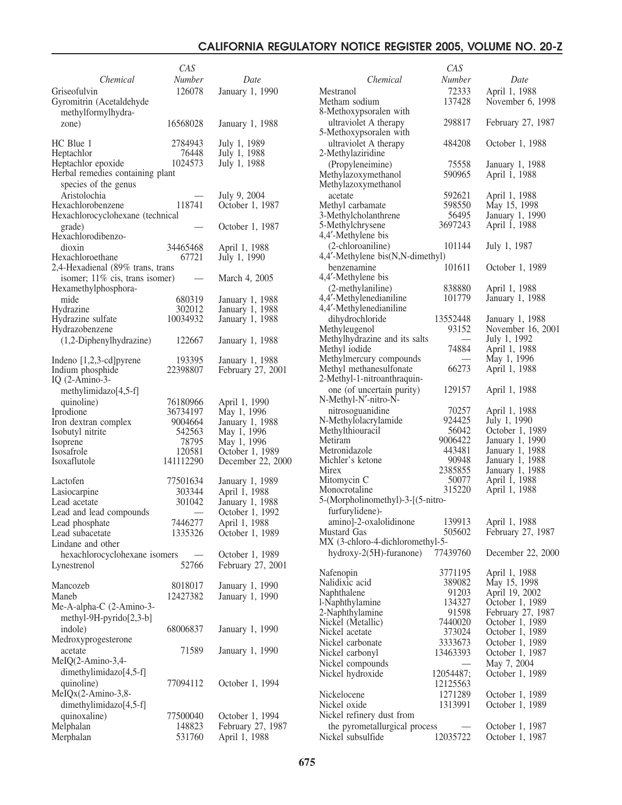|                                                | CAS       |                   |
|------------------------------------------------|-----------|-------------------|
| Chemical                                       | Number    | Date              |
| Griseofulvin                                   | 126078    | January 1, 1990   |
| Gyromitrin (Acetaldehyde<br>methylformylhydra- |           |                   |
| zone)                                          | 16568028  | January 1, 1988   |
| HC Blue 1                                      | 2784943   | July 1, 1989      |
| Heptachlor                                     | 76448     | July 1, 1988      |
| Heptachlor epoxide                             | 1024573   | July 1, 1988      |
| Herbal remedies containing plant               |           |                   |
| species of the genus                           |           |                   |
| Aristolochia                                   |           | July 9, 2004      |
| Hexachlorobenzene                              | 118741    | October 1, 1987   |
| Hexachlorocyclohexane (technical               |           |                   |
| grade)                                         |           | October 1, 1987   |
| Hexachlorodibenzo-                             |           |                   |
| dioxin                                         | 34465468  | April 1, 1988     |
| Hexachloroethane                               | 67721     | July 1, 1990      |
| 2,4-Hexadienal (89% trans, trans               |           |                   |
| isomer; 11% cis, trans isomer)                 |           | March 4, 2005     |
| Hexamethylphosphora-                           |           |                   |
| mide                                           | 680319    | January 1, 1988   |
| Hydrazine                                      | 302012    | January 1, 1988   |
| Hydrazine sulfate                              | 10034932  | January 1, 1988   |
| Hydrazobenzene                                 |           |                   |
| (1,2-Diphenylhydrazine)                        | 122667    | January 1, 1988   |
|                                                |           |                   |
| Indeno $[1,2,3$ -cd] pyrene                    | 193395    | January 1, 1988   |
| Indium phosphide                               | 22398807  | February 27, 2001 |
| IQ $(2-Amino-3-$                               |           |                   |
| methylimidazo[4,5-f]                           |           |                   |
| quinoline)                                     | 76180966  | April 1, 1990     |
| Iprodione                                      | 36734197  | May 1, 1996       |
| Iron dextran complex                           | 9004664   | January 1, 1988   |
| Isobutyl nitrite                               | 542563    | May 1, 1996       |
| Isoprene                                       | 78795     | May 1, 1996       |
| Isosafrole                                     | 120581    | October 1, 1989   |
| Isoxaflutole                                   | 141112290 | December 22, 2000 |
|                                                |           |                   |
| Lactofen                                       | 77501634  | January 1, 1989   |
| Lasiocarpine                                   | 303344    | April 1, 1988     |
| Lead acetate                                   | 301042    | January 1, 1988   |
| Lead and lead compounds                        |           | October 1, 1992   |
| Lead phosphate                                 | 7446277   | April 1, 1988     |
| Lead subacetate                                | 1335326   | October 1, 1989   |
| Lindane and other                              |           |                   |
| hexachlorocyclohexane isomers                  |           | October 1, 1989   |
| Lynestrenol                                    | 52766     | February 27, 2001 |
|                                                |           |                   |
| Mancozeb                                       | 8018017   | January 1, 1990   |
| Maneb                                          | 12427382  | January 1, 1990   |
| Me-A-alpha-C (2-Amino-3-                       |           |                   |
| methyl-9H-pyrido[2,3-b]                        |           |                   |
| indole)                                        | 68006837  | January 1, 1990   |
| Medroxyprogesterone                            |           |                   |
| acetate                                        | 71589     | January 1, 1990   |
| MeIQ(2-Amino-3,4-                              |           |                   |
| dimethylimidazo[4,5-f]                         |           |                   |
|                                                | 77094112  |                   |
| quinoline)                                     |           | October 1, 1994   |
| MeIQx(2-Amino-3,8-                             |           |                   |
| dimethylimidazo[4,5-f]                         |           |                   |
| quinoxaline)                                   | 77500040  | October 1, 1994   |
| Melphalan                                      | 148823    | February 27, 1987 |
| Merphalan                                      | 531760    | April 1, 1988     |

|                                                   | CAS             |                                   |
|---------------------------------------------------|-----------------|-----------------------------------|
| Chemical                                          | Number          | Date                              |
| Mestranol                                         | 72333           | April 1, 1988                     |
| Metham sodium                                     | 137428          | November 6, 1998                  |
| 8-Methoxypsoralen with                            |                 |                                   |
| ultraviolet A therapy                             | 298817          | February 27, 1987                 |
| 5-Methoxypsoralen with                            |                 |                                   |
| ultraviolet A therapy                             | 484208          | October 1, 1988                   |
| 2-Methylaziridine                                 |                 |                                   |
| (Propyleneimine)                                  | 75558           | January 1, 1988                   |
| Methylazoxymethanol                               | 590965          | April 1, 1988                     |
| Methylazoxymethanol                               |                 |                                   |
| acetate                                           | 592621          | April 1, 1988                     |
| Methyl carbamate                                  | 598550          | May 15, 1998                      |
| 3-Methylcholanthrene                              | 56495           | January 1, 1990                   |
| 5-Methylchrysene                                  | 3697243         | April 1, 1988                     |
| 4,4'-Methylene bis                                |                 |                                   |
| (2-chloroaniline)                                 | 101144          | July 1, 1987                      |
| 4,4'-Methylene bis(N,N-dimethyl)                  |                 |                                   |
| benzenamine                                       | 101611          | October 1, 1989                   |
| 4,4'-Methylene bis                                |                 |                                   |
| (2-methylaniline)                                 | 838880          | April 1, 1988                     |
| 4,4'-Methylenedianiline                           | 101779          | January 1, 1988                   |
| 4,4'-Methylenedianiline                           |                 |                                   |
| dihydrochloride                                   | 13552448        | January 1, 1988                   |
| Methyleugenol                                     | 93152           | November 16, 2001                 |
| Methylhydrazine and its salts                     |                 | July 1, 1992                      |
| Methyl iodide                                     | 74884           | April 1, 1988                     |
| Methylmercury compounds                           |                 | May 1, 1996                       |
| Methyl methanesulfonate                           | 66273           | April 1, 1988                     |
| 2-Methyl-1-nitroanthraquin-                       |                 |                                   |
| one (of uncertain purity)<br>N-Methyl-N'-nitro-N- | 129157          | April 1, 1988                     |
|                                                   | 70257           |                                   |
| nitrosoguanidine<br>N-Methylolacrylamide          | 924425          | April 1, 1988<br>July 1, 1990     |
| Methylthiouracil                                  | 56042           | October 1, 1989                   |
| Metiram                                           | 9006422         | January 1, 1990                   |
| Metronidazole                                     | 443481          | January 1, 1988                   |
| Michler's ketone                                  | 90948           | January 1, 1988                   |
| Mirex                                             | 2385855         | January 1, 1988                   |
| Mitomycin C                                       | 50077           | April 1, 1988                     |
| Monocrotaline                                     | 315220          | April 1, 1988                     |
| 5-(Morpholinomethyl)-3-[(5-nitro-                 |                 |                                   |
| furfurylidene)-                                   |                 |                                   |
| amino]-2-oxalolidinone                            | 139913          | April 1, 1988                     |
| Mustard Gas                                       | 505602          | February 27, 1987                 |
| MX (3-chloro-4-dichloromethyl-5-                  |                 |                                   |
| $hydroxy-2(5H)$ -furanone)                        | 77439760        | December 22, 2000                 |
|                                                   |                 |                                   |
| Nafenopin                                         | 3771195         | April 1, 1988                     |
| Nalidixic acid                                    | 389082          | May 15, 1998                      |
| Naphthalene                                       | 91203<br>134327 | April 19, 2002<br>October 1, 1989 |
| l-Naphthylamine<br>2-Naphthylamine                | 91598           | February 27, 1987                 |
| Nickel (Metallic)                                 | 7440020         | October 1, 1989                   |
| Nickel acetate                                    | 373024          | October 1, 1989                   |
| Nickel carbonate                                  | 3333673         | October 1, 1989                   |
| Nickel carbonyl                                   | 13463393        | October 1, 1987                   |
| Nickel compounds                                  |                 | May 7, 2004                       |
| Nickel hydroxide                                  | 12054487;       | October 1, 1989                   |
|                                                   | 12125563        |                                   |
| Nickelocene                                       | 1271289         | October 1, 1989                   |
| Nickel oxide                                      | 1313991         | October 1, 1989                   |
| Nickel refinery dust from                         |                 |                                   |
| the pyrometallurgical process                     |                 | October 1, 1987                   |
| Nickel subsulfide                                 | 12035722        | October 1, 1987                   |
|                                                   |                 |                                   |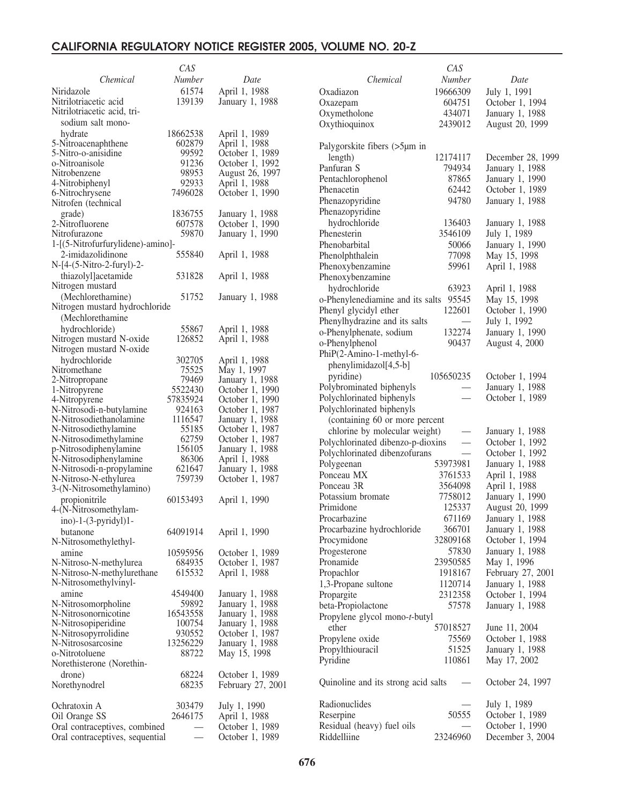|                                   | CAS                      |                   |                                        | CAS                      |                   |
|-----------------------------------|--------------------------|-------------------|----------------------------------------|--------------------------|-------------------|
| Chemical                          | Number                   | Date              | Chemical                               | Number                   | Date              |
|                                   |                          |                   |                                        |                          |                   |
| Niridazole                        | 61574                    | April 1, 1988     | Oxadiazon                              | 19666309                 | July 1, 1991      |
| Nitrilotriacetic acid             | 139139                   | January 1, 1988   | Oxazepam                               | 604751                   | October 1, 1994   |
| Nitrilotriacetic acid, tri-       |                          |                   | Oxymetholone                           | 434071                   | January 1, 1988   |
| sodium salt mono-                 |                          |                   | Oxythioquinox                          | 2439012                  | August 20, 1999   |
| hydrate                           | 18662538                 | April 1, 1989     |                                        |                          |                   |
| 5-Nitroacenaphthene               | 602879                   |                   |                                        |                          |                   |
|                                   |                          | April 1, 1988     | Palygorskite fibers (>5µm in           |                          |                   |
| 5-Nitro-o-anisidine               | 99592                    | October 1, 1989   | length)                                | 12174117                 | December 28, 1999 |
| o-Nitroanisole                    | 91236                    | October 1, 1992   | Panfuran S                             | 794934                   | January 1, 1988   |
| Nitrobenzene                      | 98953                    | August 26, 1997   | Pentachlorophenol                      | 87865                    | January 1, 1990   |
| 4-Nitrobiphenyl                   | 92933                    | April 1, 1988     |                                        |                          |                   |
| 6-Nitrochrysene                   | 7496028                  | October 1, 1990   | Phenacetin                             | 62442                    | October 1, 1989   |
| Nitrofen (technical               |                          |                   | Phenazopyridine                        | 94780                    | January 1, 1988   |
|                                   | 1836755                  | January 1, 1988   | Phenazopyridine                        |                          |                   |
| grade)                            |                          |                   | hydrochloride                          | 136403                   | January 1, 1988   |
| 2-Nitrofluorene                   | 607578                   | October 1, 1990   |                                        |                          |                   |
| Nitrofurazone                     | 59870                    | January 1, 1990   | Phenesterin                            | 3546109                  | July 1, 1989      |
| 1-[(5-Nitrofurfurylidene)-amino]- |                          |                   | Phenobarbital                          | 50066                    | January 1, 1990   |
| 2-imidazolidinone                 | 555840                   | April 1, 1988     | Phenolphthalein                        | 77098                    | May 15, 1998      |
| N-[4-(5-Nitro-2-furyl)-2-         |                          |                   |                                        | 59961                    |                   |
|                                   |                          |                   | Phenoxybenzamine                       |                          | April 1, 1988     |
| thiazolyl]acetamide               | 531828                   | April 1, 1988     | Phenoxybenzamine                       |                          |                   |
| Nitrogen mustard                  |                          |                   | hydrochloride                          | 63923                    | April 1, 1988     |
| (Mechlorethamine)                 | 51752                    | January 1, 1988   | o-Phenylenediamine and its salts 95545 |                          | May 15, 1998      |
| Nitrogen mustard hydrochloride    |                          |                   |                                        | 122601                   |                   |
| (Mechlorethamine                  |                          |                   | Phenyl glycidyl ether                  |                          | October 1, 1990   |
|                                   |                          |                   | Phenylhydrazine and its salts          |                          | July 1, 1992      |
| hydrochloride)                    | 55867                    | April 1, 1988     | o-Phenylphenate, sodium                | 132274                   | January 1, 1990   |
| Nitrogen mustard N-oxide          | 126852                   | April 1, 1988     | o-Phenylphenol                         | 90437                    | August 4, 2000    |
| Nitrogen mustard N-oxide          |                          |                   | PhiP(2-Amino-1-methyl-6-               |                          |                   |
| hydrochloride                     | 302705                   | April 1, 1988     |                                        |                          |                   |
| Nitromethane                      | 75525                    | May 1, 1997       | phenylimidazol[4,5-b]                  |                          |                   |
| 2-Nitropropane                    | 79469                    | January 1, 1988   | pyridine)                              | 105650235                | October 1, 1994   |
|                                   |                          |                   | Polybrominated biphenyls               |                          | January 1, 1988   |
| 1-Nitropyrene                     | 5522430                  | October 1, 1990   |                                        | $\overline{\phantom{0}}$ |                   |
| 4-Nitropyrene                     | 57835924                 | October 1, 1990   | Polychlorinated biphenyls              |                          | October 1, 1989   |
| N-Nitrosodi-n-butylamine          | 924163                   | October 1, 1987   | Polychlorinated biphenyls              |                          |                   |
| N-Nitrosodiethanolamine           | 1116547                  | January 1, 1988   | (containing 60 or more percent         |                          |                   |
| N-Nitrosodiethylamine             | 55185                    | October 1, 1987   | chlorine by molecular weight)          |                          | January 1, 1988   |
| N-Nitrosodimethylamine            | 62759                    | October 1, 1987   |                                        |                          |                   |
| p-Nitrosodiphenylamine            | 156105                   | January 1, 1988   | Polychlorinated dibenzo-p-dioxins      |                          | October 1, 1992   |
|                                   |                          |                   | Polychlorinated dibenzofurans          | $\overline{\phantom{0}}$ | October 1, 1992   |
| N-Nitrosodiphenylamine            | 86306                    | April 1, 1988     | Polygeenan                             | 53973981                 | January 1, 1988   |
| N-Nitrosodi-n-propylamine         | 621647                   | January 1, 1988   | Ponceau MX                             | 3761533                  | April 1, 1988     |
| N-Nitroso-N-ethylurea             | 759739                   | October 1, 1987   |                                        |                          |                   |
| 3-(N-Nitrosomethylamino)          |                          |                   | Ponceau 3R                             | 3564098                  | April 1, 1988     |
| propionitrile                     | 60153493                 | April 1, 1990     | Potassium bromate                      | 7758012                  | January 1, 1990   |
| 4-(N-Nitrosomethylam-             |                          |                   | Primidone                              | 125337                   | August 20, 1999   |
|                                   |                          |                   | Procarbazine                           | 671169                   | January 1, 1988   |
| ino)-1-(3-pyridyl)1-              |                          |                   |                                        |                          |                   |
| butanone                          | 64091914                 | April 1, 1990     | Procarbazine hydrochloride             | 366701                   | January 1, 1988   |
| N-Nitrosomethylethyl-             |                          |                   | Procymidone                            | 32809168                 | October 1, 1994   |
| amine                             | 10595956                 | October 1, 1989   | Progesterone                           | 57830                    | January 1, 1988   |
| N-Nitroso-N-methylurea            | 684935                   | October 1, 1987   | Pronamide                              | 23950585                 | May 1, 1996       |
|                                   | 615532                   |                   |                                        | 1918167                  |                   |
| N-Nitroso-N-methylurethane        |                          | April 1, 1988     | Propachlor                             |                          | February 27, 2001 |
| N-Nitrosomethylvinyl-             |                          |                   | 1,3-Propane sultone                    | 1120714                  | January 1, 1988   |
| amine                             | 4549400                  | January 1, 1988   | Propargite                             | 2312358                  | October 1, 1994   |
| N-Nitrosomorpholine               | 59892                    | January 1, 1988   | beta-Propiolactone                     | 57578                    | January 1, 1988   |
| N-Nitrosonornicotine              | 16543558                 | January 1, 1988   |                                        |                          |                   |
| N-Nitrosopiperidine               | 100754                   | January 1, 1988   | Propylene glycol mono-t-butyl          |                          |                   |
| N-Nitrosopyrrolidine              | 930552                   | October 1, 1987   | ether                                  | 57018527                 | June 11, 2004     |
|                                   |                          |                   | Propylene oxide                        | 75569                    | October 1, 1988   |
| N-Nitrososarcosine                | 13256229                 | January 1, 1988   | Propylthiouracil                       | 51525                    | January 1, 1988   |
| o-Nitrotoluene                    | 88722                    | May 15, 1998      |                                        |                          |                   |
| Norethisterone (Norethin-         |                          |                   | Pyridine                               | 110861                   | May 17, 2002      |
| drone)                            | 68224                    | October 1, 1989   |                                        |                          |                   |
| Norethynodrel                     | 68235                    | February 27, 2001 | Quinoline and its strong acid salts    |                          | October 24, 1997  |
|                                   |                          |                   |                                        |                          |                   |
|                                   |                          |                   | Radionuclides                          |                          |                   |
| Ochratoxin A                      | 303479                   | July 1, 1990      |                                        | $\overline{\phantom{0}}$ | July 1, 1989      |
| Oil Orange SS                     | 2646175                  | April 1, 1988     | Reserpine                              | 50555                    | October 1, 1989   |
| Oral contraceptives, combined     | $\overline{\phantom{m}}$ | October 1, 1989   | Residual (heavy) fuel oils             |                          | October 1, 1990   |
| Oral contraceptives, sequential   |                          | October 1, 1989   | Riddelliine                            | 23246960                 | December 3, 2004  |
|                                   |                          |                   |                                        |                          |                   |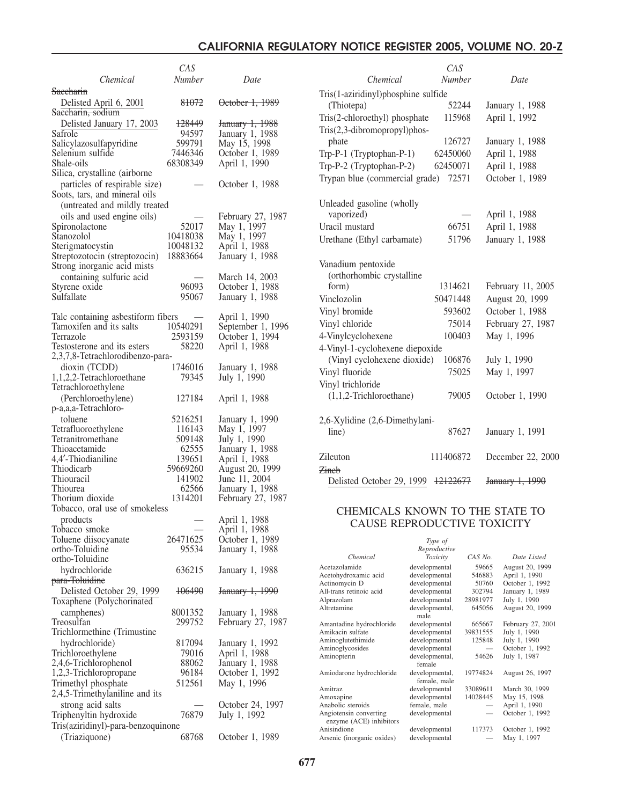|                                    | CAS                      |                            |                                        | CAS                            |          |                   |
|------------------------------------|--------------------------|----------------------------|----------------------------------------|--------------------------------|----------|-------------------|
| Chemical                           | <b>Number</b>            | Date                       | Chemical                               | Number                         |          | Date              |
|                                    |                          |                            |                                        |                                |          |                   |
| <b>Saecharin</b>                   |                          |                            | Tris(1-aziridinyl)phosphine sulfide    |                                |          |                   |
| Delisted April 6, 2001             | 81072                    | October 1, 1989            | (Thiotepa)                             | 52244                          |          | January 1, 1988   |
| Saccharin, sodium                  |                          |                            | Tris(2-chloroethyl) phosphate          | 115968                         |          | April 1, 1992     |
| Delisted January 17, 2003          | 128449                   | January 1, 1988            |                                        |                                |          |                   |
| Safrole                            | 94597                    | January 1, 1988            | Tris(2,3-dibromopropyl)phos-           |                                |          |                   |
| Salicylazosulfapyridine            | 599791                   | May 15, 1998               | phate                                  | 126727                         |          | January 1, 1988   |
| Selenium sulfide                   | 7446346                  | October 1, 1989            | Trp-P-1 (Tryptophan-P-1)               | 62450060                       |          | April 1, 1988     |
| Shale-oils                         | 68308349                 | April 1, 1990              |                                        |                                |          |                   |
| Silica, crystalline (airborne      |                          |                            | Trp-P-2 (Tryptophan-P-2)               | 62450071                       |          | April 1, 1988     |
|                                    |                          |                            | Trypan blue (commercial grade)         | 72571                          |          | October 1, 1989   |
| particles of respirable size)      |                          | October 1, 1988            |                                        |                                |          |                   |
| Soots, tars, and mineral oils      |                          |                            |                                        |                                |          |                   |
| (untreated and mildly treated      |                          |                            | Unleaded gasoline (wholly              |                                |          |                   |
| oils and used engine oils)         |                          | February 27, 1987          | vaporized)                             |                                |          | April 1, 1988     |
| Spironolactone                     | 52017                    | May 1, 1997                | Uracil mustard                         | 66751                          |          | April 1, 1988     |
| Stanozolol                         | 10418038                 | May 1, 1997                |                                        | 51796                          |          |                   |
| Sterigmatocystin                   | 10048132                 | April 1, 1988              | Urethane (Ethyl carbamate)             |                                |          | January 1, 1988   |
| Streptozotocin (streptozocin)      | 18883664                 | January 1, 1988            |                                        |                                |          |                   |
| Strong inorganic acid mists        |                          |                            | Vanadium pentoxide                     |                                |          |                   |
|                                    |                          |                            | (orthorhombic crystalline              |                                |          |                   |
| containing sulfuric acid           | $\qquad \qquad -$        | March 14, 2003             |                                        |                                |          |                   |
| Styrene oxide                      | 96093                    | October 1, 1988            | form)                                  | 1314621                        |          | February 11, 2005 |
| Sulfallate                         | 95067                    | January 1, 1988            | Vinclozolin                            | 50471448                       |          | August 20, 1999   |
|                                    |                          |                            | Vinyl bromide                          | 593602                         |          | October 1, 1988   |
| Talc containing asbestiform fibers | $\overline{\phantom{m}}$ | April 1, 1990              |                                        |                                |          |                   |
| Tamoxifen and its salts            | 10540291                 | September 1, 1996          | Vinyl chloride                         | 75014                          |          | February 27, 1987 |
| Terrazole                          | 2593159                  | October 1, 1994            | 4-Vinylcyclohexene                     | 100403                         |          | May 1, 1996       |
| Testosterone and its esters        | 58220                    | April 1, 1988              | 4-Vinyl-1-cyclohexene diepoxide        |                                |          |                   |
| 2,3,7,8-Tetrachlorodibenzo-para-   |                          |                            | (Vinyl cyclohexene dioxide)            | 106876                         |          | July 1, 1990      |
| dioxin (TCDD)                      | 1746016                  | January 1, 1988            |                                        |                                |          |                   |
| 1,1,2,2-Tetrachloroethane          | 79345                    | July 1, 1990               | Vinyl fluoride                         | 75025                          |          | May 1, 1997       |
| Tetrachloroethylene                |                          |                            | Vinyl trichloride                      |                                |          |                   |
| (Perchloroethylene)                | 127184                   | April 1, 1988              | $(1,1,2$ -Trichloroethane)             | 79005                          |          | October 1, 1990   |
|                                    |                          |                            |                                        |                                |          |                   |
| p-a,a,a-Tetrachloro-               |                          |                            |                                        |                                |          |                   |
| toluene                            | 5216251                  | January 1, 1990            | 2,6-Xylidine (2,6-Dimethylani-         |                                |          |                   |
| Tetrafluoroethylene                | 116143                   | May 1, 1997                | line)                                  | 87627                          |          | January 1, 1991   |
| Tetranitromethane                  | 509148                   | July 1, 1990               |                                        |                                |          |                   |
| Thioacetamide                      | 62555                    | January 1, 1988            |                                        |                                |          |                   |
| 4,4'-Thiodianiline                 | 139651                   | April 1, 1988              | Zileuton                               | 111406872                      |          | December 22, 2000 |
| Thiodicarb                         | 59669260                 | August 20, 1999            | <b>Zineb</b>                           |                                |          |                   |
| Thiouracil                         | 141902                   | June 11, 2004              | Delisted October 29, 1999 12122677     |                                |          | January 1, 1990   |
| Thiourea                           | 62566                    | January 1, 1988            |                                        |                                |          |                   |
| Thorium dioxide                    | 1314201                  | February 27, 1987          |                                        |                                |          |                   |
| Tobacco, oral use of smokeless     |                          |                            | CHEMICALS KNOWN TO THE STATE TO        |                                |          |                   |
| products                           |                          | April 1, 1988              |                                        |                                |          |                   |
| Tobacco smoke                      |                          | April 1, 1988              |                                        | CAUSE REPRODUCTIVE TOXICITY    |          |                   |
| Toluene diisocyanate               | 26471625                 | October 1, 1989            |                                        |                                |          |                   |
| ortho-Toluidine                    | 95534                    | January 1, 1988            |                                        | Type of<br>Reproductive        |          |                   |
| ortho-Toluidine                    |                          |                            | Chemical                               | <b>Toxicity</b>                | CAS No.  | Date Listed       |
|                                    |                          |                            | Acetazolamide                          | developmental                  | 59665    | August 20, 1999   |
| hydrochloride                      | 636215                   | January 1, 1988            | Acetohydroxamic acid                   | developmental                  | 546883   | April 1, 1990     |
| para-Toluidine                     |                          |                            | Actinomycin D                          | developmental                  | 50760    | October 1, 1992   |
| Delisted October 29, 1999          | 106490                   | <del>January 1, 1990</del> | All-trans retinoic acid                | developmental                  | 302794   | January 1, 1989   |
| Toxaphene (Polychorinated          |                          |                            | Alprazolam                             | developmental                  | 28981977 | July 1, 1990      |
| camphenes)                         | 8001352                  | January 1, 1988            | Altretamine                            | developmental,                 | 645056   | August 20, 1999   |
| Treosulfan                         | 299752                   | February 27, 1987          | Amantadine hydrochloride               | male<br>developmental          | 665667   | February 27, 2001 |
| Trichlormethine (Trimustine)       |                          |                            | Amikacin sulfate                       | developmental                  | 39831555 | July 1, 1990      |
| hydrochloride)                     | 817094                   | January 1, 1992            | Aminoglutethimide                      | developmental                  | 125848   | July 1, 1990      |
| Trichloroethylene                  | 79016                    | April 1, 1988              | Aminoglycosides                        | developmental                  |          | October 1, 1992   |
|                                    |                          |                            | Aminopterin                            | developmental,                 | 54626    | July 1, 1987      |
| 2,4,6-Trichlorophenol              | 88062                    | January 1, 1988            |                                        | female                         |          |                   |
| 1,2,3-Trichloropropane             | 96184                    | October 1, 1992            | Amiodarone hydrochloride               | developmental,<br>female, male | 19774824 | August 26, 1997   |
| Trimethyl phosphate                | 512561                   | May 1, 1996                | Amitraz                                | developmental                  | 33089611 | March 30, 1999    |
| 2,4,5-Trimethylaniline and its     |                          |                            | Amoxapine                              | developmental                  | 14028445 | May 15, 1998      |
| strong acid salts                  |                          | October 24, 1997           | Anabolic steroids                      | female, male                   |          | April 1, 1990     |
| Triphenyltin hydroxide             | 76879                    | July 1, 1992               | Angiotensin converting                 | developmental                  |          | October 1, 1992   |
| Tris(aziridinyl)-para-benzoquinone |                          |                            | enzyme (ACE) inhibitors<br>Anisindione | developmental                  | 117373   | October 1, 1992   |
|                                    |                          |                            |                                        |                                |          |                   |
| (Triaziquone)                      | 68768                    | October 1, 1989            | Arsenic (inorganic oxides)             | developmental                  |          | May 1, 1997       |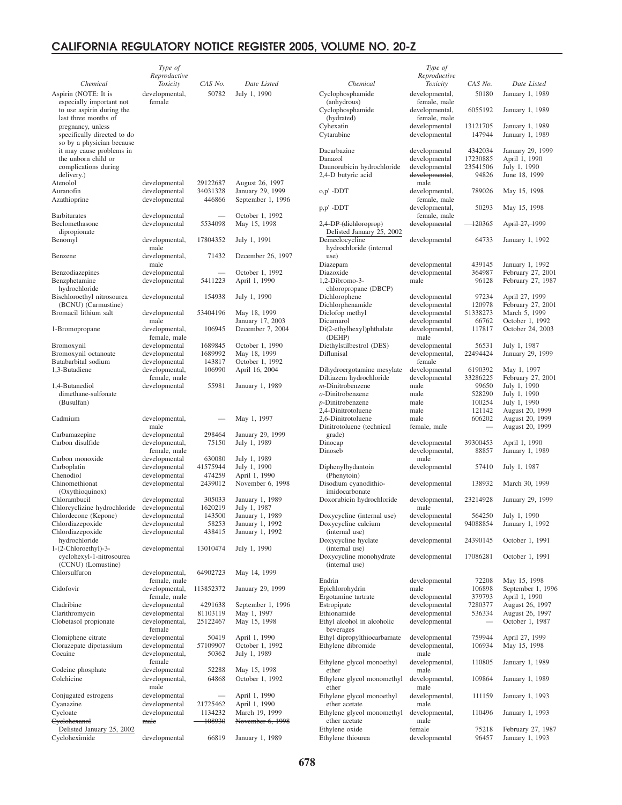|                                                       | Type of                        |                          |                                       |                                                   | Type of                        |                          |                                     |
|-------------------------------------------------------|--------------------------------|--------------------------|---------------------------------------|---------------------------------------------------|--------------------------------|--------------------------|-------------------------------------|
|                                                       | Reproductive                   |                          |                                       |                                                   | Reproductive                   |                          |                                     |
| Chemical                                              | Toxicity                       | CAS No.                  | Date Listed                           | Chemical                                          | <b>Toxicity</b>                | CAS No.                  | Date Listed                         |
| Aspirin (NOTE: It is<br>especially important not      | developmental,<br>female       | 50782                    | July 1, 1990                          | Cyclophosphamide<br>(anhydrous)                   | developmental,<br>female, male | 50180                    | January 1, 1989                     |
| to use aspirin during the                             |                                |                          |                                       | Cyclophosphamide                                  | developmental,                 | 6055192                  | January 1, 1989                     |
| last three months of                                  |                                |                          |                                       | (hydrated)                                        | female, male                   |                          |                                     |
| pregnancy, unless                                     |                                |                          |                                       | Cyhexatin                                         | developmental                  | 13121705                 | January 1, 1989                     |
| specifically directed to do                           |                                |                          |                                       | Cytarabine                                        | developmental                  | 147944                   | January 1, 1989                     |
| so by a physician because<br>it may cause problems in |                                |                          |                                       | Dacarbazine                                       | developmental                  | 4342034                  | January 29, 1999                    |
| the unborn child or                                   |                                |                          |                                       | Danazol                                           | developmental                  | 17230885                 | April 1, 1990                       |
| complications during                                  |                                |                          |                                       | Daunorubicin hydrochloride                        | developmental                  | 23541506                 | July 1, 1990                        |
| delivery.)                                            |                                |                          |                                       | 2,4-D butyric acid                                | developmental,                 | 94826                    | June 18, 1999                       |
| Atenolol                                              | developmental                  | 29122687                 | August 26, 1997                       |                                                   | male                           |                          |                                     |
| Auranofin<br>Azathioprine                             | developmental<br>developmental | 34031328<br>446866       | January 29, 1999<br>September 1, 1996 | o,p' -DDT                                         | developmental,<br>female, male | 789026                   | May 15, 1998                        |
|                                                       |                                |                          |                                       | p,p' -DDT                                         | developmental,                 | 50293                    | May 15, 1998                        |
| <b>Barbiturates</b>                                   | developmental                  |                          | October 1, 1992                       |                                                   | female, male                   |                          |                                     |
| Beclomethasone                                        | developmental                  | 5534098                  | May 15, 1998                          | 2,4-DP (diehloroprop)                             | developmental                  | $-120365$                | April 27, 1999                      |
| dipropionate                                          |                                |                          |                                       | Delisted January 25, 2002                         |                                |                          |                                     |
| Benomyl                                               | developmental,<br>male         | 17804352                 | July 1, 1991                          | Demeclocycline<br>hydrochloride (internal         | developmental                  | 64733                    | January 1, 1992                     |
| Benzene                                               | developmental,                 | 71432                    | December 26, 1997                     | use)                                              |                                |                          |                                     |
|                                                       | male                           |                          |                                       | Diazepam                                          | developmental                  | 439145                   | January 1, 1992                     |
| Benzodiazepines                                       | developmental                  | ۰                        | October 1, 1992                       | Diazoxide                                         | developmental                  | 364987                   | February 27, 2001                   |
| Benzphetamine                                         | developmental                  | 5411223                  | April 1, 1990                         | 1,2-Dibromo-3-                                    | male                           | 96128                    | February 27, 1987                   |
| hydrochloride                                         |                                |                          |                                       | chloropropane (DBCP)                              |                                |                          |                                     |
| Bischloroethyl nitrosourea<br>(BCNU) (Carmustine)     | developmental                  | 154938                   | July 1, 1990                          | Dichlorophene                                     | developmental                  | 97234<br>120978          | April 27, 1999<br>February 27, 2001 |
| Bromacil lithium salt                                 | developmental                  | 53404196                 | May 18, 1999                          | Dichlorphenamide<br>Diclofop methyl               | developmental<br>developmental | 51338273                 | March 5, 1999                       |
|                                                       | male                           |                          | January 17, 2003                      | Dicumarol                                         | developmental                  | 66762                    | October 1, 1992                     |
| 1-Bromopropane                                        | developmental,                 | 106945                   | December 7, 2004                      | Di(2-ethylhexyl)phthalate                         | developmental,                 | 117817                   | October 24, 2003                    |
|                                                       | female, male                   |                          |                                       | (DEHP)                                            | male                           |                          |                                     |
| Bromoxynil                                            | developmental                  | 1689845                  | October 1, 1990                       | Diethylstilbestrol (DES)                          | developmental                  | 56531                    | July 1, 1987                        |
| Bromoxynil octanoate<br>Butabarbital sodium           | developmental<br>developmental | 1689992<br>143817        | May 18, 1999<br>October 1, 1992       | Diflunisal                                        | developmental,<br>female       | 22494424                 | January 29, 1999                    |
| 1,3-Butadiene                                         | developmental,                 | 106990                   | April 16, 2004                        | Dihydroergotamine mesylate                        | developmental                  | 6190392                  | May 1, 1997                         |
|                                                       | female, male                   |                          |                                       | Diltiazem hydrochloride                           | developmental                  | 33286225                 | February 27, 2001                   |
| 1,4-Butanediol                                        | developmental                  | 55981                    | January 1, 1989                       | $m$ -Dinitrobenzene                               | male                           | 99650                    | July 1, 1990                        |
| dimethane-sulfonate                                   |                                |                          |                                       | $o$ -Dinitrobenzene                               | male                           | 528290                   | July 1, 1990                        |
| (Busulfan)                                            |                                |                          |                                       | $p$ -Dinitrobenzene                               | male                           | 100254                   | July 1, 1990                        |
| Cadmium                                               | developmental,                 |                          | May 1, 1997                           | 2,4-Dinitrotoluene<br>2,6-Dinitrotoluene          | male<br>male                   | 121142<br>606202         | August 20, 1999<br>August 20, 1999  |
|                                                       | male                           |                          |                                       | Dinitrotoluene (technical                         | female, male                   | $\overline{\phantom{0}}$ | August 20, 1999                     |
| Carbamazepine                                         | developmental                  | 298464                   | January 29, 1999                      | grade)                                            |                                |                          |                                     |
| Carbon disulfide                                      | developmental,                 | 75150                    | July 1, 1989                          | Dinocap                                           | developmental                  | 39300453                 | April 1, 1990                       |
|                                                       | female, male                   |                          |                                       | Dinoseb                                           | developmental,                 | 88857                    | January 1, 1989                     |
| Carbon monoxide                                       | developmental                  | 630080                   | July 1, 1989                          | Diphenylhydantoin                                 | male                           |                          |                                     |
| Carboplatin<br>Chenodiol                              | developmental<br>developmental | 41575944<br>474259       | July 1, 1990<br>April 1, 1990         | (Phenytoin)                                       | developmental                  | 57410                    | July 1, 1987                        |
| Chinomethionat                                        | developmental                  | 2439012                  | November 6, 1998                      | Disodium cyanodithio-                             | developmental                  | 138932                   | March 30, 1999                      |
| (Oxythioquinox)                                       |                                |                          |                                       | imidocarbonate                                    |                                |                          |                                     |
| Chlorambucil                                          | developmental                  | 305033                   | January 1, 1989                       | Doxorubicin hydrochloride                         | developmental,                 | 23214928                 | January 29, 1999                    |
| Chlorcyclizine hydrochloride                          | developmental                  | 1620219                  | July 1, 1987                          |                                                   | male                           |                          |                                     |
| Chlordecone (Kepone)<br>Chlordiazepoxide              | developmental                  | 143500                   | January 1, 1989<br>January 1, 1992    | Doxycycline (internal use)<br>Doxycycline calcium | developmental<br>developmental | 564250<br>94088854       | July 1, 1990<br>January 1, 1992     |
| Chlordiazepoxide                                      | developmental<br>developmental | 58253<br>438415          | January 1, 1992                       | (internal use)                                    |                                |                          |                                     |
| hydrochloride                                         |                                |                          |                                       | Doxycycline hyclate                               | developmental                  | 24390145                 | October 1, 1991                     |
| $1-(2-Chloroethyl)-3-$                                | developmental                  | 13010474                 | July 1, 1990                          | (internal use)                                    |                                |                          |                                     |
| cyclohexyl-1-nitrosourea                              |                                |                          |                                       | Doxycycline monohydrate                           | developmental                  | 17086281                 | October 1, 1991                     |
| (CCNU) (Lomustine)                                    |                                |                          |                                       | (internal use)                                    |                                |                          |                                     |
| Chlorsulfuron                                         | developmental,<br>female, male | 64902723                 | May 14, 1999                          | Endrin                                            | developmental                  | 72208                    | May 15, 1998                        |
| Cidofovir                                             | developmental,                 | 113852372                | January 29, 1999                      | Epichlorohydrin                                   | male                           | 106898                   | September 1, 1996                   |
|                                                       | female, male                   |                          |                                       | Ergotamine tartrate                               | developmental                  | 379793                   | April 1, 1990                       |
| Cladribine                                            | developmental                  | 4291638                  | September 1, 1996                     | Estropipate                                       | developmental                  | 7280377                  | August 26, 1997                     |
| Clarithromycin                                        | developmental                  | 81103119                 | May 1, 1997                           | Ethionamide                                       | developmental                  | 536334                   | August 26, 1997                     |
| Clobetasol propionate                                 | developmental,                 | 25122467                 | May 15, 1998                          | Ethyl alcohol in alcoholic                        | developmental                  |                          | October 1, 1987                     |
| Clomiphene citrate                                    | female<br>developmental        | 50419                    | April 1, 1990                         | beverages<br>Ethyl dipropylthiocarbamate          | developmental                  | 759944                   | April 27, 1999                      |
| Clorazepate dipotassium                               | developmental                  | 57109907                 | October 1, 1992                       | Ethylene dibromide                                | developmental,                 | 106934                   | May 15, 1998                        |
| Cocaine                                               | developmental,                 | 50362                    | July 1, 1989                          |                                                   | male                           |                          |                                     |
|                                                       | female                         |                          |                                       | Ethylene glycol monoethyl                         | developmental,                 | 110805                   | January 1, 1989                     |
| Codeine phosphate                                     | developmental                  | 52288                    | May 15, 1998                          | ether                                             | male                           |                          |                                     |
| Colchicine                                            | developmental,                 | 64868                    | October 1, 1992                       | Ethylene glycol monomethyl                        | developmental,                 | 109864                   | January 1, 1989                     |
| Conjugated estrogens                                  | male<br>developmental          | $\overline{\phantom{0}}$ |                                       | ether                                             | male                           |                          |                                     |
| Cyanazine                                             | developmental                  | 21725462                 | April 1, 1990<br>April 1, 1990        | Ethylene glycol monoethyl<br>ether acetate        | developmental,<br>male         | 111159                   | January 1, 1993                     |
| Cycloate                                              | developmental                  | 1134232                  | March 19, 1999                        | Ethylene glycol monomethyl                        | developmental,                 | 110496                   | January 1, 1993                     |
| Eyelohexanol                                          | male                           | 108930                   | November 6, 1998                      | ether acetate                                     | male                           |                          |                                     |
| Delisted January 25, 2002                             |                                |                          |                                       | Ethylene oxide                                    | female                         | 75218                    | February 27, 1987                   |
| Cycloheximide                                         | developmental                  | 66819                    | January 1, 1989                       | Ethylene thiourea                                 | developmental                  | 96457                    | January 1, 1993                     |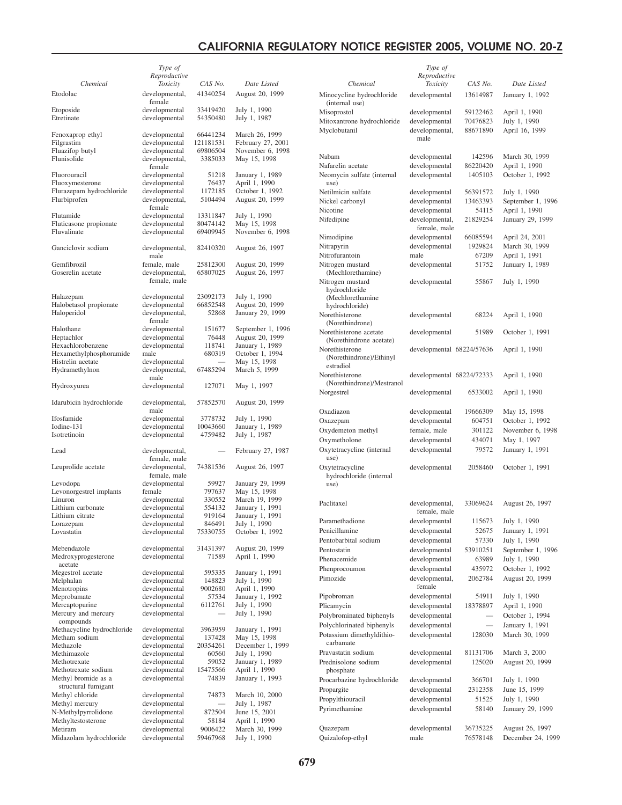|                                            | Type of                         |                      |                               |
|--------------------------------------------|---------------------------------|----------------------|-------------------------------|
| Chemical                                   | Reproductive                    | CAS No.              | Date Listed                   |
|                                            | Toxicity                        |                      |                               |
| Etodolac                                   | developmental,<br>female        | 41340254             | August 20, 1999               |
| Etoposide<br>Etretinate                    | developmental<br>developmental  | 33419420<br>54350480 | July 1, 1990<br>July 1, 1987  |
| Fenoxaprop ethyl                           | developmental                   | 66441234             | March 26, 1999                |
| Filgrastim                                 | developmental                   | 121181531            | February 27, 2001             |
| Fluazifop butyl                            | developmental                   | 69806504             | November 6, 1998              |
| Flunisolide                                | developmental,<br>female        | 3385033              | May 15, 1998                  |
| Fluorouracil                               | developmental                   | 51218                | January 1, 1989               |
| Fluoxymesterone                            | developmental                   | 76437                | April 1, 1990                 |
| Flurazepam hydrochloride                   | developmental                   | 1172185              | October 1, 1992               |
| Flurbiprofen                               | developmental,<br>female        | 5104494              | August 20, 1999               |
| Flutamide                                  | developmental                   | 13311847             | July 1, 1990                  |
| Fluticasone propionate                     | developmental                   | 80474142             | May 15, 1998                  |
| Fluvalinate                                | developmental                   | 69409945             | November 6, 1998              |
| Ganciclovir sodium                         | developmental,<br>male          | 82410320             | August 26, 1997               |
| Gemfibrozil                                | female, male                    | 25812300             | August 20, 1999               |
| Goserelin acetate                          | developmental,<br>female, male  | 65807025             | August 26, 1997               |
|                                            |                                 |                      |                               |
| Halazepam                                  | developmental                   | 23092173<br>66852548 | July 1, 1990                  |
| Halobetasol propionate<br>Haloperidol      | developmental<br>developmental, | 52868                | August 20, 1999               |
|                                            | female                          |                      | January 29, 1999              |
| Halothane                                  | developmental                   | 151677               | September 1, 1996             |
| Heptachlor                                 | developmental                   | 76448                | August 20, 1999               |
| Hexachlorobenzene                          | developmental                   | 118741               | January 1, 1989               |
| Hexamethylphosphoramide                    | male                            | 680319               | October 1, 1994               |
| Histrelin acetate                          | developmental                   |                      | May 15, 1998                  |
| Hydramethylnon                             | developmental,<br>male          | 67485294             | March 5, 1999                 |
| Hydroxyurea                                | developmental                   | 127071               | May 1, 1997                   |
| Idarubicin hydrochloride                   | developmental,<br>male          | 57852570             | August 20, 1999               |
| Ifosfamide                                 | developmental                   | 3778732              | July 1, 1990                  |
| Iodine-131                                 | developmental                   | 10043660             | January 1, 1989               |
| Isotretinoin                               | developmental                   | 4759482              | July 1, 1987                  |
| Lead                                       | developmental,<br>female, male  |                      | February 27, 1987             |
| Leuprolide acetate                         | developmental,<br>female, male  | 74381536             | August 26, 1997               |
| Levodopa                                   | developmental                   | 59927                | January 29, 1999              |
| Levonorgestrel implants                    | female                          | 797637               | May 15, 1998                  |
| Linuron                                    | developmental                   | 330552               | March 19, 1999                |
| Lithium carbonate                          | developmental                   | 554132               | January 1, 1991               |
| Lithium citrate                            | developmental                   | 919164               | January 1, 1991               |
| Lorazepam                                  | developmental                   | 846491               | July 1, 1990                  |
| Lovastatin                                 | developmental                   | 75330755             | October 1, 1992               |
| Mebendazole                                | developmental                   | 31431397             | August 20, 1999               |
| Medroxyprogesterone                        | developmental                   | 71589                | April 1, 1990                 |
| acetate                                    |                                 |                      |                               |
| Megestrol acetate<br>Melphalan             | developmental<br>developmental  | 595335<br>148823     | January 1, 1991               |
| Menotropins                                | developmental                   | 9002680              | July 1, 1990<br>April 1, 1990 |
| Meprobamate                                | developmental                   | 57534                | January 1, 1992               |
| Mercaptopurine                             | developmental                   | 6112761              | July 1, 1990                  |
| Mercury and mercury<br>compounds           | developmental                   |                      | July 1, 1990                  |
| Methacycline hydrochloride                 | developmental                   | 3963959              | January 1, 1991               |
| Metham sodium                              | developmental                   | 137428               | May 15, 1998                  |
| Methazole                                  | developmental                   | 20354261             | December 1, 1999              |
| Methimazole                                | developmental                   | 60560                | July 1, 1990                  |
| Methotrexate                               | developmental                   | 59052                | January 1, 1989               |
| Methotrexate sodium                        | developmental                   | 15475566             | April 1, 1990                 |
| Methyl bromide as a<br>structural fumigant | developmental                   | 74839                | January 1, 1993               |
| Methyl chloride                            | developmental                   | 74873                | March 10, 2000                |
| Methyl mercury                             | developmental                   |                      | July 1, 1987                  |
| N-Methylpyrrolidone                        | developmental                   | 872504               | June 15, 2001                 |
| Methyltestosterone                         | developmental                   | 58184                | April 1, 1990                 |
| Metiram                                    | developmental                   | 9006422              | March 30, 1999                |
| Midazolam hydrochloride                    | developmental                   | 59467968             | July 1, 1990                  |

|                                                   |                                                    | Type of<br>Reproductive        |          |                   |
|---------------------------------------------------|----------------------------------------------------|--------------------------------|----------|-------------------|
| Date Listed                                       | Chemical                                           | Toxicity                       | CAS No.  | Date Listed       |
| gust 20, 1999                                     | Minocycline hydrochloride<br>(internal use)        | developmental                  | 13614987 | January 1, 1992   |
| y 1, 1990                                         | Misoprostol                                        | developmental                  | 59122462 | April 1, 1990     |
| y 1, 1987                                         | Mitoxantrone hydrochloride                         | developmental                  | 70476823 | July 1, 1990      |
|                                                   | Myclobutanil                                       | developmental,                 | 88671890 | April 16, 1999    |
| rch 26, 1999<br>oruary 27, 2001<br>vember 6, 1998 |                                                    | male                           |          |                   |
| y 15, 1998                                        | Nabam                                              | developmental                  | 142596   | March 30, 1999    |
|                                                   | Nafarelin acetate                                  | developmental                  | 86220420 | April 1, 1990     |
| uary 1, 1989<br>ril 1, 1990                       | Neomycin sulfate (internal<br>use)                 | developmental                  | 1405103  | October 1, 1992   |
| tober 1, 1992                                     | Netilmicin sulfate                                 | developmental                  | 56391572 | July 1, 1990      |
| gust 20, 1999                                     | Nickel carbonyl                                    | developmental                  | 13463393 | September 1, 1996 |
| y 1, 1990                                         | Nicotine                                           | developmental                  | 54115    | April 1, 1990     |
| y 15, 1998                                        | Nifedipine                                         | developmental,<br>female, male | 21829254 | January 29, 1999  |
| vember 6, 1998                                    | Nimodipine                                         | developmental                  | 66085594 | April 24, 2001    |
|                                                   | Nitrapyrin                                         | developmental                  | 1929824  | March 30, 1999    |
| gust 26, 1997                                     | Nitrofurantoin                                     | male                           | 67209    | April 1, 1991     |
| gust 20, 1999                                     | Nitrogen mustard                                   | developmental                  | 51752    | January 1, 1989   |
| gust 26, 1997                                     | (Mechlorethamine)<br>Nitrogen mustard              | developmental                  | 55867    | July 1, 1990      |
|                                                   | hydrochloride                                      |                                |          |                   |
| y 1, 1990                                         | (Mechlorethamine                                   |                                |          |                   |
| gust 20, 1999                                     | hydrochloride)                                     |                                |          |                   |
| uary 29, 1999                                     | Norethisterone                                     | developmental                  | 68224    | April 1, 1990     |
|                                                   | (Norethindrone)                                    |                                |          |                   |
| stember 1, 1996<br>gust 20, 1999                  | Norethisterone acetate                             | developmental                  | 51989    | October 1, 1991   |
| uary 1, 1989                                      | (Norethindrone acetate)                            |                                |          |                   |
| tober 1, 1994                                     | Norethisterone                                     | developmental 68224/57636      |          | April 1, 1990     |
| y 15, 1998                                        | (Norethindrone)/Ethinyl<br>estradiol               |                                |          |                   |
| rch 5, 1999                                       | Norethisterone                                     | developmental 68224/72333      |          | April 1, 1990     |
|                                                   | (Norethindrone)/Mestranol                          |                                |          |                   |
| y 1, 1997                                         | Norgestrel                                         | developmental                  | 6533002  | April 1, 1990     |
| gust 20, 1999                                     |                                                    |                                |          |                   |
|                                                   | Oxadiazon                                          | developmental                  | 19666309 | May 15, 1998      |
| y 1, 1990                                         | Oxazepam                                           | developmental                  | 604751   | October 1, 1992   |
| uary 1, 1989                                      | Oxydemeton methyl                                  | female, male                   | 301122   | November 6, 1998  |
| y 1, 1987                                         | Oxymetholone                                       | developmental                  | 434071   | May 1, 1997       |
| pruary 27, 1987                                   | Oxytetracycline (internal                          | developmental                  | 79572    | January 1, 1991   |
|                                                   | use)                                               |                                |          |                   |
| gust 26, 1997<br>uary 29, 1999                    | Oxytetracycline<br>hydrochloride (internal<br>use) | developmental                  | 2058460  | October 1, 1991   |
| y 15, 1998                                        |                                                    |                                |          |                   |
| rch 19, 1999                                      | Paclitaxel                                         | developmental,                 | 33069624 | August 26, 1997   |
| uary 1, 1991                                      |                                                    | female, male                   |          |                   |
| uary 1, 1991<br>y 1, 1990                         | Paramethadione                                     | developmental                  | 115673   | July 1, 1990      |
| tober 1, 1992                                     | Penicillamine                                      | developmental                  | 52675    | January 1, 1991   |
|                                                   | Pentobarbital sodium                               | developmental                  | 57330    | July 1, 1990      |
| gust 20, 1999                                     | Pentostatin                                        | developmental                  | 53910251 | September 1, 1996 |
| ril 1, 1990                                       | Phenacemide                                        | developmental                  | 63989    | July 1, 1990      |
|                                                   | Phenprocoumon                                      | developmental                  | 435972   | October 1, 1992   |
| uary 1, 1991<br>y 1, 1990                         | Pimozide                                           | developmental,                 | 2062784  | August 20, 1999   |
| ril 1, 1990                                       |                                                    | female                         |          |                   |
| uary 1, 1992                                      | Pipobroman                                         | developmental                  | 54911    | July 1, 1990      |
| y 1, 1990                                         | Plicamycin                                         | developmental                  | 18378897 | April 1, 1990     |
| y 1, 1990                                         | Polybrominated biphenyls                           | developmental                  |          | October 1, 1994   |
|                                                   | Polychlorinated biphenyls                          | developmental                  |          | January 1, 1991   |
| uary 1, 1991                                      | Potassium dimethyldithio-                          | developmental                  | 128030   | March 30, 1999    |
| y 15, 1998<br>cember 1, 1999                      | carbamate                                          |                                |          |                   |
| y 1, 1990                                         | Pravastatin sodium                                 | developmental                  | 81131706 | March 3, 2000     |
| uary 1, 1989                                      | Prednisolone sodium                                | developmental                  | 125020   | August 20, 1999   |
| ril 1, 1990                                       | phosphate                                          |                                |          |                   |
| uary 1, 1993                                      | Procarbazine hydrochloride                         | developmental                  | 366701   | July 1, 1990      |
|                                                   | Propargite                                         | developmental                  | 2312358  | June 15, 1999     |
| rch 10, 2000                                      | Propylthiouracil                                   | developmental                  | 51525    | July 1, 1990      |
| y 1, 1987                                         | Pyrimethamine                                      | developmental                  | 58140    | January 29, 1999  |
| e 15, 2001<br>ril 1, 1990                         |                                                    |                                |          |                   |
| rch 30, 1999                                      | Quazepam                                           | developmental                  | 36735225 | August 26, 1997   |
| y 1, 1990                                         | Quizalofop-ethyl                                   | male                           | 76578148 | December 24, 1999 |
|                                                   |                                                    |                                |          |                   |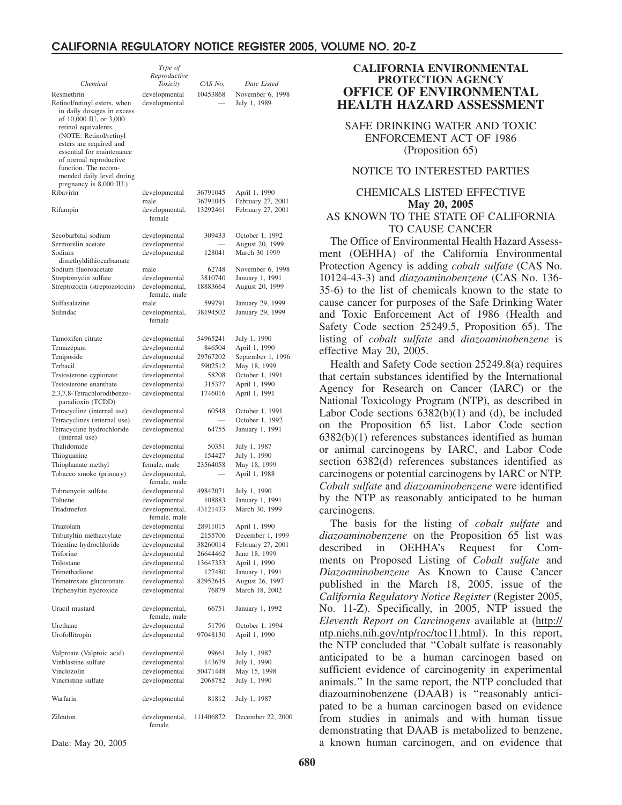|                                                      | Type of                         |                      |                                    |
|------------------------------------------------------|---------------------------------|----------------------|------------------------------------|
|                                                      | Reproductive                    |                      |                                    |
| Chemical                                             | Toxicity                        | CAS No.              | Date Listed                        |
| Resmethrin                                           | developmental                   | 10453868             | November 6, 1998                   |
| Retinol/retinyl esters, when                         | developmental                   |                      | July 1, 1989                       |
| in daily dosages in excess<br>of 10,000 IU, or 3,000 |                                 |                      |                                    |
| retinol equivalents.                                 |                                 |                      |                                    |
| (NOTE: Retinol/retinyl                               |                                 |                      |                                    |
| esters are required and                              |                                 |                      |                                    |
| essential for maintenance                            |                                 |                      |                                    |
| of normal reproductive<br>function. The recom-       |                                 |                      |                                    |
| mended daily level during                            |                                 |                      |                                    |
| pregnancy is 8,000 IU.)                              |                                 |                      |                                    |
| Ribavirin                                            | developmental                   | 36791045             | April 1, 1990                      |
|                                                      | male                            | 36791045             | February 27, 2001                  |
| Rifampin                                             | developmental,<br>female        | 13292461             | February 27, 2001                  |
|                                                      |                                 |                      |                                    |
| Secobarbital sodium                                  | developmental                   | 309433               | October 1, 1992                    |
| Sermorelin acetate                                   | developmental                   |                      | August 20, 1999                    |
| Sodium                                               | developmental                   | 128041               | March 30 1999                      |
| dimethyldithiocarbamate                              |                                 |                      |                                    |
| Sodium fluoroacetate<br>Streptomycin sulfate         | male                            | 62748<br>3810740     | November 6, 1998                   |
| Streptozocin (streptozotocin)                        | developmental<br>developmental, | 18883664             | January 1, 1991<br>August 20, 1999 |
|                                                      | female, male                    |                      |                                    |
| Sulfasalazine                                        | male                            | 599791               | January 29, 1999                   |
| Sulindac                                             | developmental,                  | 38194502             | January 29, 1999                   |
|                                                      | female                          |                      |                                    |
|                                                      |                                 |                      |                                    |
| Tamoxifen citrate                                    | developmental                   | 54965241<br>846504   | July 1, 1990                       |
| Temazepam<br>Teniposide                              | developmental<br>developmental  | 29767202             | April 1, 1990<br>September 1, 1996 |
| Terbacil                                             | developmental                   | 5902512              | May 18, 1999                       |
| Testosterone cypionate                               | developmental                   | 58208                | October 1, 1991                    |
| Testosterone enanthate                               | developmental                   | 315377               | April 1, 1990                      |
| 2,3,7,8-Tetrachlorodibenzo-                          | developmental                   | 1746016              | April 1, 1991                      |
| paradioxin (TCDD)                                    |                                 |                      |                                    |
| Tetracycline (internal use)                          | developmental                   | 60548                | October 1, 1991                    |
| Tetracyclines (internal use)                         | developmental                   |                      | October 1, 1992                    |
| Tetracycline hydrochloride                           | developmental                   | 64755                | January 1, 1991                    |
| (internal use)<br>Thalidomide                        | developmental                   | 50351                | July 1, 1987                       |
| Thioguanine                                          | developmental                   | 154427               | July 1, 1990                       |
| Thiophanate methyl                                   | female, male                    | 23564058             | May 18, 1999                       |
| Tobacco smoke (primary)                              | developmental,                  |                      | April 1, 1988                      |
|                                                      | female, male                    |                      |                                    |
| Tobramycin sulfate                                   | developmental                   | 49842071             | July 1, 1990                       |
| Toluene                                              | developmental                   | 108883               | January 1, 1991                    |
| Triadimefon                                          | developmental,                  | 43121433             | March 30, 1999                     |
|                                                      | female, male                    |                      |                                    |
| Triazolam                                            | developmental                   | 28911015             | April 1, 1990                      |
| Tributyltin methacrylate                             | developmental                   | 2155706              | December 1, 1999                   |
| Trientine hydrochloride<br>Triforine                 | developmental<br>developmental  | 38260014<br>26644462 | February 27, 2001<br>June 18, 1999 |
| Trilostane                                           | developmental                   | 13647353             | April 1, 1990                      |
| Trimethadione                                        | developmental                   | 127480               | January 1, 1991                    |
| Trimetrexate glucuronate                             | developmental                   | 82952645             | August 26, 1997                    |
| Triphenyltin hydroxide                               | developmental                   | 76879                | March 18, 2002                     |
|                                                      |                                 |                      |                                    |
| Uracil mustard                                       | developmental,                  | 66751                | January 1, 1992                    |
|                                                      | female, male                    |                      |                                    |
| Urethane                                             | developmental                   | 51796                | October 1, 1994                    |
| Urofollitropin                                       | developmental                   | 97048130             | April 1, 1990                      |
| Valproate (Valproic acid)                            | developmental                   | 99661                | July 1, 1987                       |
| Vinblastine sulfate                                  | developmental                   | 143679               | July 1, 1990                       |
| Vinclozolin                                          | developmental                   | 50471448             | May 15, 1998                       |
| Vincristine sulfate                                  | developmental                   | 2068782              | July 1, 1990                       |
|                                                      |                                 |                      |                                    |
| Warfarin                                             | developmental                   | 81812                | July 1, 1987                       |
| Zileuton                                             | developmental,<br>female        | 111406872            | December 22, 2000                  |

**CALIFORNIA ENVIRONMENTAL PROTECTION AGENCY OFFICE OF ENVIRONMENTAL HEALTH HAZARD ASSESSMENT**

SAFE DRINKING WATER AND TOXIC ENFORCEMENT ACT OF 1986 (Proposition 65)

#### NOTICE TO INTERESTED PARTIES

#### CHEMICALS LISTED EFFECTIVE **May 20, 2005** AS KNOWN TO THE STATE OF CALIFORNIA TO CAUSE CANCER

The Office of Environmental Health Hazard Assessment (OEHHA) of the California Environmental Protection Agency is adding *cobalt sulfate* (CAS No. 10124-43-3) and *diazoaminobenzene* (CAS No. 136- 35-6) to the list of chemicals known to the state to cause cancer for purposes of the Safe Drinking Water and Toxic Enforcement Act of 1986 (Health and Safety Code section 25249.5, Proposition 65). The listing of *cobalt sulfate* and *diazoaminobenzene* is effective May 20, 2005.

Health and Safety Code section 25249.8(a) requires that certain substances identified by the International Agency for Research on Cancer (IARC) or the National Toxicology Program (NTP), as described in Labor Code sections  $6382(b)(1)$  and (d), be included on the Proposition 65 list. Labor Code section 6382(b)(1) references substances identified as human or animal carcinogens by IARC, and Labor Code section 6382(d) references substances identified as carcinogens or potential carcinogens by IARC or NTP. *Cobalt sulfate* and *diazoaminobenzene* were identified by the NTP as reasonably anticipated to be human carcinogens.

The basis for the listing of *cobalt sulfate* and *diazoaminobenzene* on the Proposition 65 list was described in OEHHA's Request for Comments on Proposed Listing of *Cobalt sulfate* and *Diazoaminobenzene* As Known to Cause Cancer published in the March 18, 2005, issue of the *California Regulatory Notice Register* (Register 2005, No. 11-Z). Specifically, in 2005, NTP issued the *Eleventh Report on Carcinogens* available at (http:// ntp.niehs.nih.gov/ntp/roc/toc11.html). In this report, the NTP concluded that ''Cobalt sulfate is reasonably anticipated to be a human carcinogen based on sufficient evidence of carcinogenity in experimental animals.'' In the same report, the NTP concluded that diazoaminobenzene (DAAB) is ''reasonably anticipated to be a human carcinogen based on evidence from studies in animals and with human tissue demonstrating that DAAB is metabolized to benzene, a known human carcinogen, and on evidence that

Date: May 20, 2005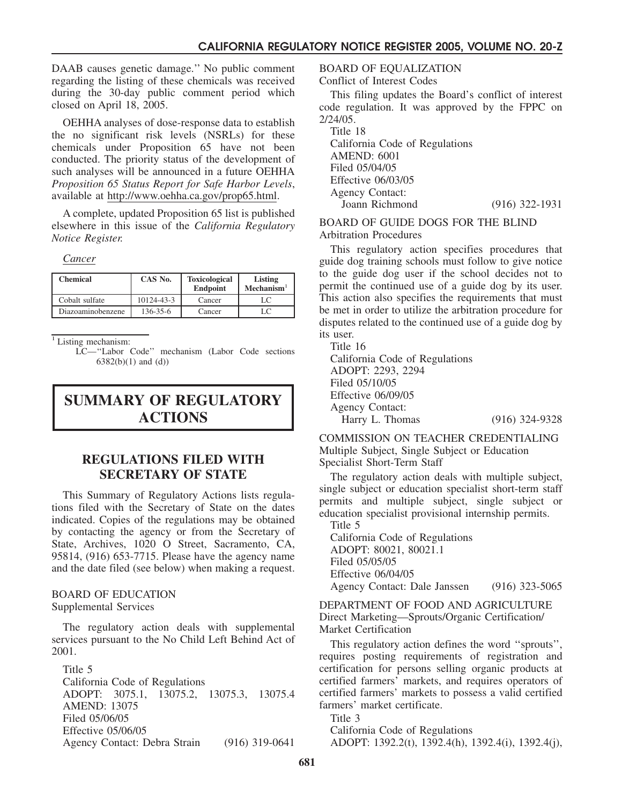DAAB causes genetic damage.'' No public comment regarding the listing of these chemicals was received during the 30-day public comment period which closed on April 18, 2005.

OEHHA analyses of dose-response data to establish the no significant risk levels (NSRLs) for these chemicals under Proposition 65 have not been conducted. The priority status of the development of such analyses will be announced in a future OEHHA *Proposition 65 Status Report for Safe Harbor Levels*, available at http://www.oehha.ca.gov/prop65.html.

A complete, updated Proposition 65 list is published elsewhere in this issue of the *California Regulatory Notice Register.*

*Cancer*

| <b>Chemical</b>   | CAS No.        | <b>Toxicological</b><br>Endpoint | Listing<br>Mechanism <sup>1</sup> |
|-------------------|----------------|----------------------------------|-----------------------------------|
| Cobalt sulfate    | 10124-43-3     | Cancer                           |                                   |
| Diazoaminobenzene | $136 - 35 - 6$ | Cancer                           | LC                                |

<sup>1</sup> Listing mechanism:

LC—''Labor Code'' mechanism (Labor Code sections 6382(b)(1) and (d))

# **SUMMARY OF REGULATORY ACTIONS**

# **REGULATIONS FILED WITH SECRETARY OF STATE**

This Summary of Regulatory Actions lists regulations filed with the Secretary of State on the dates indicated. Copies of the regulations may be obtained by contacting the agency or from the Secretary of State, Archives, 1020 O Street, Sacramento, CA, 95814, (916) 653-7715. Please have the agency name and the date filed (see below) when making a request.

#### BOARD OF EDUCATION Supplemental Services

The regulatory action deals with supplemental services pursuant to the No Child Left Behind Act of 2001.

Title 5 California Code of Regulations ADOPT: 3075.1, 13075.2, 13075.3, 13075.4 AMEND: 13075 Filed 05/06/05 Effective 05/06/05 Agency Contact: Debra Strain (916) 319-0641

BOARD OF EQUALIZATION

Conflict of Interest Codes

This filing updates the Board's conflict of interest code regulation. It was approved by the FPPC on 2/24/05.

Title 18 California Code of Regulations AMEND: 6001 Filed 05/04/05 Effective 06/03/05 Agency Contact: Joann Richmond (916) 322-1931

BOARD OF GUIDE DOGS FOR THE BLIND Arbitration Procedures

This regulatory action specifies procedures that guide dog training schools must follow to give notice to the guide dog user if the school decides not to permit the continued use of a guide dog by its user. This action also specifies the requirements that must be met in order to utilize the arbitration procedure for disputes related to the continued use of a guide dog by its user.

Title 16

California Code of Regulations ADOPT: 2293, 2294 Filed 05/10/05 Effective 06/09/05 Agency Contact: Harry L. Thomas (916) 324-9328

COMMISSION ON TEACHER CREDENTIALING Multiple Subject, Single Subject or Education Specialist Short-Term Staff

The regulatory action deals with multiple subject, single subject or education specialist short-term staff permits and multiple subject, single subject or education specialist provisional internship permits.

Title 5 California Code of Regulations ADOPT: 80021, 80021.1 Filed 05/05/05 Effective 06/04/05 Agency Contact: Dale Janssen (916) 323-5065

DEPARTMENT OF FOOD AND AGRICULTURE Direct Marketing—Sprouts/Organic Certification/ Market Certification

This regulatory action defines the word ''sprouts'', requires posting requirements of registration and certification for persons selling organic products at certified farmers' markets, and requires operators of certified farmers' markets to possess a valid certified farmers' market certificate.

Title 3

California Code of Regulations ADOPT: 1392.2(t), 1392.4(h), 1392.4(i), 1392.4(j),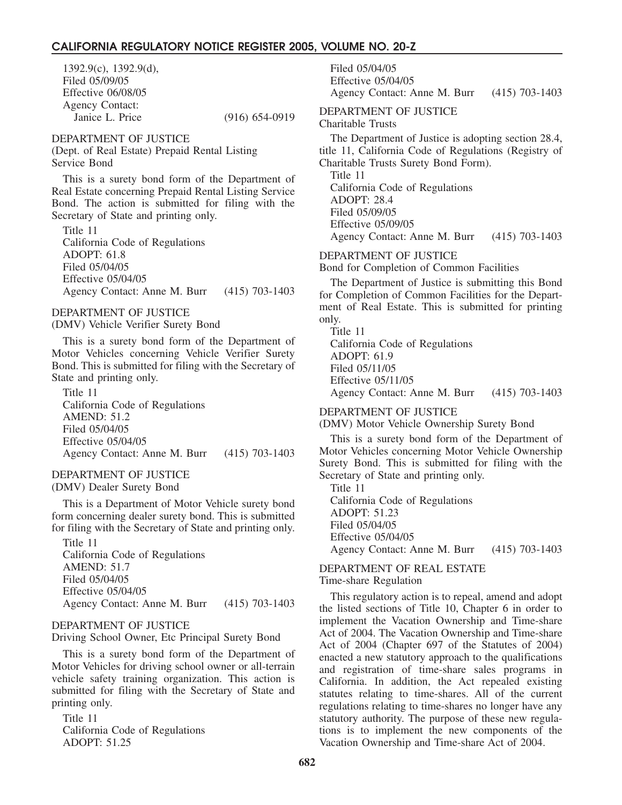1392.9(c), 1392.9(d), Filed 05/09/05 Effective 06/08/05 Agency Contact: Janice L. Price (916) 654-0919

DEPARTMENT OF JUSTICE

(Dept. of Real Estate) Prepaid Rental Listing Service Bond

This is a surety bond form of the Department of Real Estate concerning Prepaid Rental Listing Service Bond. The action is submitted for filing with the Secretary of State and printing only.

Title 11 California Code of Regulations ADOPT: 61.8 Filed 05/04/05 Effective 05/04/05 Agency Contact: Anne M. Burr (415) 703-1403

#### DEPARTMENT OF JUSTICE

(DMV) Vehicle Verifier Surety Bond

This is a surety bond form of the Department of Motor Vehicles concerning Vehicle Verifier Surety Bond. This is submitted for filing with the Secretary of State and printing only.

Title 11 California Code of Regulations AMEND: 51.2 Filed 05/04/05 Effective 05/04/05 Agency Contact: Anne M. Burr (415) 703-1403

#### DEPARTMENT OF JUSTICE (DMV) Dealer Surety Bond

This is a Department of Motor Vehicle surety bond form concerning dealer surety bond. This is submitted for filing with the Secretary of State and printing only.

Title 11 California Code of Regulations AMEND: 51.7 Filed 05/04/05 Effective 05/04/05 Agency Contact: Anne M. Burr (415) 703-1403

#### DEPARTMENT OF JUSTICE

Driving School Owner, Etc Principal Surety Bond

This is a surety bond form of the Department of Motor Vehicles for driving school owner or all-terrain vehicle safety training organization. This action is submitted for filing with the Secretary of State and printing only.

Title 11 California Code of Regulations ADOPT: 51.25

Filed 05/04/05 Effective 05/04/05 Agency Contact: Anne M. Burr (415) 703-1403

## DEPARTMENT OF JUSTICE

Charitable Trusts

The Department of Justice is adopting section 28.4, title 11, California Code of Regulations (Registry of Charitable Trusts Surety Bond Form).

Title 11 California Code of Regulations ADOPT: 28.4 Filed 05/09/05 Effective 05/09/05 Agency Contact: Anne M. Burr (415) 703-1403

#### DEPARTMENT OF JUSTICE

Bond for Completion of Common Facilities

The Department of Justice is submitting this Bond for Completion of Common Facilities for the Department of Real Estate. This is submitted for printing only.

Title 11 California Code of Regulations ADOPT: 61.9 Filed 05/11/05 Effective 05/11/05 Agency Contact: Anne M. Burr (415) 703-1403

DEPARTMENT OF JUSTICE

(DMV) Motor Vehicle Ownership Surety Bond

This is a surety bond form of the Department of Motor Vehicles concerning Motor Vehicle Ownership Surety Bond. This is submitted for filing with the Secretary of State and printing only.

Title 11 California Code of Regulations ADOPT: 51.23 Filed 05/04/05 Effective 05/04/05 Agency Contact: Anne M. Burr (415) 703-1403

## DEPARTMENT OF REAL ESTATE

Time-share Regulation

This regulatory action is to repeal, amend and adopt the listed sections of Title 10, Chapter 6 in order to implement the Vacation Ownership and Time-share Act of 2004. The Vacation Ownership and Time-share Act of 2004 (Chapter 697 of the Statutes of 2004) enacted a new statutory approach to the qualifications and registration of time-share sales programs in California. In addition, the Act repealed existing statutes relating to time-shares. All of the current regulations relating to time-shares no longer have any statutory authority. The purpose of these new regulations is to implement the new components of the Vacation Ownership and Time-share Act of 2004.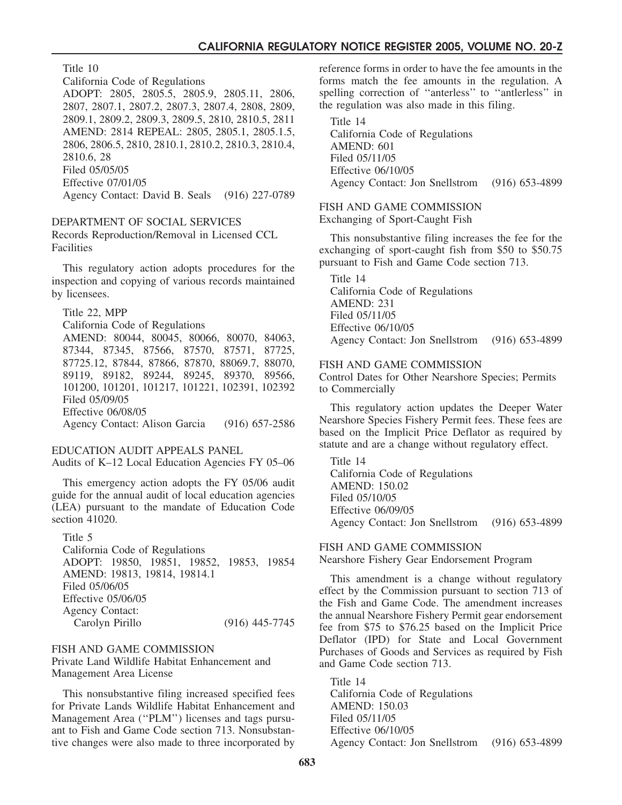Title 10

California Code of Regulations

ADOPT: 2805, 2805.5, 2805.9, 2805.11, 2806, 2807, 2807.1, 2807.2, 2807.3, 2807.4, 2808, 2809, 2809.1, 2809.2, 2809.3, 2809.5, 2810, 2810.5, 2811 AMEND: 2814 REPEAL: 2805, 2805.1, 2805.1.5, 2806, 2806.5, 2810, 2810.1, 2810.2, 2810.3, 2810.4, 2810.6, 28 Filed 05/05/05 Effective 07/01/05 Agency Contact: David B. Seals (916) 227-0789

#### DEPARTMENT OF SOCIAL SERVICES

Records Reproduction/Removal in Licensed CCL Facilities

This regulatory action adopts procedures for the inspection and copying of various records maintained by licensees.

Title 22, MPP California Code of Regulations AMEND: 80044, 80045, 80066, 80070, 84063, 87344, 87345, 87566, 87570, 87571, 87725, 87725.12, 87844, 87866, 87870, 88069.7, 88070, 89119, 89182, 89244, 89245, 89370, 89566, 101200, 101201, 101217, 101221, 102391, 102392 Filed 05/09/05 Effective 06/08/05 Agency Contact: Alison Garcia (916) 657-2586

#### EDUCATION AUDIT APPEALS PANEL

Audits of K–12 Local Education Agencies FY 05–06

This emergency action adopts the FY 05/06 audit guide for the annual audit of local education agencies (LEA) pursuant to the mandate of Education Code section 41020.

Title 5 California Code of Regulations ADOPT: 19850, 19851, 19852, 19853, 19854 AMEND: 19813, 19814, 19814.1 Filed 05/06/05 Effective 05/06/05 Agency Contact: Carolyn Pirillo (916) 445-7745

## FISH AND GAME COMMISSION

Private Land Wildlife Habitat Enhancement and Management Area License

This nonsubstantive filing increased specified fees for Private Lands Wildlife Habitat Enhancement and Management Area (''PLM'') licenses and tags pursuant to Fish and Game Code section 713. Nonsubstantive changes were also made to three incorporated by reference forms in order to have the fee amounts in the forms match the fee amounts in the regulation. A spelling correction of ''anterless'' to ''antlerless'' in the regulation was also made in this filing.

Title 14 California Code of Regulations AMEND: 601 Filed 05/11/05 Effective 06/10/05 Agency Contact: Jon Snellstrom (916) 653-4899

#### FISH AND GAME COMMISSION Exchanging of Sport-Caught Fish

This nonsubstantive filing increases the fee for the exchanging of sport-caught fish from \$50 to \$50.75 pursuant to Fish and Game Code section 713.

Title 14 California Code of Regulations AMEND: 231 Filed 05/11/05 Effective 06/10/05 Agency Contact: Jon Snellstrom (916) 653-4899

#### FISH AND GAME COMMISSION

Control Dates for Other Nearshore Species; Permits to Commercially

This regulatory action updates the Deeper Water Nearshore Species Fishery Permit fees. These fees are based on the Implicit Price Deflator as required by statute and are a change without regulatory effect.

Title 14 California Code of Regulations AMEND: 150.02 Filed 05/10/05 Effective 06/09/05 Agency Contact: Jon Snellstrom (916) 653-4899

#### FISH AND GAME COMMISSION

Nearshore Fishery Gear Endorsement Program

This amendment is a change without regulatory effect by the Commission pursuant to section 713 of the Fish and Game Code. The amendment increases the annual Nearshore Fishery Permit gear endorsement fee from \$75 to \$76.25 based on the Implicit Price Deflator (IPD) for State and Local Government Purchases of Goods and Services as required by Fish and Game Code section 713.

Title 14 California Code of Regulations AMEND: 150.03 Filed 05/11/05 Effective 06/10/05 Agency Contact: Jon Snellstrom (916) 653-4899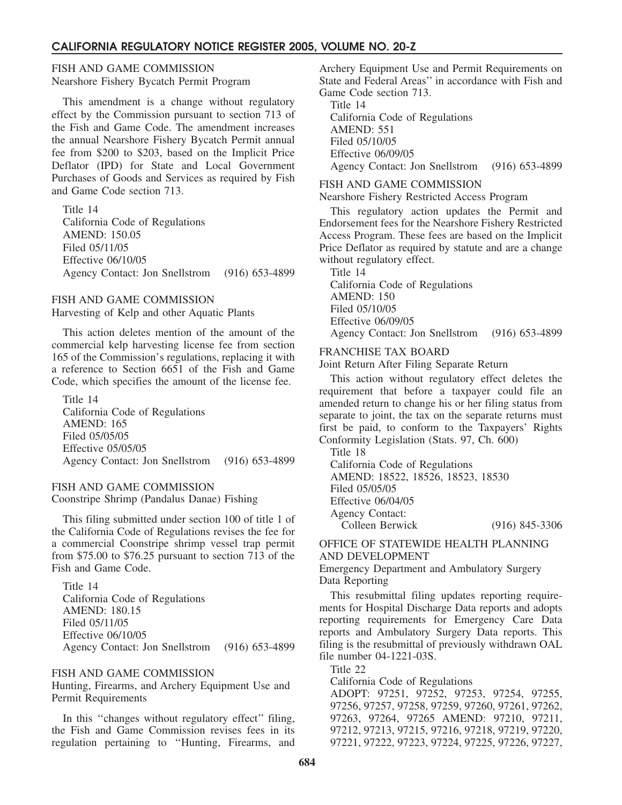FISH AND GAME COMMISSION Nearshore Fishery Bycatch Permit Program

This amendment is a change without regulatory effect by the Commission pursuant to section 713 of the Fish and Game Code. The amendment increases the annual Nearshore Fishery Bycatch Permit annual fee from \$200 to \$203, based on the Implicit Price Deflator (IPD) for State and Local Government Purchases of Goods and Services as required by Fish and Game Code section 713.

Title 14 California Code of Regulations AMEND: 150.05 Filed 05/11/05 Effective 06/10/05 Agency Contact: Jon Snellstrom (916) 653-4899

#### FISH AND GAME COMMISSION

Harvesting of Kelp and other Aquatic Plants

This action deletes mention of the amount of the commercial kelp harvesting license fee from section 165 of the Commission's regulations, replacing it with a reference to Section 6651 of the Fish and Game Code, which specifies the amount of the license fee.

Title 14 California Code of Regulations AMEND: 165 Filed 05/05/05 Effective 05/05/05 Agency Contact: Jon Snellstrom (916) 653-4899

# FISH AND GAME COMMISSION

Coonstripe Shrimp (Pandalus Danae) Fishing

This filing submitted under section 100 of title 1 of the California Code of Regulations revises the fee for a commercial Coonstripe shrimp vessel trap permit from \$75.00 to \$76.25 pursuant to section 713 of the Fish and Game Code.

Title 14 California Code of Regulations AMEND: 180.15 Filed 05/11/05 Effective 06/10/05 Agency Contact: Jon Snellstrom (916) 653-4899

#### FISH AND GAME COMMISSION

Hunting, Firearms, and Archery Equipment Use and Permit Requirements

In this ''changes without regulatory effect'' filing, the Fish and Game Commission revises fees in its regulation pertaining to ''Hunting, Firearms, and Archery Equipment Use and Permit Requirements on State and Federal Areas'' in accordance with Fish and Game Code section 713.

Title 14 California Code of Regulations AMEND: 551 Filed 05/10/05 Effective 06/09/05 Agency Contact: Jon Snellstrom (916) 653-4899

#### FISH AND GAME COMMISSION

Nearshore Fishery Restricted Access Program

This regulatory action updates the Permit and Endorsement fees for the Nearshore Fishery Restricted Access Program. These fees are based on the Implicit Price Deflator as required by statute and are a change without regulatory effect.

Title 14 California Code of Regulations AMEND: 150 Filed 05/10/05 Effective 06/09/05 Agency Contact: Jon Snellstrom (916) 653-4899

#### FRANCHISE TAX BOARD

Joint Return After Filing Separate Return

This action without regulatory effect deletes the requirement that before a taxpayer could file an amended return to change his or her filing status from separate to joint, the tax on the separate returns must first be paid, to conform to the Taxpayers' Rights Conformity Legislation (Stats. 97, Ch. 600)

Title 18 California Code of Regulations AMEND: 18522, 18526, 18523, 18530 Filed 05/05/05 Effective 06/04/05 Agency Contact: Colleen Berwick (916) 845-3306

## OFFICE OF STATEWIDE HEALTH PLANNING AND DEVELOPMENT

Emergency Department and Ambulatory Surgery Data Reporting

This resubmittal filing updates reporting requirements for Hospital Discharge Data reports and adopts reporting requirements for Emergency Care Data reports and Ambulatory Surgery Data reports. This filing is the resubmittal of previously withdrawn OAL file number 04-1221-03S.

Title 22

California Code of Regulations

ADOPT: 97251, 97252, 97253, 97254, 97255, 97256, 97257, 97258, 97259, 97260, 97261, 97262, 97263, 97264, 97265 AMEND: 97210, 97211, 97212, 97213, 97215, 97216, 97218, 97219, 97220, 97221, 97222, 97223, 97224, 97225, 97226, 97227,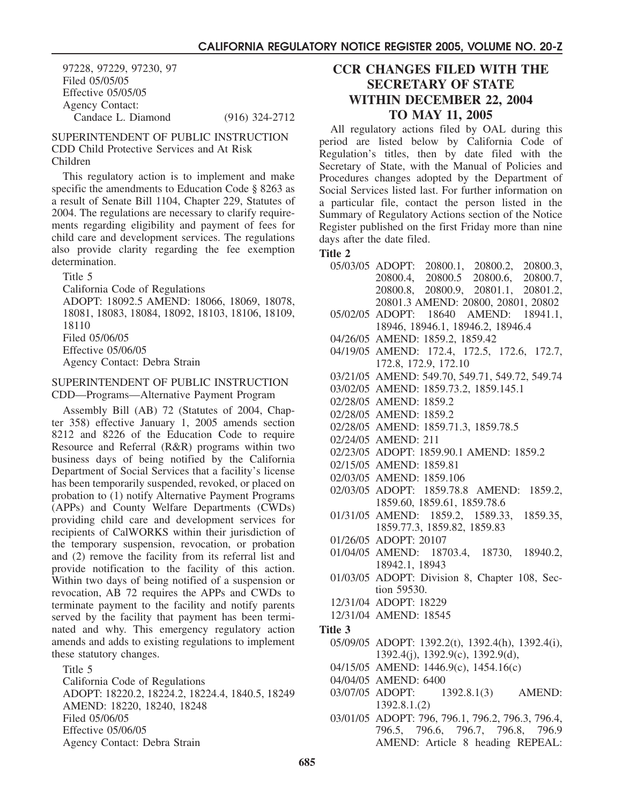97228, 97229, 97230, 97 Filed 05/05/05 Effective 05/05/05 Agency Contact: Candace L. Diamond (916) 324-2712

SUPERINTENDENT OF PUBLIC INSTRUCTION CDD Child Protective Services and At Risk Children

This regulatory action is to implement and make specific the amendments to Education Code § 8263 as a result of Senate Bill 1104, Chapter 229, Statutes of 2004. The regulations are necessary to clarify requirements regarding eligibility and payment of fees for child care and development services. The regulations also provide clarity regarding the fee exemption determination.

Title 5 California Code of Regulations ADOPT: 18092.5 AMEND: 18066, 18069, 18078, 18081, 18083, 18084, 18092, 18103, 18106, 18109, 18110 Filed 05/06/05 Effective 05/06/05 Agency Contact: Debra Strain

#### SUPERINTENDENT OF PUBLIC INSTRUCTION CDD—Programs—Alternative Payment Program

Assembly Bill (AB) 72 (Statutes of 2004, Chapter 358) effective January 1, 2005 amends section 8212 and 8226 of the Education Code to require Resource and Referral (R&R) programs within two business days of being notified by the California Department of Social Services that a facility's license has been temporarily suspended, revoked, or placed on probation to (1) notify Alternative Payment Programs (APPs) and County Welfare Departments (CWDs) providing child care and development services for recipients of CalWORKS within their jurisdiction of the temporary suspension, revocation, or probation and (2) remove the facility from its referral list and provide notification to the facility of this action. Within two days of being notified of a suspension or revocation, AB 72 requires the APPs and CWDs to terminate payment to the facility and notify parents served by the facility that payment has been terminated and why. This emergency regulatory action amends and adds to existing regulations to implement these statutory changes.

Title 5

California Code of Regulations ADOPT: 18220.2, 18224.2, 18224.4, 1840.5, 18249 AMEND: 18220, 18240, 18248 Filed 05/06/05 Effective 05/06/05 Agency Contact: Debra Strain

# **CCR CHANGES FILED WITH THE SECRETARY OF STATE WITHIN DECEMBER 22, 2004 TO MAY 11, 2005**

All regulatory actions filed by OAL during this period are listed below by California Code of Regulation's titles, then by date filed with the Secretary of State, with the Manual of Policies and Procedures changes adopted by the Department of Social Services listed last. For further information on a particular file, contact the person listed in the Summary of Regulatory Actions section of the Notice Register published on the first Friday more than nine days after the date filed.

## **Title 2**

- 05/03/05 ADOPT: 20800.1, 20800.2, 20800.3, 20800.4, 20800.5 20800.6, 20800.7, 20800.8, 20800.9, 20801.1, 20801.2, 20801.3 AMEND: 20800, 20801, 20802 05/02/05 ADOPT: 18640 AMEND: 18941.1, 18946, 18946.1, 18946.2, 18946.4 04/26/05 AMEND: 1859.2, 1859.42 04/19/05 AMEND: 172.4, 172.5, 172.6, 172.7, 172.8, 172.9, 172.10 03/21/05 AMEND: 549.70, 549.71, 549.72, 549.74 03/02/05 AMEND: 1859.73.2, 1859.145.1 02/28/05 AMEND: 1859.2 02/28/05 AMEND: 1859.2 02/28/05 AMEND: 1859.71.3, 1859.78.5 02/24/05 AMEND: 211 02/23/05 ADOPT: 1859.90.1 AMEND: 1859.2 02/15/05 AMEND: 1859.81 02/03/05 AMEND: 1859.106 02/03/05 ADOPT: 1859.78.8 AMEND: 1859.2, 1859.60, 1859.61, 1859.78.6 01/31/05 AMEND: 1859.2, 1589.33, 1859.35, 1859.77.3, 1859.82, 1859.83 01/26/05 ADOPT: 20107 01/04/05 AMEND: 18703.4, 18730, 18940.2, 18942.1, 18943 01/03/05 ADOPT: Division 8, Chapter 108, Section 59530. 12/31/04 ADOPT: 18229 12/31/04 AMEND: 18545 **Title 3** 05/09/05 ADOPT: 1392.2(t), 1392.4(h), 1392.4(i), 1392.4(j), 1392.9(c), 1392.9(d), 04/15/05 AMEND: 1446.9(c), 1454.16(c)
	- 04/04/05 AMEND: 6400
	- 03/07/05 ADOPT: 1392.8.1.(2) 1392.8.1(3) AMEND:
	- 03/01/05 ADOPT: 796, 796.1, 796.2, 796.3, 796.4, 796.5, 796.6, 796.7, 796.8, 796.9 AMEND: Article 8 heading REPEAL: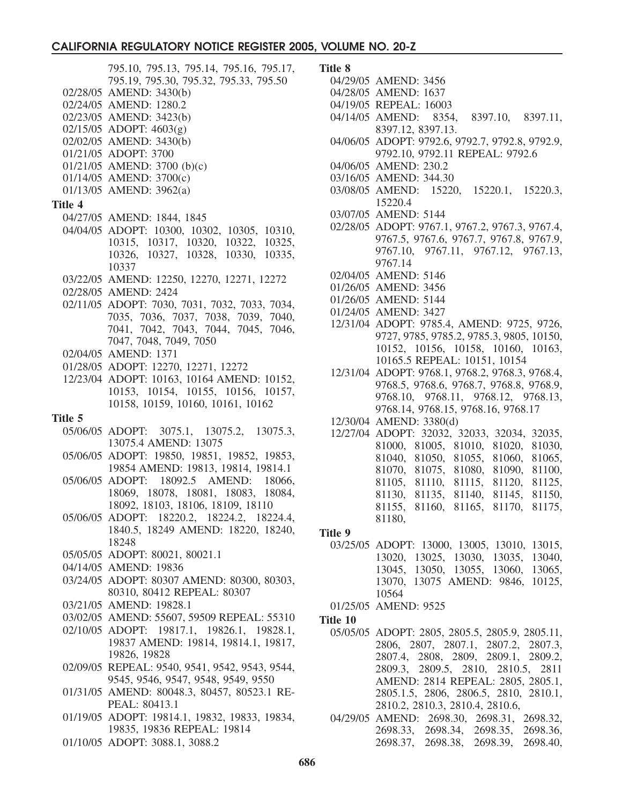795.10, 795.13, 795.14, 795.16, 795.17, 795.19, 795.30, 795.32, 795.33, 795.50 02/28/05 AMEND: 3430(b) 02/24/05 AMEND: 1280.2 02/23/05 AMEND: 3423(b) 02/15/05 ADOPT: 4603(g) 02/02/05 AMEND: 3430(b) 01/21/05 ADOPT: 3700 01/21/05 AMEND: 3700 (b)(c) 01/14/05 AMEND: 3700(c) 01/13/05 AMEND: 3962(a) **Title 4** 04/27/05 AMEND: 1844, 1845 04/04/05 ADOPT: 10300, 10302, 10305, 10310, 10315, 10317, 10320, 10322, 10325, 10326, 10327, 10328, 10330, 10335, 10337 03/22/05 AMEND: 12250, 12270, 12271, 12272 02/28/05 AMEND: 2424 02/11/05 ADOPT: 7030, 7031, 7032, 7033, 7034, 7035, 7036, 7037, 7038, 7039, 7040, 7041, 7042, 7043, 7044, 7045, 7046, 7047, 7048, 7049, 7050 02/04/05 AMEND: 1371 01/28/05 ADOPT: 12270, 12271, 12272 12/23/04 ADOPT: 10163, 10164 AMEND: 10152, 10153, 10154, 10155, 10156, 10157, 10158, 10159, 10160, 10161, 10162 **Title 5** 05/06/05 ADOPT: 3075.1, 13075.2, 13075.3, 13075.4 AMEND: 13075 05/06/05 ADOPT: 19850, 19851, 19852, 19853, 19854 AMEND: 19813, 19814, 19814.1 05/06/05 ADOPT: 18092.5 AMEND: 18066, 18069, 18078, 18081, 18083, 18084, 18092, 18103, 18106, 18109, 18110 05/06/05 ADOPT: 18220.2, 18224.2, 18224.4, 1840.5, 18249 AMEND: 18220, 18240, 18248 05/05/05 ADOPT: 80021, 80021.1 04/14/05 AMEND: 19836 03/24/05 ADOPT: 80307 AMEND: 80300, 80303, 80310, 80412 REPEAL: 80307 03/21/05 AMEND: 19828.1 03/02/05 AMEND: 55607, 59509 REPEAL: 55310 02/10/05 ADOPT: 19817.1, 19826.1, 19828.1, 19837 AMEND: 19814, 19814.1, 19817, 19826, 19828 02/09/05 REPEAL: 9540, 9541, 9542, 9543, 9544, 9545, 9546, 9547, 9548, 9549, 9550 01/31/05 AMEND: 80048.3, 80457, 80523.1 RE-PEAL: 80413.1 01/19/05 ADOPT: 19814.1, 19832, 19833, 19834, 19835, 19836 REPEAL: 19814 01/10/05 ADOPT: 3088.1, 3088.2

#### **Title 8**

- 04/29/05 AMEND: 3456
- 04/28/05 AMEND: 1637
- 04/19/05 REPEAL: 16003
- 04/14/05 AMEND: 8354, 8397.10, 8397.11, 8397.12, 8397.13.
- 04/06/05 ADOPT: 9792.6, 9792.7, 9792.8, 9792.9, 9792.10, 9792.11 REPEAL: 9792.6
- 04/06/05 AMEND: 230.2
- 03/16/05 AMEND: 344.30
- 03/08/05 AMEND: 15220, 15220.1, 15220.3, 15220.4
- 03/07/05 AMEND: 5144
- 02/28/05 ADOPT: 9767.1, 9767.2, 9767.3, 9767.4, 9767.5, 9767.6, 9767.7, 9767.8, 9767.9, 9767.10, 9767.11, 9767.12, 9767.13, 9767.14
- 02/04/05 AMEND: 5146
- 01/26/05 AMEND: 3456
- 01/26/05 AMEND: 5144
- 01/24/05 AMEND: 3427
- 12/31/04 ADOPT: 9785.4, AMEND: 9725, 9726, 9727, 9785, 9785.2, 9785.3, 9805, 10150, 10152, 10156, 10158, 10160, 10163, 10165.5 REPEAL: 10151, 10154
- 12/31/04 ADOPT: 9768.1, 9768.2, 9768.3, 9768.4, 9768.5, 9768.6, 9768.7, 9768.8, 9768.9, 9768.10, 9768.11, 9768.12, 9768.13, 9768.14, 9768.15, 9768.16, 9768.17
- 12/30/04 AMEND: 3380(d)
- 12/27/04 ADOPT: 32032, 32033, 32034, 32035, 81000, 81005, 81010, 81020, 81030, 81040, 81050, 81055, 81060, 81065, 81070, 81075, 81080, 81090, 81100, 81105, 81110, 81115, 81120, 81125, 81130, 81135, 81140, 81145, 81150, 81155, 81160, 81165, 81170, 81175, 81180,

#### **Title 9**

03/25/05 ADOPT: 13000, 13005, 13010, 13015, 13020, 13025, 13030, 13035, 13040, 13045, 13050, 13055, 13060, 13065, 13070, 13075 AMEND: 9846, 10125, 10564

01/25/05 AMEND: 9525

- **Title 10**
	- 05/05/05 ADOPT: 2805, 2805.5, 2805.9, 2805.11, 2806, 2807, 2807.1, 2807.2, 2807.3, 2807.4, 2808, 2809, 2809.1, 2809.2, 2809.3, 2809.5, 2810, 2810.5, 2811 AMEND: 2814 REPEAL: 2805, 2805.1, 2805.1.5, 2806, 2806.5, 2810, 2810.1, 2810.2, 2810.3, 2810.4, 2810.6,
	- 04/29/05 AMEND: 2698.30, 2698.31, 2698.32, 2698.33, 2698.34, 2698.35, 2698.36, 2698.37, 2698.38, 2698.39, 2698.40,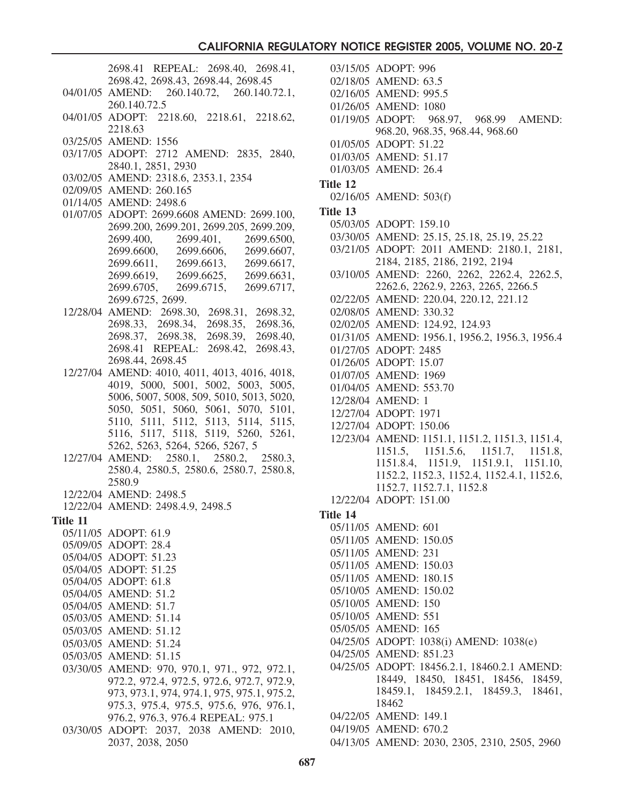2698.41 REPEAL: 2698.40, 2698.41, 2698.42, 2698.43, 2698.44, 2698.45 04/01/05 AMEND: 260.140.72, 260.140.72.1, 260.140.72.5 04/01/05 ADOPT: 2218.60, 2218.61, 2218.62, 2218.63 03/25/05 AMEND: 1556 03/17/05 ADOPT: 2712 AMEND: 2835, 2840, 2840.1, 2851, 2930 03/02/05 AMEND: 2318.6, 2353.1, 2354 02/09/05 AMEND: 260.165 01/14/05 AMEND: 2498.6 01/07/05 ADOPT: 2699.6608 AMEND: 2699.100, 2699.200, 2699.201, 2699.205, 2699.209, 2699.400, 2699.401, 2699.6500, 2699.6600, 2699.6606, 2699.6607, 2699.6611, 2699.6613, 2699.6617, 2699.6619, 2699.6625, 2699.6631, 2699.6705, 2699.6715, 2699.6717, 2699.6725, 2699. 12/28/04 AMEND: 2698.30, 2698.31, 2698.32, 2698.33, 2698.34, 2698.35, 2698.36, 2698.37, 2698.38, 2698.39, 2698.40, 2698.41 REPEAL: 2698.42, 2698.43, 2698.44, 2698.45 12/27/04 AMEND: 4010, 4011, 4013, 4016, 4018, 4019, 5000, 5001, 5002, 5003, 5005, 5006, 5007, 5008, 509, 5010, 5013, 5020, 5050, 5051, 5060, 5061, 5070, 5101, 5110, 5111, 5112, 5113, 5114, 5115, 5116, 5117, 5118, 5119, 5260, 5261, 5262, 5263, 5264, 5266, 5267, 5 12/27/04 AMEND: 2580.1, 2580.2, 2580.3, 2580.4, 2580.5, 2580.6, 2580.7, 2580.8, 2580.9 12/22/04 AMEND: 2498.5 12/22/04 AMEND: 2498.4.9, 2498.5 **Title 11** 05/11/05 ADOPT: 61.9 05/09/05 ADOPT: 28.4 05/04/05 ADOPT: 51.23 05/04/05 ADOPT: 51.25 05/04/05 ADOPT: 61.8 05/04/05 AMEND: 51.2 05/04/05 AMEND: 51.7 05/03/05 AMEND: 51.14 05/03/05 AMEND: 51.12 05/03/05 AMEND: 51.24 05/03/05 AMEND: 51.15 03/30/05 AMEND: 970, 970.1, 971., 972, 972.1, 972.2, 972.4, 972.5, 972.6, 972.7, 972.9, 973, 973.1, 974, 974.1, 975, 975.1, 975.2, 975.3, 975.4, 975.5, 975.6, 976, 976.1, 976.2, 976.3, 976.4 REPEAL: 975.1 03/30/05 ADOPT: 2037, 2038 AMEND: 2010, 2037, 2038, 2050

03/15/05 ADOPT: 996 02/18/05 AMEND: 63.5 02/16/05 AMEND: 995.5 01/26/05 AMEND: 1080 01/19/05 ADOPT: 968.97, 968.99 AMEND: 968.20, 968.35, 968.44, 968.60 01/05/05 ADOPT: 51.22 01/03/05 AMEND: 51.17 01/03/05 AMEND: 26.4 **Title 12** 02/16/05 AMEND: 503(f) **Title 13** 05/03/05 ADOPT: 159.10 03/30/05 AMEND: 25.15, 25.18, 25.19, 25.22 03/21/05 ADOPT: 2011 AMEND: 2180.1, 2181, 2184, 2185, 2186, 2192, 2194 03/10/05 AMEND: 2260, 2262, 2262.4, 2262.5, 2262.6, 2262.9, 2263, 2265, 2266.5 02/22/05 AMEND: 220.04, 220.12, 221.12 02/08/05 AMEND: 330.32 02/02/05 AMEND: 124.92, 124.93 01/31/05 AMEND: 1956.1, 1956.2, 1956.3, 1956.4 01/27/05 ADOPT: 2485 01/26/05 ADOPT: 15.07 01/07/05 AMEND: 1969 01/04/05 AMEND: 553.70 12/28/04 AMEND: 1 12/27/04 ADOPT: 1971 12/27/04 ADOPT: 150.06 12/23/04 AMEND: 1151.1, 1151.2, 1151.3, 1151.4, 1151.5, 1151.5.6, 1151.7, 1151.8, 1151.8.4, 1151.9, 1151.9.1, 1151.10, 1152.2, 1152.3, 1152.4, 1152.4.1, 1152.6, 1152.7, 1152.7.1, 1152.8 12/22/04 ADOPT: 151.00 **Title 14** 05/11/05 AMEND: 601 05/11/05 AMEND: 150.05 05/11/05 AMEND: 231 05/11/05 AMEND: 150.03 05/11/05 AMEND: 180.15 05/10/05 AMEND: 150.02 05/10/05 AMEND: 150 05/10/05 AMEND: 551 05/05/05 AMEND: 165 04/25/05 ADOPT: 1038(i) AMEND: 1038(e) 04/25/05 AMEND: 851.23 04/25/05 ADOPT: 18456.2.1, 18460.2.1 AMEND: 18449, 18450, 18451, 18456, 18459, 18459.1, 18459.2.1, 18459.3, 18461, 18462 04/22/05 AMEND: 149.1 04/19/05 AMEND: 670.2 04/13/05 AMEND: 2030, 2305, 2310, 2505, 2960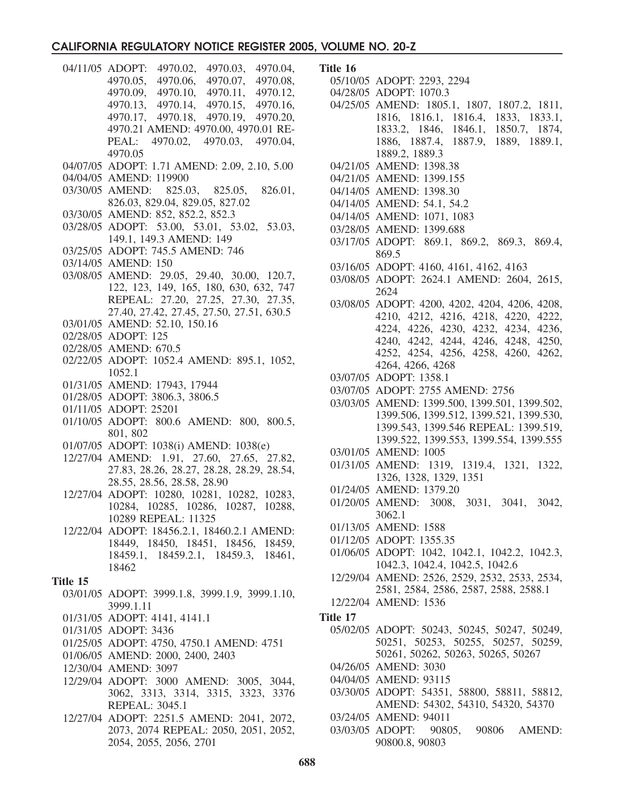- 04/11/05 ADOPT: 4970.02, 4970.03, 4970.04, 4970.05, 4970.06, 4970.07, 4970.08, 4970.09, 4970.10, 4970.11, 4970.12, 4970.13, 4970.14, 4970.15, 4970.16, 4970.17, 4970.18, 4970.19, 4970.20, 4970.21 AMEND: 4970.00, 4970.01 RE-PEAL: 4970.02, 4970.03, 4970.04, 4970.05
- 04/07/05 ADOPT: 1.71 AMEND: 2.09, 2.10, 5.00
- 04/04/05 AMEND: 119900
- 03/30/05 AMEND: 825.03, 825.05, 826.01, 826.03, 829.04, 829.05, 827.02
- 03/30/05 AMEND: 852, 852.2, 852.3
- 03/28/05 ADOPT: 53.00, 53.01, 53.02, 53.03, 149.1, 149.3 AMEND: 149
- 03/25/05 ADOPT: 745.5 AMEND: 746
- 03/14/05 AMEND: 150
- 03/08/05 AMEND: 29.05, 29.40, 30.00, 120.7, 122, 123, 149, 165, 180, 630, 632, 747 REPEAL: 27.20, 27.25, 27.30, 27.35, 27.40, 27.42, 27.45, 27.50, 27.51, 630.5
- 03/01/05 AMEND: 52.10, 150.16
- 02/28/05 ADOPT: 125
- 02/28/05 AMEND: 670.5
- 02/22/05 ADOPT: 1052.4 AMEND: 895.1, 1052, 1052.1
- 01/31/05 AMEND: 17943, 17944
- 01/28/05 ADOPT: 3806.3, 3806.5
- 01/11/05 ADOPT: 25201
- 01/10/05 ADOPT: 800.6 AMEND: 800, 800.5, 801, 802
- 01/07/05 ADOPT: 1038(i) AMEND: 1038(e)
- 12/27/04 AMEND: 1.91, 27.60, 27.65, 27.82, 27.83, 28.26, 28.27, 28.28, 28.29, 28.54, 28.55, 28.56, 28.58, 28.90
- 12/27/04 ADOPT: 10280, 10281, 10282, 10283, 10284, 10285, 10286, 10287, 10288, 10289 REPEAL: 11325
- 12/22/04 ADOPT: 18456.2.1, 18460.2.1 AMEND: 18449, 18450, 18451, 18456, 18459, 18459.1, 18459.2.1, 18459.3, 18461, 18462

#### **Title 15**

- 03/01/05 ADOPT: 3999.1.8, 3999.1.9, 3999.1.10, 3999.1.11
- 01/31/05 ADOPT: 4141, 4141.1
- 01/31/05 ADOPT: 3436
- 01/25/05 ADOPT: 4750, 4750.1 AMEND: 4751
- 01/06/05 AMEND: 2000, 2400, 2403
- 12/30/04 AMEND: 3097
- 12/29/04 ADOPT: 3000 AMEND: 3005, 3044, 3062, 3313, 3314, 3315, 3323, 3376 REPEAL: 3045.1
- 12/27/04 ADOPT: 2251.5 AMEND: 2041, 2072, 2073, 2074 REPEAL: 2050, 2051, 2052, 2054, 2055, 2056, 2701
- **Title 16**
	- 05/10/05 ADOPT: 2293, 2294
	- 04/28/05 ADOPT: 1070.3
	- 04/25/05 AMEND: 1805.1, 1807, 1807.2, 1811, 1816, 1816.1, 1816.4, 1833, 1833.1, 1833.2, 1846, 1846.1, 1850.7, 1874, 1886, 1887.4, 1887.9, 1889, 1889.1, 1889.2, 1889.3
	- 04/21/05 AMEND: 1398.38
	- 04/21/05 AMEND: 1399.155
	- 04/14/05 AMEND: 1398.30
	- 04/14/05 AMEND: 54.1, 54.2
	- 04/14/05 AMEND: 1071, 1083
	- 03/28/05 AMEND: 1399.688
	- 03/17/05 ADOPT: 869.1, 869.2, 869.3, 869.4, 869.5
	- 03/16/05 ADOPT: 4160, 4161, 4162, 4163
	- 03/08/05 ADOPT: 2624.1 AMEND: 2604, 2615, 2624
	- 03/08/05 ADOPT: 4200, 4202, 4204, 4206, 4208, 4210, 4212, 4216, 4218, 4220, 4222, 4224, 4226, 4230, 4232, 4234, 4236, 4240, 4242, 4244, 4246, 4248, 4250, 4252, 4254, 4256, 4258, 4260, 4262, 4264, 4266, 4268
	- 03/07/05 ADOPT: 1358.1
	- 03/07/05 ADOPT: 2755 AMEND: 2756
	- 03/03/05 AMEND: 1399.500, 1399.501, 1399.502, 1399.506, 1399.512, 1399.521, 1399.530, 1399.543, 1399.546 REPEAL: 1399.519, 1399.522, 1399.553, 1399.554, 1399.555
	- 03/01/05 AMEND: 1005
	- 01/31/05 AMEND: 1319, 1319.4, 1321, 1322, 1326, 1328, 1329, 1351
	- 01/24/05 AMEND: 1379.20
	- 01/20/05 AMEND: 3008, 3031, 3041, 3042, 3062.1
	- 01/13/05 AMEND: 1588
	- 01/12/05 ADOPT: 1355.35
	- 01/06/05 ADOPT: 1042, 1042.1, 1042.2, 1042.3, 1042.3, 1042.4, 1042.5, 1042.6
	- 12/29/04 AMEND: 2526, 2529, 2532, 2533, 2534, 2581, 2584, 2586, 2587, 2588, 2588.1
	- 12/22/04 AMEND: 1536
- **Title 17**
	- 05/02/05 ADOPT: 50243, 50245, 50247, 50249, 50251, 50253, 50255, 50257, 50259, 50261, 50262, 50263, 50265, 50267
	- 04/26/05 AMEND: 3030
	- 04/04/05 AMEND: 93115
	- 03/30/05 ADOPT: 54351, 58800, 58811, 58812, AMEND: 54302, 54310, 54320, 54370
	- 03/24/05 AMEND: 94011
	- 03/03/05 ADOPT: 90805, 90806 AMEND: 90800.8, 90803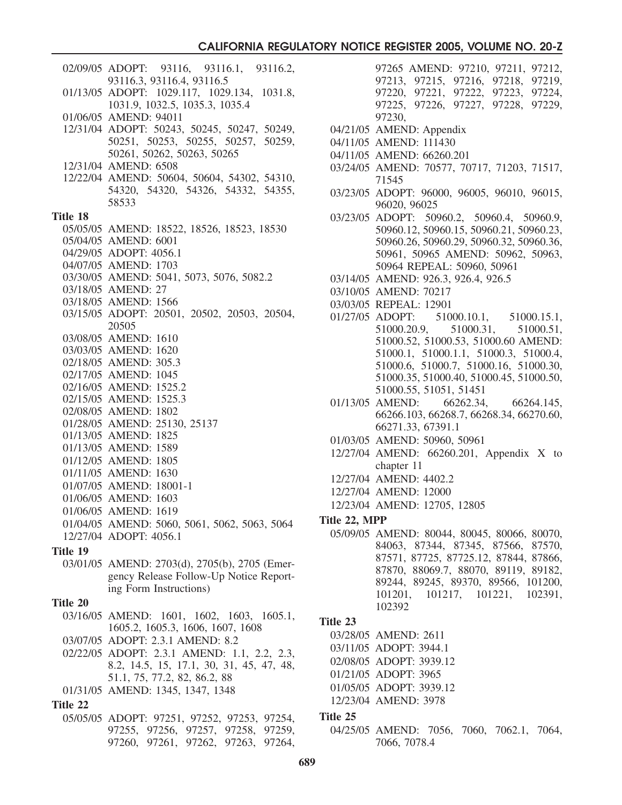|          | 02/09/05 ADOPT: 93116, 93116.1, 93116.2,                                                |
|----------|-----------------------------------------------------------------------------------------|
|          | 93116.3, 93116.4, 93116.5                                                               |
|          | 01/13/05 ADOPT: 1029.117, 1029.134, 1031.8,                                             |
|          | 1031.9, 1032.5, 1035.3, 1035.4                                                          |
|          | 01/06/05 AMEND: 94011                                                                   |
|          | 12/31/04 ADOPT: 50243, 50245, 50247, 50249,                                             |
|          | 50251, 50253, 50255, 50257, 50259,                                                      |
|          | 50261, 50262, 50263, 50265                                                              |
|          | 12/31/04 AMEND: 6508                                                                    |
|          | 12/22/04 AMEND: 50604, 50604, 54302, 54310,                                             |
|          | 54320, 54320, 54326, 54332, 54355,                                                      |
|          | 58533                                                                                   |
| Title 18 |                                                                                         |
|          | 05/05/05 AMEND: 18522, 18526, 18523, 18530                                              |
|          | 05/04/05 AMEND: 6001                                                                    |
|          | 04/29/05 ADOPT: 4056.1                                                                  |
|          | 04/07/05 AMEND: 1703                                                                    |
|          | 03/30/05 AMEND: 5041, 5073, 5076, 5082.2                                                |
|          | 03/18/05 AMEND: 27                                                                      |
|          | 03/18/05 AMEND: 1566                                                                    |
|          | 03/15/05 ADOPT: 20501, 20502, 20503, 20504,                                             |
|          | 20505                                                                                   |
|          | 03/08/05 AMEND: 1610                                                                    |
|          | 03/03/05 AMEND: 1620                                                                    |
|          | 02/18/05 AMEND: 305.3                                                                   |
|          | 02/17/05 AMEND: 1045                                                                    |
|          | 02/16/05 AMEND: 1525.2                                                                  |
|          | 02/15/05 AMEND: 1525.3                                                                  |
|          | 02/08/05 AMEND: 1802                                                                    |
|          | 01/28/05 AMEND: 25130, 25137                                                            |
|          | 01/13/05 AMEND: 1825                                                                    |
|          | 01/13/05 AMEND: 1589                                                                    |
|          | 01/12/05 AMEND: 1805                                                                    |
|          | 01/11/05 AMEND: 1630                                                                    |
|          | 01/07/05 AMEND: 18001-1                                                                 |
|          | 01/06/05 AMEND: 1603                                                                    |
|          | 01/06/05 AMEND: 1619                                                                    |
|          | 01/04/05 AMEND: 5060, 5061, 5062, 5063, 5064                                            |
|          | 12/27/04 ADOPT: 4056.1                                                                  |
| Title 19 |                                                                                         |
|          | 03/01/05 AMEND: 2703(d), 2705(b), 2705 (Emer-                                           |
|          | gency Release Follow-Up Notice Report-                                                  |
|          | ing Form Instructions)                                                                  |
| Title 20 |                                                                                         |
|          | 03/16/05 AMEND: 1601, 1602, 1603, 1605.1,                                               |
|          | 1605.2, 1605.3, 1606, 1607, 1608                                                        |
|          | 03/07/05 ADOPT: 2.3.1 AMEND: 8.2                                                        |
|          |                                                                                         |
|          | 02/22/05 ADOPT: 2.3.1 AMEND: 1.1, 2.2, 2.3,<br>8.2, 14.5, 15, 17.1, 30, 31, 45, 47, 48, |
|          | 51.1, 75, 77.2, 82, 86.2, 88                                                            |
|          | 01/31/05 AMEND: 1345, 1347, 1348                                                        |
|          |                                                                                         |
| Title 22 |                                                                                         |
|          | 05/05/05 ADOPT: 97251, 97252, 97253, 97254,                                             |
|          | 97255, 97256, 97257, 97258, 97259,                                                      |

97260, 97261, 97262, 97263, 97264,

|        | 97265 AMEND: 97210, 97211, 97212,  |  |  |
|--------|------------------------------------|--|--|
|        | 97213, 97215, 97216, 97218, 97219, |  |  |
|        | 97220, 97221, 97222, 97223, 97224, |  |  |
|        | 97225, 97226, 97227, 97228, 97229, |  |  |
| 97230. |                                    |  |  |

- 04/21/05 AMEND: Appendix
- 04/11/05 AMEND: 111430
- 04/11/05 AMEND: 66260.201
- 03/24/05 AMEND: 70577, 70717, 71203, 71517, 71545
- 03/23/05 ADOPT: 96000, 96005, 96010, 96015, 96020, 96025
- 03/23/05 ADOPT: 50960.2, 50960.4, 50960.9, 50960.12, 50960.15, 50960.21, 50960.23, 50960.26, 50960.29, 50960.32, 50960.36, 50961, 50965 AMEND: 50962, 50963, 50964 REPEAL: 50960, 50961
- 03/14/05 AMEND: 926.3, 926.4, 926.5
- 03/10/05 AMEND: 70217
- 03/03/05 REPEAL: 12901
- 01/27/05 ADOPT: 51000.10.1, 51000.15.1, 51000.20.9, 51000.31, 51000.51, 51000.52, 51000.53, 51000.60 AMEND: 51000.1, 51000.1.1, 51000.3, 51000.4, 51000.6, 51000.7, 51000.16, 51000.30, 51000.35, 51000.40, 51000.45, 51000.50, 51000.55, 51051, 51451
- 01/13/05 AMEND: 66262.34, 66264.145, 66266.103, 66268.7, 66268.34, 66270.60, 66271.33, 67391.1
- 01/03/05 AMEND: 50960, 50961
- 12/27/04 AMEND: 66260.201, Appendix X to chapter 11
- 12/27/04 AMEND: 4402.2
- 12/27/04 AMEND: 12000
- 12/23/04 AMEND: 12705, 12805
- **Title 22, MPP**
	- 05/09/05 AMEND: 80044, 80045, 80066, 80070, 84063, 87344, 87345, 87566, 87570, 87571, 87725, 87725.12, 87844, 87866, 87870, 88069.7, 88070, 89119, 89182, 89244, 89245, 89370, 89566, 101200, 101201, 101217, 101221, 102391, 102392

#### **Title 23**

03/28/05 AMEND: 2611 03/11/05 ADOPT: 3944.1

- 02/08/05 ADOPT: 3939.12
- 01/21/05 ADOPT: 3965
- 01/05/05 ADOPT: 3939.12
- 12/23/04 AMEND: 3978

#### **Title 25**

04/25/05 AMEND: 7056, 7060, 7062.1, 7064, 7066, 7078.4